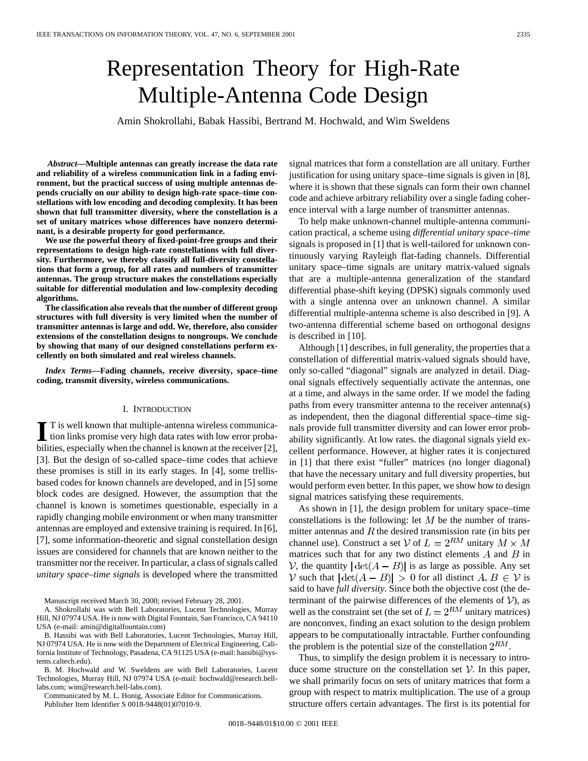# Representation Theory for High-Rate Multiple-Antenna Code Design

Amin Shokrollahi, Babak Hassibi, Bertrand M. Hochwald, and Wim Sweldens

*Abstract—***Multiple antennas can greatly increase the data rate and reliability of a wireless communication link in a fading environment, but the practical success of using multiple antennas depends crucially on our ability to design high-rate space–time constellations with low encoding and decoding complexity. It has been shown that full transmitter diversity, where the constellation is a set of unitary matrices whose differences have nonzero determinant, is a desirable property for good performance.**

**We use the powerful theory of fixed-point-free groups and their representations to design high-rate constellations with full diversity. Furthermore, we thereby classify all full-diversity constellations that form a group, for all rates and numbers of transmitter antennas. The group structure makes the constellations especially suitable for differential modulation and low-complexity decoding algorithms.**

**The classification also reveals that the number of different group structures with full diversity is very limited when the number of transmitter antennas is large and odd. We, therefore, also consider extensions of the constellation designs to nongroups. We conclude by showing that many of our designed constellations perform excellently on both simulated and real wireless channels.**

*Index Terms—***Fading channels, receive diversity, space–time coding, transmit diversity, wireless communications.**

#### I. INTRODUCTION

I T is well known that multiple-antenna wireless communication links promise very high data rates with low error probabilities, especially when the channel is known at the receiver [2], [3]. But the design of so-called space–time codes that achieve these promises is still in its early stages. In [4], some trellisbased codes for known channels are developed, and in [5] some block codes are designed. However, the assumption that the channel is known is sometimes questionable, especially in a rapidly changing mobile environment or when many transmitter antennas are employed and extensive training is required. In [6], [7], some information-theoretic and signal constellation design issues are considered for channels that are known neither to the transmitter nor the receiver. In particular, a class of signals called *unitary space–time signals* is developed where the transmitted

Manuscript received March 30, 2000; revised February 28, 2001.

A. Shokrollahi was with Bell Laboratories, Lucent Technologies, Murray Hill, NJ 07974 USA. He is now with Digital Fountain, San Francisco, CA 94110 USA (e-mail: amin@digitalfountain.com)

B. M. Hochwald and W. Sweldens are with Bell Laboratories, Lucent Technologies, Murray Hill, NJ 07974 USA (e-mail: hochwald@research.belllabs.com; wim@research.bell-labs.com).

Communicated by M. L. Honig, Associate Editor for Communications. Publisher Item Identifier S 0018-9448(01)07010-9.

signal matrices that form a constellation are all unitary. Further justification for using unitary space–time signals is given in [8], where it is shown that these signals can form their own channel code and achieve arbitrary reliability over a single fading coherence interval with a large number of transmitter antennas.

To help make unknown-channel multiple-antenna communication practical, a scheme using *differential unitary space–time* signals is proposed in [1] that is well-tailored for unknown continuously varying Rayleigh flat-fading channels. Differential unitary space–time signals are unitary matrix-valued signals that are a multiple-antenna generalization of the standard differential phase-shift keying (DPSK) signals commonly used with a single antenna over an unknown channel. A similar differential multiple-antenna scheme is also described in [9]. A two-antenna differential scheme based on orthogonal designs is described in [10].

Although [1] describes, in full generality, the properties that a constellation of differential matrix-valued signals should have, only so-called "diagonal" signals are analyzed in detail. Diagonal signals effectively sequentially activate the antennas, one at a time, and always in the same order. If we model the fading paths from every transmitter antenna to the receiver antenna(s) as independent, then the diagonal differential space–time signals provide full transmitter diversity and can lower error probability significantly. At low rates. the diagonal signals yield excellent performance. However, at higher rates it is conjectured in [1] that there exist "fuller" matrices (no longer diagonal) that have the necessary unitary and full diversity properties, but would perform even better. In this paper, we show how to design signal matrices satisfying these requirements.

As shown in [1], the design problem for unitary space–time constellations is the following: let  $M$  be the number of transmitter antennas and  $R$  the desired transmission rate (in bits per channel use). Construct a set V of  $L = 2^{RM}$  unitary  $M \times M$ matrices such that for any two distinct elements  $A$  and  $B$  in  $V$ , the quantity  $|\det(A - B)|$  is as large as possible. Any set  $\mathcal V$  such that  $|\det(A - B)| > 0$  for all distinct  $A, B \in \mathcal V$  is said to have *full diversity*. Since both the objective cost (the determinant of the pairwise differences of the elements of  $V$ ), as well as the constraint set (the set of  $L = 2^{RM}$  unitary matrices) are nonconvex, finding an exact solution to the design problem appears to be computationally intractable. Further confounding the problem is the potential size of the constellation  $2^{RM}$ .

Thus, to simplify the design problem it is necessary to introduce some structure on the constellation set  $V$ . In this paper, we shall primarily focus on sets of unitary matrices that form a group with respect to matrix multiplication. The use of a group structure offers certain advantages. The first is its potential for

B. Hassibi was with Bell Laboratories, Lucent Technologies, Murray Hill, NJ 07974 USA. He is now with the Department of Electrical Engineering, California Institute of Technology, Pasadena, CA 91125 USA (e-mail: hassibi@systems.caltech.edu).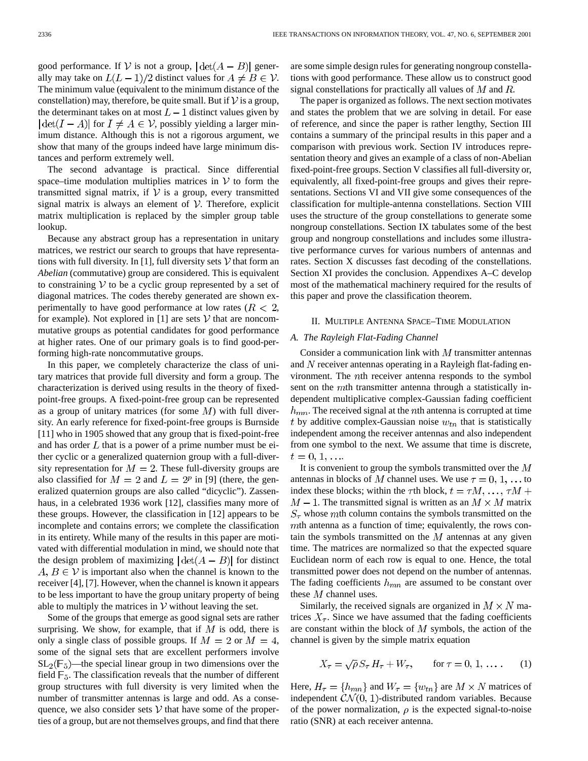good performance. If V is not a group,  $|\det(A - B)|$  generally may take on  $L(L-1)/2$  distinct values for  $A \neq B \in V$ . The minimum value (equivalent to the minimum distance of the constellation) may, therefore, be quite small. But if  $V$  is a group, the determinant takes on at most  $L-1$  distinct values given by  $|\det(I - A)|$  for  $I \neq A \in V$ , possibly yielding a larger minimum distance. Although this is not a rigorous argument, we show that many of the groups indeed have large minimum distances and perform extremely well.

The second advantage is practical. Since differential space–time modulation multiplies matrices in  $V$  to form the transmitted signal matrix, if  $V$  is a group, every transmitted signal matrix is always an element of  $V$ . Therefore, explicit matrix multiplication is replaced by the simpler group table lookup.

Because any abstract group has a representation in unitary matrices, we restrict our search to groups that have representations with full diversity. In [1], full diversity sets  $\mathcal V$  that form an *Abelian* (commutative) group are considered. This is equivalent to constraining  $V$  to be a cyclic group represented by a set of diagonal matrices. The codes thereby generated are shown experimentally to have good performance at low rates ( $R < 2$ , for example). Not explored in [1] are sets  $V$  that are noncommutative groups as potential candidates for good performance at higher rates. One of our primary goals is to find good-performing high-rate noncommutative groups.

In this paper, we completely characterize the class of unitary matrices that provide full diversity and form a group. The characterization is derived using results in the theory of fixedpoint-free groups. A fixed-point-free group can be represented as a group of unitary matrices (for some  $M$ ) with full diversity. An early reference for fixed-point-free groups is Burnside [11] who in 1905 showed that any group that is fixed-point-free and has order  $L$  that is a power of a prime number must be either cyclic or a generalized quaternion group with a full-diversity representation for  $M = 2$ . These full-diversity groups are also classified for  $M = 2$  and  $L = 2^p$  in [9] (there, the generalized quaternion groups are also called "dicyclic"). Zassenhaus, in a celebrated 1936 work [12], classifies many more of these groups. However, the classification in [12] appears to be incomplete and contains errors; we complete the classification in its entirety. While many of the results in this paper are motivated with differential modulation in mind, we should note that the design problem of maximizing  $|\det(A - B)|$  for distinct  $A, B \in V$  is important also when the channel is known to the receiver [4], [7]. However, when the channel is known it appears to be less important to have the group unitary property of being able to multiply the matrices in  $V$  without leaving the set.

Some of the groups that emerge as good signal sets are rather surprising. We show, for example, that if  $M$  is odd, there is only a single class of possible groups. If  $M = 2$  or  $M = 4$ , some of the signal sets that are excellent performers involve  $SL_2(\mathbb{F}_5)$ —the special linear group in two dimensions over the field  $\mathbb{F}_5$ . The classification reveals that the number of different group structures with full diversity is very limited when the number of transmitter antennas is large and odd. As a consequence, we also consider sets  $V$  that have some of the properties of a group, but are not themselves groups, and find that there are some simple design rules for generating nongroup constellations with good performance. These allow us to construct good signal constellations for practically all values of  $M$  and  $R$ .

The paper is organized as follows. The next section motivates and states the problem that we are solving in detail. For ease of reference, and since the paper is rather lengthy, Section III contains a summary of the principal results in this paper and a comparison with previous work. Section IV introduces representation theory and gives an example of a class of non-Abelian fixed-point-free groups. Section V classifies all full-diversity or, equivalently, all fixed-point-free groups and gives their representations. Sections VI and VII give some consequences of the classification for multiple-antenna constellations. Section VIII uses the structure of the group constellations to generate some nongroup constellations. Section IX tabulates some of the best group and nongroup constellations and includes some illustrative performance curves for various numbers of antennas and rates. Section X discusses fast decoding of the constellations. Section XI provides the conclusion. Appendixes A–C develop most of the mathematical machinery required for the results of this paper and prove the classification theorem.

# II. MULTIPLE ANTENNA SPACE–TIME MODULATION

# *A. The Rayleigh Flat-Fading Channel*

Consider a communication link with  $M$  transmitter antennas and  $N$  receiver antennas operating in a Rayleigh flat-fading environment. The *n*th receiver antenna responds to the symbol sent on the m<sup>th</sup> transmitter antenna through a statistically independent multiplicative complex-Gaussian fading coefficient  $h_{mn}$ . The received signal at the *n*th antenna is corrupted at time t by additive complex-Gaussian noise  $w_{tn}$  that is statistically independent among the receiver antennas and also independent from one symbol to the next. We assume that time is discrete,  $t = 0, 1, \ldots$ 

It is convenient to group the symbols transmitted over the  $M$ antennas in blocks of M channel uses. We use  $\tau = 0, 1, \ldots$  to index these blocks; within the  $\tau$ th block,  $t = \tau M, \ldots, \tau M +$  $M-1$ . The transmitted signal is written as an  $M \times M$  matrix  $S_{\tau}$  whose mth column contains the symbols transmitted on the  $m$ th antenna as a function of time; equivalently, the rows contain the symbols transmitted on the  $M$  antennas at any given time. The matrices are normalized so that the expected square Euclidean norm of each row is equal to one. Hence, the total transmitted power does not depend on the number of antennas. The fading coefficients  $h_{mn}$  are assumed to be constant over these  $M$  channel uses.

Similarly, the received signals are organized in  $M \times N$  matrices  $X_{\tau}$ . Since we have assumed that the fading coefficients are constant within the block of  $M$  symbols, the action of the channel is given by the simple matrix equation

$$
X_{\tau} = \sqrt{\rho} S_{\tau} H_{\tau} + W_{\tau}, \qquad \text{for } \tau = 0, 1, \dots.
$$
 (1)

Here,  $H_{\tau} = \{h_{mn}\}\$ and  $W_{\tau} = \{w_{tn}\}\$ are  $M \times N$  matrices of independent  $\mathcal{CN}(0, 1)$ -distributed random variables. Because of the power normalization,  $\rho$  is the expected signal-to-noise ratio (SNR) at each receiver antenna.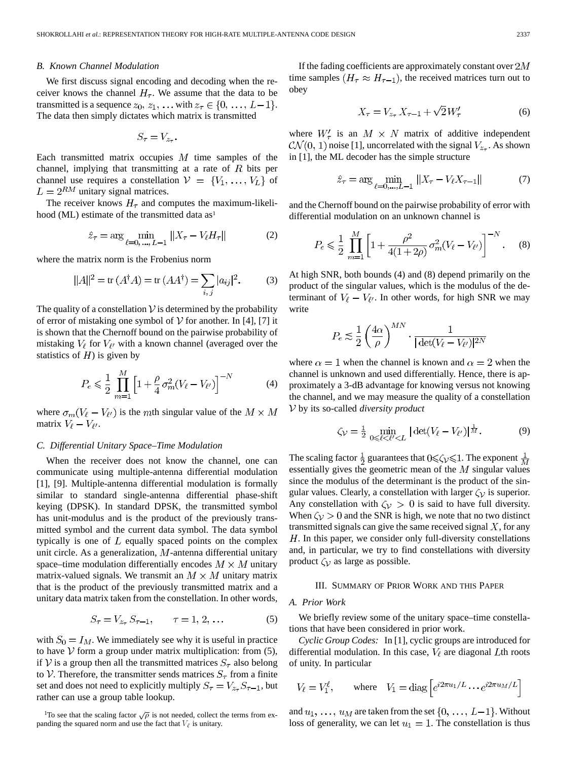#### *B. Known Channel Modulation*

We first discuss signal encoding and decoding when the receiver knows the channel  $H_{\tau}$ . We assume that the data to be transmitted is a sequence  $z_0, z_1, \ldots$  with  $z_{\tau} \in \{0, \ldots, L-1\}.$ The data then simply dictates which matrix is transmitted

$$
S_{\tau}=V_{z_{\tau}}.
$$

Each transmitted matrix occupies  $M$  time samples of the channel, implying that transmitting at a rate of  $R$  bits per channel use requires a constellation  $V = \{V_1, \ldots, V_L\}$  of  $L = 2^{RM}$  unitary signal matrices.

The receiver knows  $H_{\tau}$  and computes the maximum-likelihood (ML) estimate of the transmitted data as<sup>1</sup>

$$
\hat{z}_{\tau} = \arg \min_{\ell=0, ..., L-1} ||X_{\tau} - V_{\ell} H_{\tau}||
$$
 (2)

where the matrix norm is the Frobenius norm

$$
||A||^2 = \text{tr}(A^{\dagger}A) = \text{tr}(AA^{\dagger}) = \sum_{i,j} |a_{ij}|^2.
$$
 (3)

The quality of a constellation  $V$  is determined by the probability of error of mistaking one symbol of  $V$  for another. In [4], [7] it is shown that the Chernoff bound on the pairwise probability of mistaking  $V_{\ell}$  for  $V_{\ell'}$  with a known channel (averaged over the statistics of  $H$ ) is given by

$$
P_e \leq \frac{1}{2} \prod_{m=1}^{M} \left[ 1 + \frac{\rho}{4} \sigma_m^2 (V_\ell - V_{\ell'}) \right]^{-N} \tag{4}
$$

where  $\sigma_m(V_\ell - V_{\ell'})$  is the mth singular value of the  $M \times M$ matrix  $V_{\ell} - V_{\ell'}$ .

#### *C. Differential Unitary Space–Time Modulation*

When the receiver does not know the channel, one can communicate using multiple-antenna differential modulation [1], [9]. Multiple-antenna differential modulation is formally similar to standard single-antenna differential phase-shift keying (DPSK). In standard DPSK, the transmitted symbol has unit-modulus and is the product of the previously transmitted symbol and the current data symbol. The data symbol typically is one of  $L$  equally spaced points on the complex unit circle. As a generalization,  $M$ -antenna differential unitary space–time modulation differentially encodes  $M \times M$  unitary matrix-valued signals. We transmit an  $M \times M$  unitary matrix that is the product of the previously transmitted matrix and a unitary data matrix taken from the constellation. In other words,

$$
S_{\tau} = V_{z_{\tau}} S_{\tau - 1}, \qquad \tau = 1, 2, \dots \tag{5}
$$

with  $S_0 = I_M$ . We immediately see why it is useful in practice to have  $V$  form a group under matrix multiplication: from (5), if V is a group then all the transmitted matrices  $S_{\tau}$  also belong to V. Therefore, the transmitter sends matrices  $S_{\tau}$  from a finite set and does not need to explicitly multiply  $S_{\tau} = V_{z_{\tau}} S_{\tau-1}$ , but rather can use a group table lookup.

If the fading coefficients are approximately constant over  $2M$ time samples  $(H_{\tau} \approx H_{\tau-1})$ , the received matrices turn out to obey

$$
X_{\tau} = V_{z_{\tau}} X_{\tau - 1} + \sqrt{2} W_{\tau}' \tag{6}
$$

where  $W'_\tau$  is an  $M \times N$  matrix of additive independent  $\mathcal{CN}(0, 1)$  noise [1], uncorrelated with the signal  $V_{z_{\tau}}$ . As shown in [1], the ML decoder has the simple structure

$$
\hat{z}_{\tau} = \arg \min_{\ell=0,\dots,L-1} \|X_{\tau} - V_{\ell} X_{\tau-1}\|
$$
 (7)

and the Chernoff bound on the pairwise probability of error with differential modulation on an unknown channel is

$$
P_e \le \frac{1}{2} \prod_{m=1}^{M} \left[ 1 + \frac{\rho^2}{4(1+2\rho)} \sigma_m^2 (V_\ell - V_{\ell'}) \right]^{-N}.
$$
 (8)

At high SNR, both bounds (4) and (8) depend primarily on the product of the singular values, which is the modulus of the determinant of  $V_{\ell} - V_{\ell'}$ . In other words, for high SNR we may write

$$
P_e \lesssim \frac{1}{2} \left(\frac{4\alpha}{\rho}\right)^{MN} \cdot \frac{1}{|\det(V_\ell - V_{\ell'})|^{2N}}
$$

where  $\alpha = 1$  when the channel is known and  $\alpha = 2$  when the channel is unknown and used differentially. Hence, there is approximately a 3-dB advantage for knowing versus not knowing the channel, and we may measure the quality of a constellation by its so-called *diversity product*

$$
\zeta_{\mathcal{V}} = \frac{1}{2} \min_{0 \le \ell < \ell' < L} |\det(V_{\ell} - V_{\ell'})|^{\frac{1}{M}}. \tag{9}
$$

The scaling factor  $\frac{1}{2}$  guarantees that  $0 \le \zeta$   $\le 1$ . The exponent  $\frac{1}{M}$ essentially gives the geometric mean of the  $M$  singular values since the modulus of the determinant is the product of the singular values. Clearly, a constellation with larger  $\zeta_{\mathcal{V}}$  is superior. Any constellation with  $\zeta_{\mathcal{V}} > 0$  is said to have full diversity. When  $\zeta_{\mathcal{V}} > 0$  and the SNR is high, we note that no two distinct transmitted signals can give the same received signal  $X$ , for any  $H$ . In this paper, we consider only full-diversity constellations and, in particular, we try to find constellations with diversity product  $\zeta_{\mathcal{V}}$  as large as possible.

# III. SUMMARY OF PRIOR WORK AND THIS PAPER

# *A. Prior Work*

We briefly review some of the unitary space–time constellations that have been considered in prior work.

*Cyclic Group Codes:* In [1], cyclic groups are introduced for differential modulation. In this case,  $V_{\ell}$  are diagonal Lth roots of unity. In particular

$$
V_{\ell} = V_1^{\ell}, \qquad \text{where} \quad V_1 = \text{diag}\left[e^{i2\pi u_1/L} \cdots e^{i2\pi u_M/L}\right]
$$

and  $u_1, \ldots, u_M$  are taken from the set  $\{0, \ldots, L-1\}$ . Without loss of generality, we can let  $u_1 = 1$ . The constellation is thus

<sup>&</sup>lt;sup>1</sup>To see that the scaling factor  $\sqrt{\rho}$  is not needed, collect the terms from expanding the squared norm and use the fact that  $V_{\ell}$  is unitary.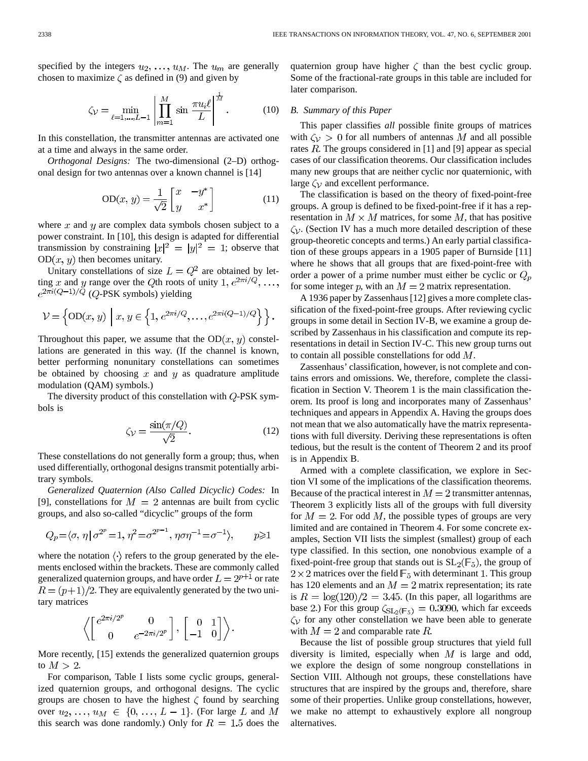specified by the integers  $u_2, \ldots, u_M$ . The  $u_m$  are generally chosen to maximize  $\zeta$  as defined in (9) and given by

$$
\zeta_{\mathcal{V}} = \min_{\ell=1,\dots,L-1} \left| \prod_{m=1}^{M} \sin \frac{\pi u_i \ell}{L} \right|^{\frac{1}{M}}.
$$
 (10)

In this constellation, the transmitter antennas are activated one at a time and always in the same order.

*Orthogonal Designs:* The two-dimensional (2–D) orthogonal design for two antennas over a known channel is [14]

$$
OD(x, y) = \frac{1}{\sqrt{2}} \begin{bmatrix} x & -y^* \\ y & x^* \end{bmatrix}
$$
 (11)

where  $x$  and  $y$  are complex data symbols chosen subject to a power constraint. In [10], this design is adapted for differential transmission by constraining  $|x|^2 = |y|^2 = 1$ ; observe that  $OD(x, y)$  then becomes unitary.

Unitary constellations of size  $L = Q^2$  are obtained by letting x and y range over the Qth roots of unity  $1, e^{2\pi i/Q}, \ldots$ ,  $e^{2\pi i (Q-1)/Q}$  (Q-PSK symbols) yielding

$$
\mathcal{V} = \left\{ \text{OD}(x, y) \middle| x, y \in \left\{ 1, e^{2\pi i/Q}, \dots, e^{2\pi i(Q-1)/Q} \right\} \right\}.
$$

Throughout this paper, we assume that the  $OD(x, y)$  constellations are generated in this way. (If the channel is known, better performing nonunitary constellations can sometimes be obtained by choosing  $x$  and  $y$  as quadrature amplitude modulation (QAM) symbols.)

The diversity product of this constellation with  $Q$ -PSK symbols is

$$
\zeta_{\mathcal{V}} = \frac{\sin(\pi/Q)}{\sqrt{2}}.
$$
\n(12)

These constellations do not generally form a group; thus, when used differentially, orthogonal designs transmit potentially arbitrary symbols.

*Generalized Quaternion (Also Called Dicyclic) Codes:* In [9], constellations for  $M = 2$  antennas are built from cyclic groups, and also so-called "dicyclic" groups of the form

$$
Q_p = \langle \sigma, \eta | \sigma^{2^p} = 1, \eta^2 = \sigma^{2^{p-1}}, \eta \sigma \eta^{-1} = \sigma^{-1} \rangle, \qquad p \geq 1
$$

where the notation  $\langle \cdot \rangle$  refers to the group generated by the elements enclosed within the brackets. These are commonly called generalized quaternion groups, and have order  $L = 2^{p+1}$  or rate  $R = (p+1)/2$ . They are equivalently generated by the two unitary matrices

$$
\left\langle \begin{bmatrix} e^{2\pi i/2^p} & 0\\ 0 & e^{-2\pi i/2^p} \end{bmatrix}, \begin{bmatrix} 0 & 1\\ -1 & 0 \end{bmatrix} \right\rangle.
$$

More recently, [15] extends the generalized quaternion groups to  $M > 2$ .

For comparison, Table I lists some cyclic groups, generalized quaternion groups, and orthogonal designs. The cyclic groups are chosen to have the highest  $\zeta$  found by searching over  $u_2, \ldots, u_M \in \{0, \ldots, L-1\}$ . (For large L and M this search was done randomly.) Only for  $R = 1.5$  does the quaternion group have higher  $\zeta$  than the best cyclic group. Some of the fractional-rate groups in this table are included for later comparison.

#### *B. Summary of this Paper*

This paper classifies *all* possible finite groups of matrices with  $\zeta_{\mathcal{V}} > 0$  for all numbers of antennas M and all possible rates  $R$ . The groups considered in [1] and [9] appear as special cases of our classification theorems. Our classification includes many new groups that are neither cyclic nor quaternionic, with large  $\zeta$  and excellent performance.

The classification is based on the theory of fixed-point-free groups. A group is defined to be fixed-point-free if it has a representation in  $M \times M$  matrices, for some M, that has positive  $\zeta_{\mathcal{V}}$ . (Section IV has a much more detailed description of these group-theoretic concepts and terms.) An early partial classification of these groups appears in a 1905 paper of Burnside [11] where he shows that all groups that are fixed-point-free with order a power of a prime number must either be cyclic or  $Q_p$ for some integer p, with an  $M = 2$  matrix representation.

A 1936 paper by Zassenhaus [12] gives a more complete classification of the fixed-point-free groups. After reviewing cyclic groups in some detail in Section IV-B, we examine a group described by Zassenhaus in his classification and compute its representations in detail in Section IV-C. This new group turns out to contain all possible constellations for odd  $M$ .

Zassenhaus' classification, however, is not complete and contains errors and omissions. We, therefore, complete the classification in Section V. Theorem 1 is the main classification theorem. Its proof is long and incorporates many of Zassenhaus' techniques and appears in Appendix A. Having the groups does not mean that we also automatically have the matrix representations with full diversity. Deriving these representations is often tedious, but the result is the content of Theorem 2 and its proof is in Appendix B.

Armed with a complete classification, we explore in Section VI some of the implications of the classification theorems. Because of the practical interest in  $M = 2$  transmitter antennas, Theorem 3 explicitly lists all of the groups with full diversity for  $M = 2$ . For odd M, the possible types of groups are very limited and are contained in Theorem 4. For some concrete examples, Section VII lists the simplest (smallest) group of each type classified. In this section, one nonobvious example of a fixed-point-free group that stands out is  $SL_2(\mathbb{F}_5)$ , the group of  $2 \times 2$  matrices over the field  $\mathbb{F}_5$  with determinant 1. This group has 120 elements and an  $M = 2$  matrix representation; its rate is  $R = \log(120)/2 = 3.45$ . (In this paper, all logarithms are base 2.) For this group  $\zeta_{SL_2(\mathbb{F}_5)} = 0.3090$ , which far exceeds  $\zeta_{\mathcal{V}}$  for any other constellation we have been able to generate with  $M = 2$  and comparable rate R.

Because the list of possible group structures that yield full diversity is limited, especially when  $M$  is large and odd, we explore the design of some nongroup constellations in Section VIII. Although not groups, these constellations have structures that are inspired by the groups and, therefore, share some of their properties. Unlike group constellations, however, we make no attempt to exhaustively explore all nongroup alternatives.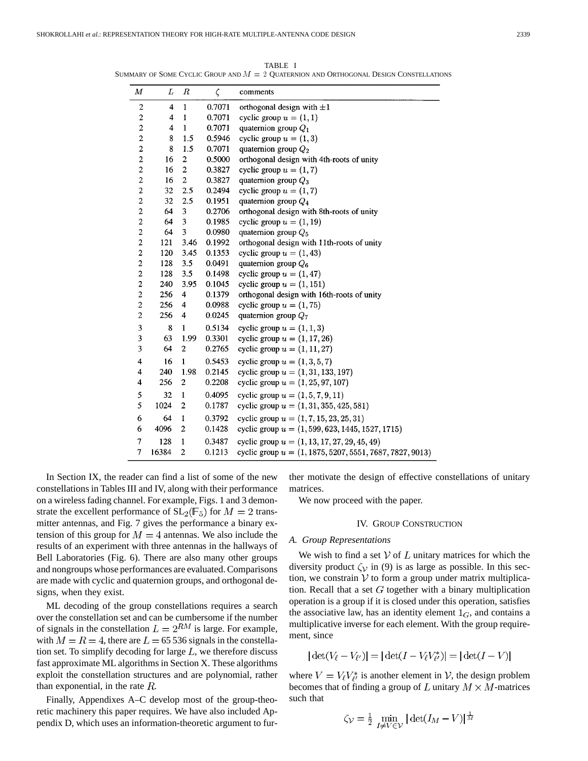TABLE I SUMMARY OF SOME CYCLIC GROUP AND  $M = 2$  QUATERNION AND ORTHOGONAL DESIGN CONSTELLATIONS

| М                        | L                       | $\pmb{R}$        | $\zeta$ | comments                                                   |
|--------------------------|-------------------------|------------------|---------|------------------------------------------------------------|
| $\boldsymbol{2}$         | $\overline{\mathbf{4}}$ | $\mathbf{1}$     | 0.7071  | orthogonal design with $\pm 1$                             |
| $\overline{c}$           | 4                       | $\mathbf{1}$     | 0.7071  | cyclic group $u = (1, 1)$                                  |
| $\overline{c}$           | $\overline{4}$          | $\mathbf{1}$     | 0.7071  | quaternion group $Q_1$                                     |
| $\overline{c}$           | 8                       | 1.5              | 0.5946  | cyclic group $u = (1, 3)$                                  |
| $\overline{\mathbf{c}}$  | 8                       | 1.5              | 0.7071  | quaternion group $Q_2$                                     |
| $\overline{\mathbf{c}}$  | 16                      | $\mathbf{2}$     | 0.5000  | orthogonal design with 4th-roots of unity                  |
| $\overline{\mathbf{c}}$  | 16                      | $\boldsymbol{2}$ | 0.3827  | cyclic group $u = (1, 7)$                                  |
| $\overline{c}$           | 16                      | $\boldsymbol{2}$ | 0.3827  | quaternion group $Q_3$                                     |
| $\overline{\mathbf{c}}$  | 32                      | 2.5              | 0.2494  | cyclic group $u = (1, 7)$                                  |
| $\overline{\mathbf{c}}$  | 32                      | 2.5              | 0.1951  | quaternion group $Q_4$                                     |
| $\overline{\mathbf{c}}$  | 64                      | 3                | 0.2706  | orthogonal design with 8th-roots of unity                  |
| $\overline{\mathbf{c}}$  | 64                      | 3                | 0.1985  | cyclic group $u = (1, 19)$                                 |
| $\overline{\mathbf{c}}$  | 64                      | 3                | 0.0980  | quaternion group $Q_5$                                     |
| $\overline{\mathbf{c}}$  | 121                     | 3.46             | 0.1992  | orthogonal design with 11th-roots of unity                 |
| $\overline{\mathbf{c}}$  | 120                     | 3.45             | 0.1353  | cyclic group $u = (1, 43)$                                 |
| $\overline{c}$           | 128                     | 3.5              | 0.0491  | quaternion group $Q_6$                                     |
| $\overline{\mathbf{c}}$  | 128                     | 3.5              | 0.1498  | cyclic group $u = (1, 47)$                                 |
| $\overline{\mathbf{c}}$  | 240                     | 3.95             | 0.1045  | cyclic group $u = (1, 151)$                                |
| $\overline{c}$           | 256                     | 4                | 0.1379  | orthogonal design with 16th-roots of unity                 |
| $\overline{c}$           | 256                     | 4                | 0.0988  | cyclic group $u = (1, 75)$                                 |
| $\overline{c}$           | 256                     | 4                | 0.0245  | quaternion group $Q_7$                                     |
| 3                        | 8                       | $\mathbf{1}$     | 0.5134  | cyclic group $u = (1, 1, 3)$                               |
| 3                        | 63                      | 1.99             | 0.3301  | cyclic group $u = (1, 17, 26)$                             |
| 3                        | 64                      | $\mathbf{2}$     | 0.2765  | cyclic group $u = (1, 11, 27)$                             |
| 4                        | 16                      | $\mathbf{1}$     | 0.5453  | cyclic group $u = (1, 3, 5, 7)$                            |
| 4                        | 240                     | 1.98             | 0.2145  | cyclic group $u = (1, 31, 133, 197)$                       |
| 4                        | 256                     | $\boldsymbol{2}$ | 0.2208  | cyclic group $u = (1, 25, 97, 107)$                        |
| 5                        | 32                      | $\mathbf{1}$     | 0.4095  | cyclic group $u = (1, 5, 7, 9, 11)$                        |
| 5                        | 1024                    | $\boldsymbol{2}$ | 0.1787  | cyclic group $u = (1, 31, 355, 425, 581)$                  |
| 6                        | 64                      | 1                | 0.3792  | cyclic group $u = (1, 7, 15, 23, 25, 31)$                  |
| 6                        | 4096                    | $\boldsymbol{2}$ | 0.1428  | cyclic group $u = (1, 599, 623, 1445, 1527, 1715)$         |
| $\overline{\phantom{a}}$ | 128                     | $\mathbf{1}$     | 0.3487  | cyclic group $u = (1, 13, 17, 27, 29, 45, 49)$             |
| 7                        | 16384                   | $\overline{2}$   | 0.1213  | cyclic group $u = (1, 1875, 5207, 5551, 7687, 7827, 9013)$ |
|                          |                         |                  |         |                                                            |

In Section IX, the reader can find a list of some of the new constellations in Tables III and IV, along with their performance on a wireless fading channel. For example, Figs. 1 and 3 demonstrate the excellent performance of  $SL_2(\mathbb{F}_5)$  for  $M = 2$  transmitter antennas, and Fig. 7 gives the performance a binary extension of this group for  $M = 4$  antennas. We also include the results of an experiment with three antennas in the hallways of Bell Laboratories (Fig. 6). There are also many other groups and nongroups whose performances are evaluated. Comparisons are made with cyclic and quaternion groups, and orthogonal designs, when they exist.

ML decoding of the group constellations requires a search over the constellation set and can be cumbersome if the number of signals in the constellation  $L = 2^{RM}$  is large. For example, with  $M = R = 4$ , there are  $L = 65 536$  signals in the constellation set. To simplify decoding for large  $L$ , we therefore discuss fast approximate ML algorithms in Section X. These algorithms exploit the constellation structures and are polynomial, rather than exponential, in the rate  $R$ .

Finally, Appendixes A–C develop most of the group-theoretic machinery this paper requires. We have also included Appendix D, which uses an information-theoretic argument to further motivate the design of effective constellations of unitary matrices.

We now proceed with the paper.

# IV. GROUP CONSTRUCTION

# *A. Group Representations*

We wish to find a set  $V$  of  $L$  unitary matrices for which the diversity product  $\zeta_{\mathcal{V}}$  in (9) is as large as possible. In this section, we constrain  $V$  to form a group under matrix multiplication. Recall that a set  $G$  together with a binary multiplication operation is a group if it is closed under this operation, satisfies the associative law, has an identity element  $1_G$ , and contains a multiplicative inverse for each element. With the group requirement, since

$$
|\det(V_{\ell} - V_{\ell'})| = |\det(I - V_{\ell}V_{\ell'}^{*})| = |\det(I - V)|
$$

where  $V = V_{\ell} V_{\ell'}^*$  is another element in V, the design problem becomes that of finding a group of L unitary  $M \times M$ -matrices such that

$$
\zeta_{\mathcal{V}} = \frac{1}{2} \min_{I \neq V \in \mathcal{V}} |\det(I_M - V)|^{\frac{1}{M}}
$$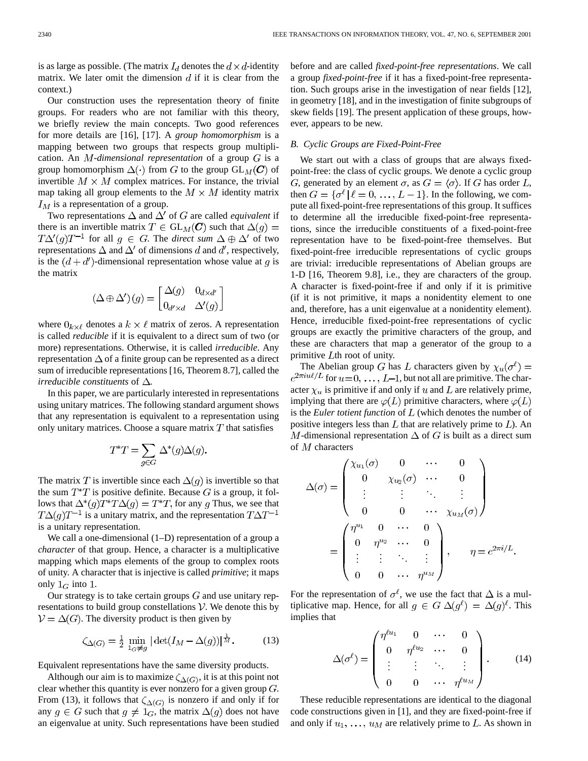is as large as possible. (The matrix  $I_d$  denotes the  $d \times d$ -identity matrix. We later omit the dimension  $d$  if it is clear from the context.)

Our construction uses the representation theory of finite groups. For readers who are not familiar with this theory, we briefly review the main concepts. Two good references for more details are [16], [17]. A *group homomorphism* is a mapping between two groups that respects group multiplication. An  $M$ -dimensional representation of a group  $G$  is a group homomorphism  $\Delta(\cdot)$  from G to the group GL<sub>M</sub>(C) of invertible  $M \times M$  complex matrices. For instance, the trivial map taking all group elements to the  $M \times M$  identity matrix  $I_M$  is a representation of a group.

Two representations  $\Delta$  and  $\Delta'$  of G are called *equivalent* if there is an invertible matrix  $T \in GL_M(\mathbb{C})$  such that  $\Delta(g)$  =  $T\Delta'(q)T^{-1}$  for all  $q \in G$ . The *direct sum*  $\Delta \oplus \Delta'$  of two representations  $\Delta$  and  $\Delta'$  of dimensions d and d', respectively, is the  $(d + d')$ -dimensional representation whose value at g is the matrix

$$
(\Delta \oplus \Delta')(g) = \begin{bmatrix} \Delta(g) & 0_{d \times d'} \\ 0_{d' \times d} & \Delta'(g) \end{bmatrix}
$$

where  $0_{k \times \ell}$  denotes a  $k \times \ell$  matrix of zeros. A representation is called *reducible* if it is equivalent to a direct sum of two (or more) representations. Otherwise, it is called *irreducible*. Any representation  $\Delta$  of a finite group can be represented as a direct sum of irreducible representations [16, Theorem 8.7], called the *irreducible constituents* of  $\Delta$ .

In this paper, we are particularly interested in representations using unitary matrices. The following standard argument shows that any representation is equivalent to a representation using only unitary matrices. Choose a square matrix  $T$  that satisfies

$$
T^*T = \sum_{g \in G} \Delta^*(g) \Delta(g).
$$

The matrix T is invertible since each  $\Delta(g)$  is invertible so that the sum  $T^*T$  is positive definite. Because G is a group, it follows that  $\Delta^*(g)T^*T\Delta(g) = T^*T$ , for any g Thus, we see that  $T\Delta(q)T^{-1}$  is a unitary matrix, and the representation  $T\Delta T^{-1}$ is a unitary representation.

We call a one-dimensional  $(1-D)$  representation of a group a *character* of that group. Hence, a character is a multiplicative mapping which maps elements of the group to complex roots of unity. A character that is injective is called *primitive*; it maps only  $1_G$  into 1.

Our strategy is to take certain groups  $G$  and use unitary representations to build group constellations  $V$ . We denote this by  $V = \Delta(G)$ . The diversity product is then given by

$$
\zeta_{\Delta(G)} = \frac{1}{2} \min_{1_G \neq g} |\det(I_M - \Delta(g))|^{\frac{1}{M}}.
$$
 (13)

Equivalent representations have the same diversity products.

Although our aim is to maximize  $\zeta_{\Delta(G)}$ , it is at this point not clear whether this quantity is ever nonzero for a given group  $G$ . From (13), it follows that  $\zeta_{\Delta(G)}$  is nonzero if and only if for any  $g \in G$  such that  $g \neq 1_G$ , the matrix  $\Delta(g)$  does not have an eigenvalue at unity. Such representations have been studied before and are called *fixed-point-free representations*. We call a group *fixed-point-free* if it has a fixed-point-free representation. Such groups arise in the investigation of near fields [12], in geometry [18], and in the investigation of finite subgroups of skew fields [19]. The present application of these groups, however, appears to be new.

#### *B. Cyclic Groups are Fixed-Point-Free*

We start out with a class of groups that are always fixedpoint-free: the class of cyclic groups. We denote a cyclic group G, generated by an element  $\sigma$ , as  $G = \langle \sigma \rangle$ . If G has order L, then  $G = \{ \sigma^{\ell} | \ell = 0, \ldots, L-1 \}$ . In the following, we compute all fixed-point-free representations of this group. It suffices to determine all the irreducible fixed-point-free representations, since the irreducible constituents of a fixed-point-free representation have to be fixed-point-free themselves. But fixed-point-free irreducible representations of cyclic groups are trivial: irreducible representations of Abelian groups are 1-D [16, Theorem 9.8], i.e., they are characters of the group. A character is fixed-point-free if and only if it is primitive (if it is not primitive, it maps a nonidentity element to one and, therefore, has a unit eigenvalue at a nonidentity element). Hence, irreducible fixed-point-free representations of cyclic groups are exactly the primitive characters of the group, and these are characters that map a generator of the group to a primitive  $L$ th root of unity.

The Abelian group G has L characters given by  $\chi_u(\sigma^\ell)$  =  $e^{2\pi i u\ell/L}$  for  $u=0, \ldots, L-1$ , but not all are primitive. The character  $\chi_u$  is primitive if and only if u and L are relatively prime, implying that there are  $\varphi(L)$  primitive characters, where  $\varphi(L)$ is the *Euler totient function* of  $L$  (which denotes the number of positive integers less than  $L$  that are relatively prime to  $L$ ). An M-dimensional representation  $\Delta$  of G is built as a direct sum of  $M$  characters

$$
\Delta(\sigma) = \begin{pmatrix}\n\chi_{u_1}(\sigma) & 0 & \cdots & 0 \\
0 & \chi_{u_2}(\sigma) & \cdots & 0 \\
\vdots & \vdots & \ddots & \vdots \\
0 & 0 & \cdots & \chi_{u_M}(\sigma)\n\end{pmatrix}
$$
\n
$$
= \begin{pmatrix}\n\eta^{u_1} & 0 & \cdots & 0 \\
0 & \eta^{u_2} & \cdots & 0 \\
\vdots & \vdots & \ddots & \vdots \\
0 & 0 & \cdots & \eta^{u_M}\n\end{pmatrix}, \quad \eta = e^{2\pi i/L}.
$$

For the representation of  $\sigma^{\ell}$ , we use the fact that  $\Delta$  is a multiplicative map. Hence, for all  $g \in G \Delta(g^{\ell}) = \Delta(g)^{\ell}$ . This implies that

$$
\Delta(\sigma^{\ell}) = \begin{pmatrix} \eta^{\ell u_1} & 0 & \cdots & 0 \\ 0 & \eta^{\ell u_2} & \cdots & 0 \\ \vdots & \vdots & \ddots & \vdots \\ 0 & 0 & \cdots & \eta^{\ell u_M} \end{pmatrix} .
$$
 (14)

These reducible representations are identical to the diagonal code constructions given in [1], and they are fixed-point-free if and only if  $u_1, \ldots, u_M$  are relatively prime to L. As shown in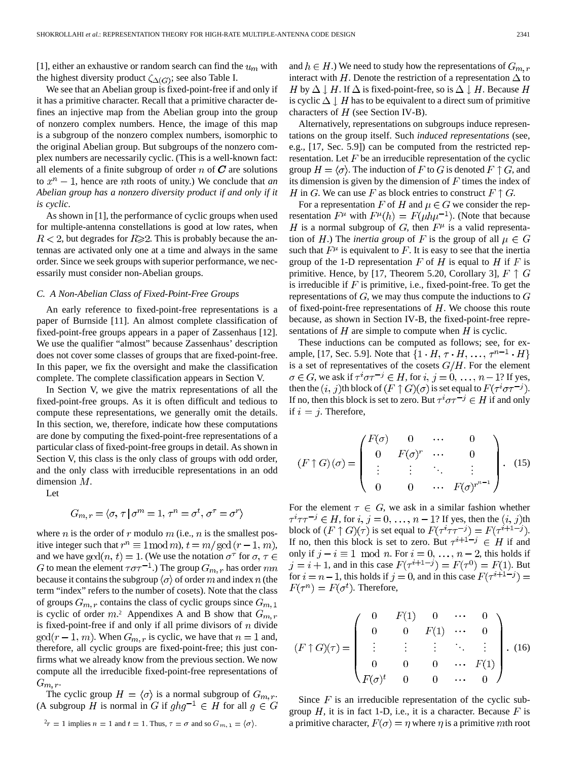[1], either an exhaustive or random search can find the  $u_m$  with the highest diversity product  $\zeta_{\Delta(G)}$ ; see also Table I.

We see that an Abelian group is fixed-point-free if and only if it has a primitive character. Recall that a primitive character defines an injective map from the Abelian group into the group of nonzero complex numbers. Hence, the image of this map is a subgroup of the nonzero complex numbers, isomorphic to the original Abelian group. But subgroups of the nonzero complex numbers are necessarily cyclic. (This is a well-known fact: all elements of a finite subgroup of order n of  $C$  are solutions to  $x^n - 1$ , hence are *n*th roots of unity.) We conclude that *an Abelian group has a nonzero diversity product if and only if it is cyclic*.

As shown in [1], the performance of cyclic groups when used for multiple-antenna constellations is good at low rates, when  $R < 2$ , but degrades for  $R \ge 2$ . This is probably because the antennas are activated only one at a time and always in the same order. Since we seek groups with superior performance, we necessarily must consider non-Abelian groups.

#### *C. A Non-Abelian Class of Fixed-Point-Free Groups*

An early reference to fixed-point-free representations is a paper of Burnside [11]. An almost complete classification of fixed-point-free groups appears in a paper of Zassenhaus [12]. We use the qualifier "almost" because Zassenhaus' description does not cover some classes of groups that are fixed-point-free. In this paper, we fix the oversight and make the classification complete. The complete classification appears in Section V.

In Section V, we give the matrix representations of all the fixed-point-free groups. As it is often difficult and tedious to compute these representations, we generally omit the details. In this section, we, therefore, indicate how these computations are done by computing the fixed-point-free representations of a particular class of fixed-point-free groups in detail. As shown in Section V, this class is the only class of groups with odd order, and the only class with irreducible representations in an odd dimension  $M$ .

Let

$$
G_{m,r} = \langle \sigma, \tau | \sigma^m = 1, \tau^n = \sigma^t, \sigma^\tau = \sigma^r \rangle
$$

where *n* is the order of r modulo  $m$  (i.e., *n* is the smallest positive integer such that  $r^n \equiv 1 \mod m$ ,  $t = m/\gcd(r-1, m)$ , and we have  $gcd(n, t) = 1$ . (We use the notation  $\sigma^{\tau}$  for  $\sigma, \tau \in$ G to mean the element  $\tau \sigma \tau^{-1}$ .) The group  $G_{m,r}$  has order mn because it contains the subgroup  $\langle \sigma \rangle$  of order m and index n (the term "index" refers to the number of cosets). Note that the class of groups  $G_{m,r}$  contains the class of cyclic groups since  $G_{m,1}$ is cyclic of order  $m$ .<sup>2</sup> Appendixes A and B show that  $G_{m,r}$ is fixed-point-free if and only if all prime divisors of  $n$  divide  $gcd(r-1, m)$ . When  $G_{m,r}$  is cyclic, we have that  $n = 1$  and, therefore, all cyclic groups are fixed-point-free; this just confirms what we already know from the previous section. We now compute all the irreducible fixed-point-free representations of  $G_{m,r}$ .

The cyclic group  $H = \langle \sigma \rangle$  is a normal subgroup of  $G_{m,r}$ . (A subgroup H is normal in G if  $ghg^{-1} \in H$  for all  $g \in G$ 

$$
2r = 1
$$
 implies  $n = 1$  and  $t = 1$ . Thus,  $\tau = \sigma$  and so  $G_{m, 1} = \langle \sigma \rangle$ .

and  $h \in H$ .) We need to study how the representations of  $G_{m,r}$ interact with H. Denote the restriction of a representation  $\Delta$  to H by  $\Delta \downarrow H$ . If  $\Delta$  is fixed-point-free, so is  $\Delta \downarrow H$ . Because H is cyclic  $\Delta \downarrow H$  has to be equivalent to a direct sum of primitive characters of  $H$  (see Section IV-B).

Alternatively, representations on subgroups induce representations on the group itself. Such *induced representations* (see, e.g., [17, Sec. 5.9]) can be computed from the restricted representation. Let  $F$  be an irreducible representation of the cyclic group  $H = \langle \sigma \rangle$ . The induction of F to G is denoted  $F \uparrow G$ , and its dimension is given by the dimension of  $F$  times the index of H in G. We can use F as block entries to construct  $F \uparrow G$ .

For a representation F of H and  $\mu \in G$  we consider the representation  $F^{\mu}$  with  $F^{\mu}(h) = F(\mu h \mu^{-1})$ . (Note that because H is a normal subgroup of G, then  $F^{\mu}$  is a valid representation of H.) The *inertia group* of F is the group of all  $\mu \in G$ such that  $F^{\mu}$  is equivalent to F. It is easy to see that the inertia group of the 1-D representation  $F$  of  $H$  is equal to  $H$  if  $F$  is primitive. Hence, by [17, Theorem 5.20, Corollary 3],  $F \uparrow G$ is irreducible if  $F$  is primitive, i.e., fixed-point-free. To get the representations of  $G$ , we may thus compute the inductions to  $G$ of fixed-point-free representations of  $H$ . We choose this route because, as shown in Section IV-B, the fixed-point-free representations of  $H$  are simple to compute when  $H$  is cyclic.

These inductions can be computed as follows; see, for example, [17, Sec. 5.9]. Note that  $\{1 \cdot H, \tau \cdot H, \ldots, \tau^{n-1} \cdot H\}$ is a set of representatives of the cosets  $G/H$ . For the element  $\sigma \in G$ , we ask if  $\tau^i \sigma \tau^{-j} \in H$ , for  $i, j = 0, \ldots, n-1$ ? If yes, then the  $(i, j)$ th block of  $(F \uparrow G)(\sigma)$  is set equal to  $F(\tau^i \sigma \tau^{-j})$ . If no, then this block is set to zero. But  $\tau^i \sigma \tau^{-j} \in H$  if and only if  $i = j$ . Therefore,

$$
(F \uparrow G)(\sigma) = \begin{pmatrix} F(\sigma) & 0 & \cdots & 0 \\ 0 & F(\sigma)^r & \cdots & 0 \\ \vdots & \vdots & \ddots & \vdots \\ 0 & 0 & \cdots & F(\sigma)^{r^{n-1}} \end{pmatrix} . \quad (15)
$$

For the element  $\tau \in G$ , we ask in a similar fashion whether  $\tau^{i} \tau \tau^{-j} \in H$ , for  $i, j = 0, \ldots, n-1$ ? If yes, then the  $(i, j)$ th block of  $(F \uparrow G)(\tau)$  is set equal to  $F(\tau^i \tau \tau^{-j}) = F(\tau^{i+1-j}).$ If no, then this block is set to zero. But  $\tau^{i+1-j} \in H$  if and only if  $j - i \equiv 1 \mod n$ . For  $i = 0, \ldots, n - 2$ , this holds if  $j = i + 1$ , and in this case  $F(\tau^{i+1-j}) = F(\tau^0) = F(1)$ . But for  $i = n - 1$ , this holds if  $j = 0$ , and in this case  $F(\tau^{i+1-j}) =$  $F(\tau^n) = F(\sigma^t)$ . Therefore,

$$
(F \uparrow G)(\tau) = \begin{pmatrix} 0 & F(1) & 0 & \cdots & 0 \\ 0 & 0 & F(1) & \cdots & 0 \\ \vdots & \vdots & \vdots & \ddots & \vdots \\ 0 & 0 & 0 & \cdots & F(1) \\ F(\sigma)^t & 0 & 0 & \cdots & 0 \end{pmatrix} . (16)
$$

Since  $F$  is an irreducible representation of the cyclic subgroup  $H$ , it is in fact 1-D, i.e., it is a character. Because  $F$  is a primitive character,  $F(\sigma) = \eta$  where  $\eta$  is a primitive mth root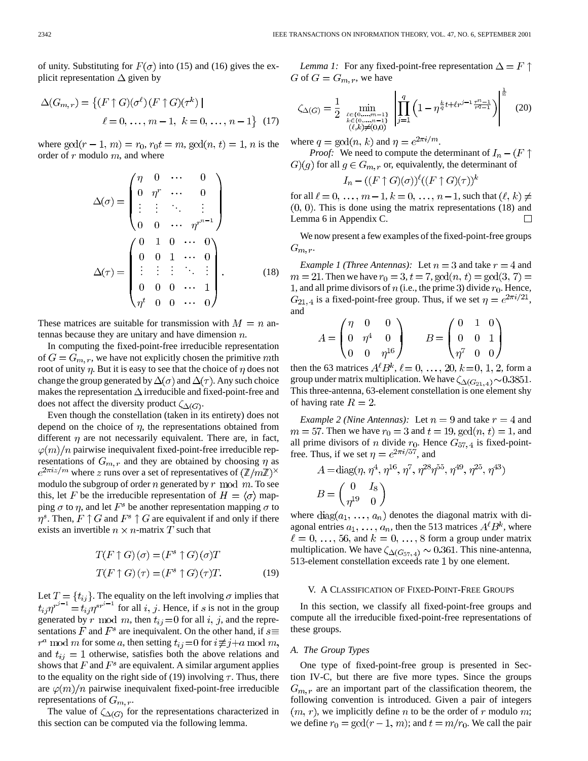of unity. Substituting for  $F(\sigma)$  into (15) and (16) gives the explicit representation  $\Delta$  given by

$$
\Delta(G_{m,r}) = \{ (F \uparrow G)(\sigma^{\ell})(F \uparrow G)(\tau^{k}) \mid
$$
  

$$
\ell = 0, \dots, m-1, k = 0, \dots, n-1 \} (17)
$$

where  $gcd(r - 1, m) = r_0$ ,  $r_0 t = m$ ,  $gcd(n, t) = 1$ , *n* is the order of  $r$  modulo  $m$ , and where

$$
\Delta(\sigma) = \begin{pmatrix}\n\eta & 0 & \cdots & 0 \\
0 & \eta^r & \cdots & 0 \\
\vdots & \vdots & \ddots & \vdots \\
0 & 0 & \cdots & \eta^{r^{n-1}}\n\end{pmatrix}
$$
\n
$$
\Delta(\tau) = \begin{pmatrix}\n0 & 1 & 0 & \cdots & 0 \\
0 & 0 & 1 & \cdots & 0 \\
\vdots & \vdots & \vdots & \ddots & \vdots \\
0 & 0 & 0 & \cdots & 1 \\
\eta^t & 0 & 0 & \cdots & 0\n\end{pmatrix}.
$$
\n(18)

These matrices are suitable for transmission with  $M = n$  antennas because they are unitary and have dimension  $n$ .

In computing the fixed-point-free irreducible representation of  $G = G_{m,r}$ , we have not explicitly chosen the primitive mth root of unity  $\eta$ . But it is easy to see that the choice of  $\eta$  does not change the group generated by  $\Delta(\sigma)$  and  $\Delta(\tau)$ . Any such choice makes the representation  $\Delta$  irreducible and fixed-point-free and does not affect the diversity product  $\zeta_{\Delta(G)}$ .

Even though the constellation (taken in its entirety) does not depend on the choice of  $\eta$ , the representations obtained from different  $\eta$  are not necessarily equivalent. There are, in fact,  $\varphi(m)/n$  pairwise inequivalent fixed-point-free irreducible representations of  $G_{m,r}$  and they are obtained by choosing  $\eta$  as  $e^{2\pi i z/m}$  where z runs over a set of representatives of  $(\mathbb{Z}/m\mathbb{Z})^{\times}$ modulo the subgroup of order n generated by  $r \mod m$ . To see this, let F be the irreducible representation of  $H = \langle \sigma \rangle$  mapping  $\sigma$  to  $\eta$ , and let  $F^s$  be another representation mapping  $\sigma$  to  $\eta^s$ . Then,  $F \uparrow G$  and  $F^s \uparrow G$  are equivalent if and only if there exists an invertible  $n \times n$ -matrix T such that

$$
T(F \uparrow G)(\sigma) = (F^s \uparrow G)(\sigma)T
$$
  

$$
T(F \uparrow G)(\tau) = (F^s \uparrow G)(\tau)T.
$$
 (19)

Let  $T = \{t_{ij}\}\.$  The equality on the left involving  $\sigma$  implies that for all  $i, j$ . Hence, if s is not in the group generated by r mod m, then  $t_{ij} = 0$  for all i, j, and the representations F and  $F^s$  are inequivalent. On the other hand, if  $s \equiv$  $r^a \mod m$  for some a, then setting  $t_{ij} = 0$  for  $i \not\equiv j+a \mod m$ , and  $t_{ij} = 1$  otherwise, satisfies both the above relations and shows that  $F$  and  $F^s$  are equivalent. A similar argument applies to the equality on the right side of (19) involving  $\tau$ . Thus, there are  $\varphi(m)/n$  pairwise inequivalent fixed-point-free irreducible representations of  $G_{m,r}$ .

The value of  $\zeta_{\Delta(G)}$  for the representations characterized in this section can be computed via the following lemma.

*Lemma 1:* For any fixed-point-free representation  $\Delta = F \uparrow$ G of  $G = G_{m,r}$ , we have

$$
\zeta_{\Delta(G)} = \frac{1}{2} \min_{\substack{\ell \in \{0, \dots, m-1\} \\ \ell \in \{0, \dots, n-1\} \\ (\ell, k) \neq (0, 0)}} \left| \prod_{j=1}^{q} \left( 1 - \eta^{\frac{k}{q} t + \ell r^{j-1} \frac{r^n - 1}{r^q - 1}} \right) \right|^{\frac{1}{n}} \tag{20}
$$

where  $q = \gcd(n, k)$  and  $\eta = e^{2\pi i/m}$ .

*Proof:* We need to compute the determinant of  $I_n - (F \uparrow)$  $G$ (g) for all  $g \in G_{m,r}$  or, equivalently, the determinant of

$$
I_n - ((F \uparrow G)(\sigma))^{\ell} ((F \uparrow G)(\tau))^k
$$

for all  $\ell = 0, \ldots, m-1, k = 0, \ldots, n-1$ , such that  $(\ell, k) \neq$  $(0, 0)$ . This is done using the matrix representations  $(18)$  and Lemma 6 in Appendix C.  $\Box$ 

We now present a few examples of the fixed-point-free groups  $G_{m,r}$ .

*Example 1 (Three Antennas):* Let  $n = 3$  and take  $r = 4$  and  $m = 21$ . Then we have  $r_0 = 3$ ,  $t = 7$ ,  $gcd(n, t) = gcd(3, 7) =$ 1, and all prime divisors of  $n$  (i.e., the prime 3) divide  $r_0$ . Hence,  $G_{21,4}$  is a fixed-point-free group. Thus, if we set  $\eta = e^{2\pi i/21}$ , and

$$
A = \begin{pmatrix} \eta & 0 & 0 \\ 0 & \eta^4 & 0 \\ 0 & 0 & \eta^{16} \end{pmatrix} \qquad B = \begin{pmatrix} 0 & 1 & 0 \\ 0 & 0 & 1 \\ \eta^7 & 0 & 0 \end{pmatrix}
$$

then the 63 matrices  $A^{\ell}B^k$ ,  $\ell = 0, \ldots, 20, k = 0, 1, 2$ , form a group under matrix multiplication. We have  $\zeta_{\Delta(G_{21,4})}$  ~0.3851. This three-antenna, 63-element constellation is one element shy of having rate  $R = 2$ .

*Example 2 (Nine Antennas):* Let  $n = 9$  and take  $r = 4$  and  $m = 57$ . Then we have  $r_0 = 3$  and  $t = 19$ ,  $gcd(n, t) = 1$ , and all prime divisors of *n* divide  $r_0$ . Hence  $G_{57,4}$  is fixed-pointfree. Thus, if we set  $\eta = e^{2\pi i/57}$ , and

$$
A = \text{diag}(\eta, \eta^4, \eta^{16}, \eta^7, \eta^{28} \eta^{55}, \eta^{49}, \eta^{25}, \eta^{43})
$$

$$
B = \begin{pmatrix} 0 & I_8 \\ \eta^{19} & 0 \end{pmatrix}
$$

where  $diag(a_1, \ldots, a_n)$  denotes the diagonal matrix with diagonal entries  $a_1, \ldots, a_n$ , then the 513 matrices  $A^{\ell}B^k$ , where  $\ell = 0, \ldots, 56$ , and  $k = 0, \ldots, 8$  form a group under matrix multiplication. We have  $\zeta_{\Delta(G_{57,4})} \sim 0.361$ . This nine-antenna, 513-element constellation exceeds rate 1 by one element.

#### V. A CLASSIFICATION OF FIXED-POINT-FREE GROUPS

In this section, we classify all fixed-point-free groups and compute all the irreducible fixed-point-free representations of these groups.

#### *A. The Group Types*

One type of fixed-point-free group is presented in Section IV-C, but there are five more types. Since the groups  $G_{m,r}$  are an important part of the classification theorem, the following convention is introduced. Given a pair of integers  $(m, r)$ , we implicitly define *n* to be the order of *r* modulo *m*; we define  $r_0 = \gcd(r - 1, m)$ ; and  $t = m/r_0$ . We call the pair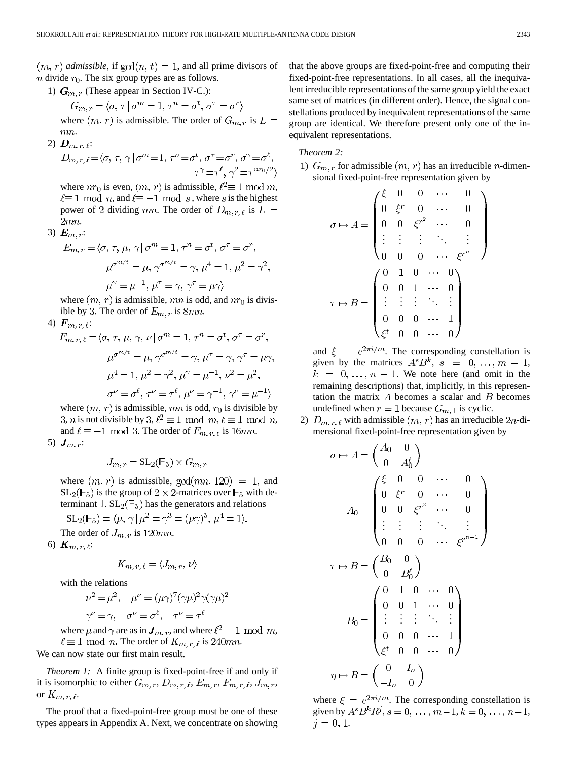$(m, r)$  *admissible*, if  $gcd(n, t) = 1$ , and all prime divisors of *n* divide  $r_0$ . The six group types are as follows.

1)  $G_{m,r}$  (These appear in Section IV-C.):

$$
G_{m,r} = \langle \sigma, \tau | \sigma^m = 1, \tau^n = \sigma^t, \sigma^\tau = \sigma^r \rangle
$$
  
where  $(m, r)$  is admissible. The order of  $G_{m,r}$  is  $L =$ 

mn. 2)  $D_{m,r,\ell}$ :

$$
D_{m,\,r,\,\ell} = \langle \sigma,\,\tau,\,\gamma \,|\, \sigma^m = 1,\,\tau^n = \sigma^t,\,\sigma^\tau = \sigma^r,\,\sigma^\gamma = \sigma^\ell,\,\tau^\gamma = \tau^{\mu r_0/2}
$$

where  $nr_0$  is even,  $(m, r)$  is admissible,  $\ell^2 \equiv 1 \mod m$ ,  $\ell \equiv 1 \mod n$ , and  $\ell \equiv -1 \mod s$ , where s is the highest power of 2 dividing mn. The order of  $D_{m,\,r,\,\ell}$  is  $L =$ 2mn.

3)  $E_{m,r}$ :

$$
E_{m,r} = \langle \sigma, \tau, \mu, \gamma | \sigma^m = 1, \tau^n = \sigma^t, \sigma^\tau = \sigma^r,
$$
  

$$
\mu^{\sigma^{m/t}} = \mu, \gamma^{\sigma^{m/t}} = \gamma, \mu^4 = 1, \mu^2 = \gamma^2,
$$
  

$$
\mu^\gamma = \mu^{-1}, \mu^\tau = \gamma, \gamma^\tau = \mu \gamma \rangle
$$

where  $(m, r)$  is admissible, mn is odd, and  $nr_0$  is divisible by 3. The order of  $E_{m,r}$  is 8mn.

4)  $F_{m,r,\ell}$ :

$$
F_{m,r,\ell} = \langle \sigma, \tau, \mu, \gamma, \nu \, | \, \sigma^m = 1, \tau^n = \sigma^t, \sigma^\tau = \sigma^r,
$$
  

$$
\mu^{\sigma^{m/t}} = \mu, \, \gamma^{\sigma^{m/t}} = \gamma, \, \mu^\tau = \gamma, \, \gamma^\tau = \mu \gamma,
$$
  

$$
\mu^4 = 1, \, \mu^2 = \gamma^2, \, \mu^\gamma = \mu^{-1}, \, \nu^2 = \mu^2,
$$
  

$$
\sigma^\nu = \sigma^\ell, \, \tau^\nu = \tau^\ell, \, \mu^\nu = \gamma^{-1}, \, \gamma^\nu = \mu^{-1} \rangle
$$

where  $(m, r)$  is admissible, mn is odd,  $r_0$  is divisible by 3, *n* is not divisible by 3,  $\ell^2 \equiv 1 \mod m$ ,  $\ell \equiv 1 \mod n$ , and  $\ell \equiv -1 \mod 3$ . The order of  $F_{m,r,\ell}$  is 16mn.

5)  $J_{m,r}$ :

$$
J_{m,r} = \mathrm{SL}_2(\mathbb{F}_5) \times G_{m,r}
$$

where  $(m, r)$  is admissible,  $gcd(mn, 120) = 1$ , and  $SL_2(\mathbb{F}_5)$  is the group of  $2 \times 2$ -matrices over  $\mathbb{F}_5$  with determinant 1.  $SL_2(\mathbb{F}_5)$  has the generators and relations

 $SL_2(\mathbb{F}_5) = \langle \mu, \gamma | \mu^2 = \gamma^3 = (\mu \gamma)^5, \mu^4 = 1 \rangle.$ 

The order of  $J_{m,r}$  is 120mn.

6)  $K_{m,r,\ell}$ :

$$
K_{m,r,\ell} = \langle J_{m,r}, \nu \rangle
$$

with the relations

$$
\nu^2 = \mu^2, \quad \mu^{\nu} = (\mu \gamma)^7 (\gamma \mu)^2 \gamma (\gamma \mu)^2
$$

$$
\gamma^{\nu} = \gamma, \quad \sigma^{\nu} = \sigma^{\ell}, \quad \tau^{\nu} = \tau^{\ell}
$$

where  $\mu$  and  $\gamma$  are as in  $J_{m,r}$ , and where  $\ell^2 \equiv 1 \mod m$ ,  $\ell \equiv 1 \mod n$ . The order of  $K_{m,r,\ell}$  is 240mn.

We can now state our first main result.

*Theorem 1:* A finite group is fixed-point-free if and only if it is isomorphic to either  $G_{m,r}, D_{m,r,\ell}, E_{m,r}, F_{m,r,\ell}, J_{m,r}$ , or  $K_{m,r,\ell}$ .

The proof that a fixed-point-free group must be one of these types appears in Appendix A. Next, we concentrate on showing that the above groups are fixed-point-free and computing their fixed-point-free representations. In all cases, all the inequivalent irreducible representations of the same group yield the exact same set of matrices (in different order). Hence, the signal constellations produced by inequivalent representations of the same group are identical. We therefore present only one of the inequivalent representations.

*Theorem 2:*

1)  $G_{m,r}$  for admissible  $(m, r)$  has an irreducible *n*-dimensional fixed-point-free representation given by

$$
\sigma \mapsto A = \begin{pmatrix}\n\xi & 0 & 0 & \cdots & 0 \\
0 & \xi^r & 0 & \cdots & 0 \\
0 & 0 & \xi^{r^2} & \cdots & 0 \\
\vdots & \vdots & \vdots & \ddots & \vdots \\
0 & 0 & 0 & \cdots & \xi^{r^{n-1}}\n\end{pmatrix}
$$
\n
$$
\tau \mapsto B = \begin{pmatrix}\n0 & 1 & 0 & \cdots & 0 \\
0 & 0 & 1 & \cdots & 0 \\
\vdots & \vdots & \vdots & \ddots & \vdots \\
0 & 0 & 0 & \cdots & 1 \\
\xi^t & 0 & 0 & \cdots & 0\n\end{pmatrix}
$$

and  $\xi = e^{2\pi i/m}$ . The corresponding constellation is given by the matrices  $A^s B^k$ ,  $s = 0, ..., m - 1$ ,  $k = 0, \ldots, n - 1$ . We note here (and omit in the remaining descriptions) that, implicitly, in this representation the matrix  $A$  becomes a scalar and  $B$  becomes undefined when  $r = 1$  because  $G_{m,1}$  is cyclic.

2)  $D_{m,r,\ell}$  with admissible  $(m, r)$  has an irreducible  $2n$ -dimensional fixed-point-free representation given by

$$
\sigma \mapsto A = \begin{pmatrix} A_0 & 0 \\ 0 & A_0^{\ell} \end{pmatrix}
$$

$$
A_0 = \begin{pmatrix} \xi & 0 & 0 & \cdots & 0 \\ 0 & \xi^r & 0 & \cdots & 0 \\ 0 & 0 & \xi^{r^2} & \cdots & 0 \\ \vdots & \vdots & \vdots & \ddots & \vdots \\ 0 & 0 & 0 & \cdots & \xi^{r^{n-1}} \end{pmatrix}
$$

$$
\tau \mapsto B = \begin{pmatrix} B_0 & 0 \\ 0 & B_0^{\ell} \end{pmatrix}
$$

$$
B_0 = \begin{pmatrix} 0 & 1 & 0 & \cdots & 0 \\ 0 & 0 & 1 & \cdots & 0 \\ \vdots & \vdots & \vdots & \ddots & \vdots \\ 0 & 0 & 0 & \cdots & 1 \\ \xi^t & 0 & 0 & \cdots & 0 \end{pmatrix}
$$

$$
\eta \mapsto R = \begin{pmatrix} 0 & I_n \\ -I_n & 0 \end{pmatrix}
$$

where  $\xi = e^{2\pi i/m}$ . The corresponding constellation is given by  $A^s B^k R^j$ ,  $s = 0, ..., m-1, k = 0, ..., n-1$ ,  $j = 0, 1.$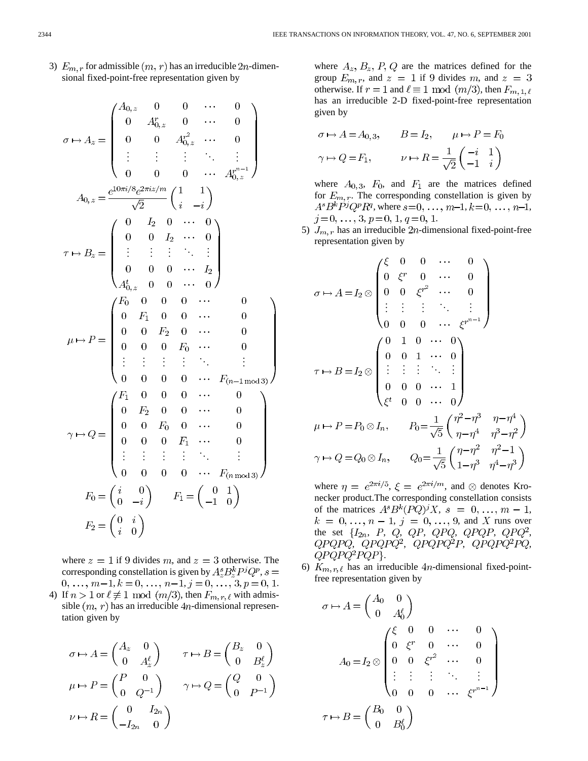3)  $E_{m,r}$  for admissible  $(m, r)$  has an irreducible  $2n$ -dimensional fixed-point-free representation given by

$$
\sigma \mapsto A_z = \begin{pmatrix}\nA_{0,z} & 0 & 0 & \cdots & 0 \\
0 & A_{0,z}^r & 0 & \cdots & 0 \\
0 & 0 & A_{0,z}^r & \cdots & 0 \\
\vdots & \vdots & \vdots & \ddots & \vdots \\
0 & 0 & 0 & \cdots & A_{0,z}^{n-1}\n\end{pmatrix}
$$
\n
$$
A_{0,z} = \frac{e^{10\pi i/8}e^{2\pi iz/m}}{\sqrt{2}} \begin{pmatrix} 1 & 1 \\
i & -i \end{pmatrix}
$$
\n
$$
\tau \mapsto B_z = \begin{pmatrix}\n0 & I_2 & 0 & \cdots & 0 \\
0 & 0 & I_2 & \cdots & 0 \\
\vdots & \vdots & \vdots & \ddots & \vdots \\
0 & 0 & 0 & \cdots & I_2 \\
A_{0,z}^t & 0 & 0 & \cdots & 0\n\end{pmatrix}
$$
\n
$$
\mu \mapsto P = \begin{pmatrix}\nF_0 & 0 & 0 & 0 & \cdots & 0 \\
0 & F_1 & 0 & 0 & \cdots & 0 \\
0 & 0 & F_2 & 0 & \cdots & 0 \\
\vdots & \vdots & \vdots & \vdots & \ddots & \vdots \\
0 & 0 & 0 & 0 & \cdots & F_{(n-1)\text{mod }3)} \\
0 & F_2 & 0 & 0 & \cdots & 0 \\
0 & 0 & F_0 & 0 & \cdots & 0 \\
\vdots & \vdots & \vdots & \vdots & \ddots & \vdots \\
0 & 0 & 0 & 0 & \cdots & F_{(n)\text{mod }3)}\n\end{pmatrix}
$$
\n
$$
F_0 = \begin{pmatrix} i & 0 \\ 0 & -i \end{pmatrix} \qquad F_1 = \begin{pmatrix} 0 & 1 \\ -1 & 0 \end{pmatrix}
$$
\n
$$
F_2 = \begin{pmatrix} 0 & i \\ i & 0 \end{pmatrix} \qquad F_1 = \begin{pmatrix} 0 & 1 \\ -1 & 0 \end{pmatrix}
$$

where  $z = 1$  if 9 divides m, and  $z = 3$  otherwise. The corresponding constellation is given by  $A_z^s B_z^k P^j Q^p$ ,  $s =$  $0, \ldots, m-1, k = 0, \ldots, n-1, j = 0, \ldots, 3, p = 0, 1.$ 4) If  $n > 1$  or  $\ell \not\equiv 1 \mod (m/3)$ , then  $F_{m,r,\ell}$  with admissible  $(m, r)$  has an irreducible  $4n$ -dimensional representation given by

$$
\sigma \mapsto A = \begin{pmatrix} A_z & 0 \\ 0 & A_z^{\ell} \end{pmatrix} \qquad \tau \mapsto B = \begin{pmatrix} B_z & 0 \\ 0 & B_z^{\ell} \end{pmatrix}
$$

$$
\mu \mapsto P = \begin{pmatrix} P & 0 \\ 0 & Q^{-1} \end{pmatrix} \qquad \gamma \mapsto Q = \begin{pmatrix} Q & 0 \\ 0 & P^{-1} \end{pmatrix}
$$

$$
\nu \mapsto R = \begin{pmatrix} 0 & I_{2n} \\ -I_{2n} & 0 \end{pmatrix}
$$

where  $A_z$ ,  $B_z$ ,  $P$ ,  $Q$  are the matrices defined for the group  $E_{m,r}$ , and  $z = 1$  if 9 divides m, and  $z = 3$ otherwise. If  $r = 1$  and  $\ell \equiv 1 \mod (m/3)$ , then  $F_{m,1,\ell}$ has an irreducible 2-D fixed-point-free representation given by

$$
\sigma \mapsto A = A_{0,3}, \qquad B = I_2, \qquad \mu \mapsto P = F_0
$$

$$
\gamma \mapsto Q = F_1, \qquad \nu \mapsto R = \frac{1}{\sqrt{2}} \begin{pmatrix} -i & 1\\ -1 & i \end{pmatrix}
$$

where  $A_{0,3}$ ,  $F_0$ , and  $F_1$  are the matrices defined for  $E_{m,r}$ . The corresponding constellation is given by  $A^s B^k P^j Q^p R^q$ , where  $s = 0, \ldots, m-1, k = 0, \ldots, n-1$ ,  $j = 0, \ldots, 3, p = 0, 1, q = 0, 1.$ 

5)  $J_{m,r}$  has an irreducible  $2n$ -dimensional fixed-point-free representation given by

$$
\sigma \mapsto A = I_2 \otimes \begin{pmatrix} \xi & 0 & 0 & \cdots & 0 \\ 0 & \xi^r & 0 & \cdots & 0 \\ 0 & 0 & \xi^{r^2} & \cdots & 0 \\ \vdots & \vdots & \vdots & \ddots & \vdots \\ 0 & 0 & 0 & \cdots & \xi^{r^{n-1}} \end{pmatrix}
$$

$$
\tau \mapsto B = I_2 \otimes \begin{pmatrix} 0 & 1 & 0 & \cdots & 0 \\ 0 & 0 & 1 & \cdots & 0 \\ \vdots & \vdots & \vdots & \ddots & \vdots \\ 0 & 0 & 0 & \cdots & 1 \\ \xi^t & 0 & 0 & \cdots & 0 \end{pmatrix}
$$

$$
\mu \mapsto P = P_0 \otimes I_n, \qquad P_0 = \frac{1}{\sqrt{5}} \begin{pmatrix} \eta^2 - \eta^3 & \eta - \eta^4 \\ \eta - \eta^4 & \eta^3 - \eta^2 \end{pmatrix}
$$

$$
\gamma \mapsto Q = Q_0 \otimes I_n, \qquad Q_0 = \frac{1}{\sqrt{5}} \begin{pmatrix} \eta - \eta^2 & \eta^2 - 1 \\ 1 - \eta^3 & \eta^4 - \eta^3 \end{pmatrix}
$$

where  $\eta = e^{2\pi i/5}$ ,  $\xi = e^{2\pi i/m}$ , and  $\otimes$  denotes Kronecker product.The corresponding constellation consists of the matrices  $A^sB^k(PQ)^jX$ ,  $s = 0, ..., m-1$ ,  $k = 0, \ldots, n - 1, j = 0, \ldots, 9$ , and X runs over the set  $\{I_{2n}, P, Q, QP, QPQ, QPQP, QPQ^2,$  $QPQPQ, QPQPQ^2, QPQPQ^2P, QPQPQ^2PQ,$  $QPQPQ^2PQP$ .

6)  $K_{m,r,\ell}$  has an irreducible 4n-dimensional fixed-pointfree representation given by

$$
\sigma \mapsto A = \begin{pmatrix} A_0 & 0 \\ 0 & A_0^{\ell} \end{pmatrix}
$$
  
\n
$$
A_0 = I_2 \otimes \begin{pmatrix} \xi & 0 & 0 & \cdots & 0 \\ 0 & \xi^r & 0 & \cdots & 0 \\ 0 & 0 & \xi^{r^2} & \cdots & 0 \\ \vdots & \vdots & \vdots & \ddots & \vdots \\ 0 & 0 & 0 & \cdots & \xi^{r^{n-1}} \end{pmatrix}
$$
  
\n
$$
\tau \mapsto B = \begin{pmatrix} B_0 & 0 \\ 0 & B_0^{\ell} \end{pmatrix}
$$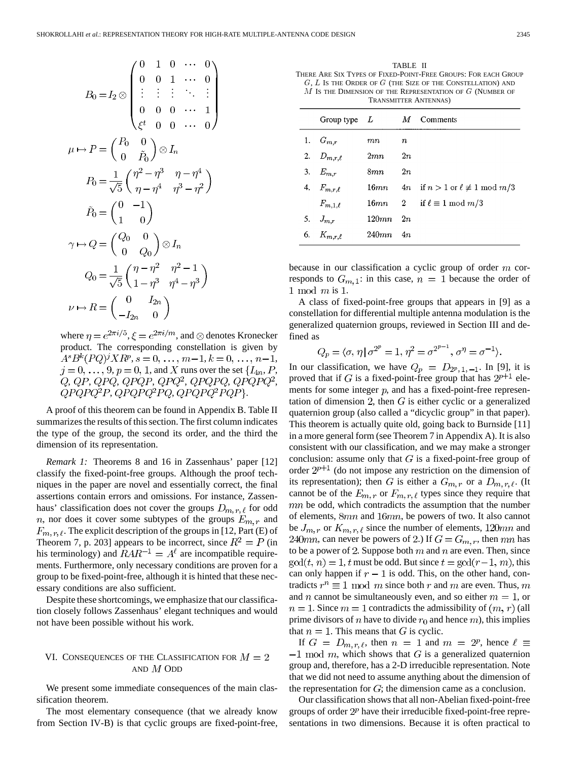$$
B_0 = I_2 \otimes \begin{pmatrix} 0 & 1 & 0 & \cdots & 0 \\ 0 & 0 & 1 & \cdots & 0 \\ \vdots & \vdots & \vdots & \ddots & \vdots \\ 0 & 0 & 0 & \cdots & 1 \\ \varepsilon^t & 0 & 0 & \cdots & 0 \end{pmatrix}
$$

$$
\mu \mapsto P = \begin{pmatrix} P_0 & 0 \\ 0 & \tilde{P}_0 \end{pmatrix} \otimes I_n
$$

$$
P_0 = \frac{1}{\sqrt{5}} \begin{pmatrix} \eta^2 - \eta^3 & \eta - \eta^4 \\ \eta - \eta^4 & \eta^3 - \eta^2 \end{pmatrix}
$$

$$
\tilde{P}_0 = \begin{pmatrix} 0 & -1 \\ 1 & 0 \end{pmatrix}
$$

$$
\gamma \mapsto Q = \begin{pmatrix} Q_0 & 0 \\ 0 & Q_0 \end{pmatrix} \otimes I_n
$$

$$
Q_0 = \frac{1}{\sqrt{5}} \begin{pmatrix} \eta - \eta^2 & \eta^2 - 1 \\ 1 - \eta^3 & \eta^4 - \eta^3 \end{pmatrix}
$$

$$
\nu \mapsto R = \begin{pmatrix} 0 & I_{2n} \\ -I_{2n} & 0 \end{pmatrix}
$$

where  $\eta = e^{2\pi i/5}$ ,  $\xi = e^{2\pi i/m}$ , and  $\otimes$  denotes Kronecker product. The corresponding constellation is given by  $A^sB^k(PQ)^jXR^p, s = 0, \ldots, m-1, k = 0, \ldots, n-1,$  $j = 0, \ldots, 9, p = 0, 1$ , and X runs over the set  $\{I_{4n}, P_{5n}\}$  $Q, QP, QPQ, QPQP, QPQ^2, QPQPQ, QPQPQ^2,$  $QPQPQ^2P, QPQPQ^2PQ, QPQPQ^2PQP$ .

A proof of this theorem can be found in Appendix B. Table II summarizes the results of this section. The first column indicates the type of the group, the second its order, and the third the dimension of its representation.

*Remark 1:* Theorems 8 and 16 in Zassenhaus' paper [12] classify the fixed-point-free groups. Although the proof techniques in the paper are novel and essentially correct, the final assertions contain errors and omissions. For instance, Zassenhaus' classification does not cover the groups  $D_{m,r,\ell}$  for odd n, nor does it cover some subtypes of the groups  $E_{m,r}$  and  $F_{m,\,r,\,\ell}$ . The explicit description of the groups in [12, Part (E) of Theorem 7, p. 203] appears to be incorrect, since  $R^2 = P$  (in his terminology) and  $RAR^{-1} = A^{\ell}$  are incompatible requirements. Furthermore, only necessary conditions are proven for a group to be fixed-point-free, although it is hinted that these necessary conditions are also sufficient.

Despite these shortcomings, we emphasize that our classification closely follows Zassenhaus' elegant techniques and would not have been possible without his work.

# VI. CONSEQUENCES OF THE CLASSIFICATION FOR  ${\cal M}=2$ AND  $M$  ODD

We present some immediate consequences of the main classification theorem.

The most elementary consequence (that we already know from Section IV-B) is that cyclic groups are fixed-point-free,

TABLE II THERE ARE SIX TYPES OF FIXED-POINT-FREE GROUPS: FOR EACH GROUP  $G, L$  Is the Order of  $G$  (the Size of the Constellation) and  $M$  Is the Dimension of the Representation of  $G$  (Number of TRANSMITTER ANTENNAS)

| Group type $L$    |              | M      | Comments                                             |
|-------------------|--------------|--------|------------------------------------------------------|
| 1. $G_{m,r}$      | $_{mn}$      | $\, n$ |                                                      |
| 2. $D_{m,r,\ell}$ | 2mn          | 2n     |                                                      |
| 3. $E_{m,r}$      | 8mn          | 2n     |                                                      |
| 4. $F_{m,r,\ell}$ |              |        | 16mn $4n$ if $n > 1$ or $\ell \not\equiv 1 \mod m/3$ |
| $F_{m,1,\ell}$    |              |        | 16mn 2 if $\ell \equiv 1 \mod m/3$                   |
| 5. $J_{m,r}$      | $120mn$ $2n$ |        |                                                      |
| 6. $K_{m,r,\ell}$ | $240mn$ $4n$ |        |                                                      |

because in our classification a cyclic group of order  $m$  corresponds to  $G_{m,1}$ : in this case,  $n = 1$  because the order of 1 mod  $m$  is 1.

A class of fixed-point-free groups that appears in [9] as a constellation for differential multiple antenna modulation is the generalized quaternion groups, reviewed in Section III and defined as

$$
Q_p = \langle \sigma, \eta | \sigma^{2^p} = 1, \eta^2 = \sigma^{2^{p-1}}, \sigma^{\eta} = \sigma^{-1} \rangle.
$$

In our classification, we have  $Q_p = D_{2^p,1,-1}$ . In [9], it is proved that if G is a fixed-point-free group that has  $2^{p+1}$  elements for some integer  $p$ , and has a fixed-point-free representation of dimension 2, then  $G$  is either cyclic or a generalized quaternion group (also called a "dicyclic group" in that paper). This theorem is actually quite old, going back to Burnside [11] in a more general form (see Theorem 7 in Appendix A). It is also consistent with our classification, and we may make a stronger conclusion: assume only that  $G$  is a fixed-point-free group of order  $2^{p+1}$  (do not impose any restriction on the dimension of its representation); then G is either a  $G_{m,r}$  or a  $D_{m,r,\ell}$ . (It cannot be of the  $E_{m,r}$  or  $F_{m,r,\ell}$  types since they require that  $mn$  be odd, which contradicts the assumption that the number of elements,  $8mn$  and  $16mn$ , be powers of two. It also cannot be  $J_{m,r}$  or  $K_{m,r,\ell}$  since the number of elements, 120mn and 240mn, can never be powers of 2.) If  $G = G_{m,r}$ , then mn has to be a power of 2. Suppose both  $m$  and  $n$  are even. Then, since  $gcd(t, n) = 1$ , t must be odd. But since  $t = gcd(r-1, m)$ , this can only happen if  $r - 1$  is odd. This, on the other hand, contradicts  $r^n \equiv 1 \mod m$  since both r and m are even. Thus, m and *n* cannot be simultaneously even, and so either  $m = 1$ , or  $n = 1$ . Since  $m = 1$  contradicts the admissibility of  $(m, r)$  (all prime divisors of *n* have to divide  $r_0$  and hence *m*), this implies that  $n = 1$ . This means that G is cyclic.

If  $G = D_{m,r,\ell}$ , then  $n = 1$  and  $m = 2^p$ , hence  $\ell \equiv$  $-1 \mod m$ , which shows that G is a generalized quaternion group and, therefore, has a 2-D irreducible representation. Note that we did not need to assume anything about the dimension of the representation for  $G$ ; the dimension came as a conclusion.

Our classification shows that all non-Abelian fixed-point-free groups of order  $2^p$  have their irreducible fixed-point-free representations in two dimensions. Because it is often practical to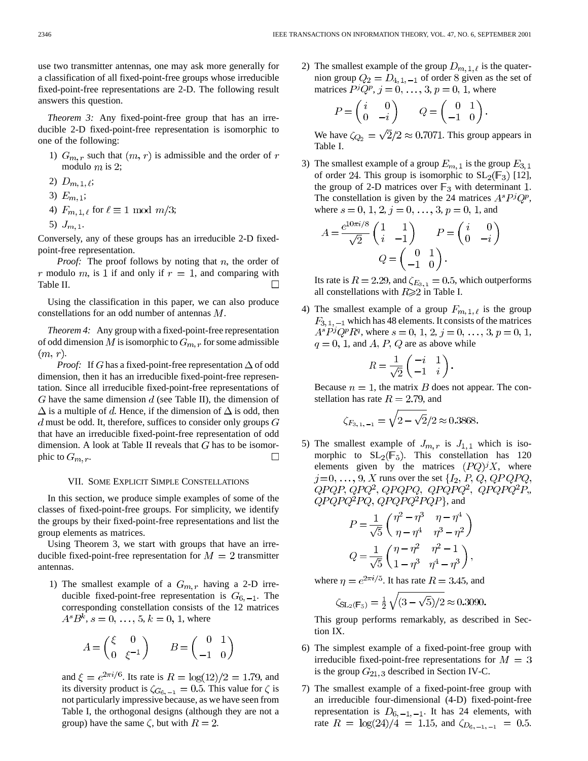use two transmitter antennas, one may ask more generally for a classification of all fixed-point-free groups whose irreducible fixed-point-free representations are 2-D. The following result answers this question.

*Theorem 3:* Any fixed-point-free group that has an irreducible 2-D fixed-point-free representation is isomorphic to one of the following:

- 1)  $G_{m,r}$  such that  $(m, r)$  is admissible and the order of r modulo  $m$  is 2:
- 2)  $D_{m,1,\ell};$
- 3)  $E_{m,1}$ ;
- 4)  $F_{m,1,\ell}$  for  $\ell \equiv 1 \mod m/3$ ;
- 5)  $J_{m,1}$ .

Conversely, any of these groups has an irreducible 2-D fixedpoint-free representation.

*Proof:* The proof follows by noting that  $n$ , the order of r modulo m, is 1 if and only if  $r = 1$ , and comparing with Table II.  $\Box$ 

Using the classification in this paper, we can also produce constellations for an odd number of antennas  $M$ .

*Theorem 4:* Any group with a fixed-point-free representation of odd dimension M is isomorphic to  $G_{m,r}$  for some admissible  $(m, r)$ .

*Proof:* If G has a fixed-point-free representation  $\Delta$  of odd dimension, then it has an irreducible fixed-point-free representation. Since all irreducible fixed-point-free representations of  $G$  have the same dimension  $d$  (see Table II), the dimension of  $\Delta$  is a multiple of d. Hence, if the dimension of  $\Delta$  is odd, then  $d$  must be odd. It, therefore, suffices to consider only groups  $G$ that have an irreducible fixed-point-free representation of odd dimension. A look at Table II reveals that  $G$  has to be isomorphic to  $G_{m,r}$ .  $\Box$ 

#### VII. SOME EXPLICIT SIMPLE CONSTELLATIONS

In this section, we produce simple examples of some of the classes of fixed-point-free groups. For simplicity, we identify the groups by their fixed-point-free representations and list the group elements as matrices.

Using Theorem 3, we start with groups that have an irreducible fixed-point-free representation for  $M = 2$  transmitter antennas.

1) The smallest example of a  $G_{m,r}$  having a 2-D irreducible fixed-point-free representation is  $G_{6,-1}$ . The corresponding constellation consists of the 12 matrices  $A^s B^k$ ,  $s = 0, \ldots, 5, k = 0, 1$ , where

$$
A = \begin{pmatrix} \xi & 0 \\ 0 & \xi^{-1} \end{pmatrix} \qquad B = \begin{pmatrix} 0 & 1 \\ -1 & 0 \end{pmatrix}
$$

and  $\xi = e^{2\pi i/6}$ . Its rate is  $R = \log(12)/2 = 1.79$ , and its diversity product is  $\zeta_{G_6,-1} = 0.5$ . This value for  $\zeta$  is not particularly impressive because, as we have seen from Table I, the orthogonal designs (although they are not a group) have the same  $\zeta$ , but with  $R = 2$ .

2) The smallest example of the group  $D_{m,1,\ell}$  is the quaternion group  $Q_2 = D_{4,1,-1}$  of order 8 given as the set of matrices  $P^j Q^p$ ,  $j = 0, \ldots, 3, p = 0, 1$ , where

$$
P = \begin{pmatrix} i & 0 \\ 0 & -i \end{pmatrix} \qquad Q = \begin{pmatrix} 0 & 1 \\ -1 & 0 \end{pmatrix}.
$$

We have  $\zeta_{Q_2} = \sqrt{2}/2 \approx 0.7071$ . This group appears in Table I.

3) The smallest example of a group  $E_{m,1}$  is the group  $E_{3,1}$ of order 24. This group is isomorphic to  $SL_2(\mathbb{F}_3)$  [12], the group of 2-D matrices over  $\mathbb{F}_3$  with determinant 1. The constellation is given by the 24 matrices  $A^s P^{\jmath} Q^p$ , where  $s = 0, 1, 2, j = 0, \ldots, 3, p = 0, 1,$  and

$$
A = \frac{e^{10\pi i/8}}{\sqrt{2}} \begin{pmatrix} 1 & 1 \\ i & -1 \end{pmatrix} \qquad P = \begin{pmatrix} i & 0 \\ 0 & -i \end{pmatrix}
$$

$$
Q = \begin{pmatrix} 0 & 1 \\ -1 & 0 \end{pmatrix}.
$$

Its rate is  $R = 2.29$ , and  $\zeta_{E_{3,1}} = 0.5$ , which outperforms all constellations with  $R \geq 2$  in Table I.

4) The smallest example of a group  $F_{m,1,\ell}$  is the group  $F_{3,1,-1}$  which has 48 elements. It consists of the matrices  $A^s P^j Q^p R^q$ , where  $s = 0, 1, 2, j = 0, ..., 3, p = 0, 1,$  $q = 0, 1$ , and  $A, P, Q$  are as above while

$$
R = \frac{1}{\sqrt{2}} \begin{pmatrix} -i & 1 \\ -1 & i \end{pmatrix}.
$$

Because  $n = 1$ , the matrix B does not appear. The constellation has rate  $R = 2.79$ , and

$$
\zeta_{F_{3,1,-1}} = \sqrt{2 - \sqrt{2}}/2 \approx 0.3868.
$$

5) The smallest example of  $J_{m,r}$  is  $J_{1,1}$  which is isomorphic to  $SL_2(\mathbb{F}_5)$ . This constellation has 120 elements given by the matrices  $(PQ)^{j}X$ , where  $j = 0, \ldots, 9$ , X runs over the set  $\{I_2, P, Q, QPQPQ\}$  $QPQP, QPQ^2, QPQPQ, QPQPQ^2, QPQPQ^2P,$  $QPQPQ^2PQ$ ,  $QPQPQ^2PQP$ }, and

$$
P = \frac{1}{\sqrt{5}} \begin{pmatrix} \eta^2 - \eta^3 & \eta - \eta^4 \\ \eta - \eta^4 & \eta^3 - \eta^2 \end{pmatrix}
$$
  

$$
Q = \frac{1}{\sqrt{5}} \begin{pmatrix} \eta - \eta^2 & \eta^2 - 1 \\ 1 - \eta^3 & \eta^4 - \eta^3 \end{pmatrix},
$$

where  $\eta = e^{2\pi i/5}$ . It has rate  $R = 3.45$ , and

$$
\zeta_{SL_2(F_5)} = \frac{1}{2} \sqrt{(3 - \sqrt{5})/2} \approx 0.3090.
$$

This group performs remarkably, as described in Section IX.

- 6) The simplest example of a fixed-point-free group with irreducible fixed-point-free representations for  $M = 3$ is the group  $G_{21,3}$  described in Section IV-C.
- 7) The smallest example of a fixed-point-free group with an irreducible four-dimensional (4-D) fixed-point-free representation is  $D_{6, -1, -1}$ . It has 24 elements, with rate  $R = \log(24)/4 = 1.15$ , and  $\zeta_{D_{6, -1, -1}} = 0.5$ .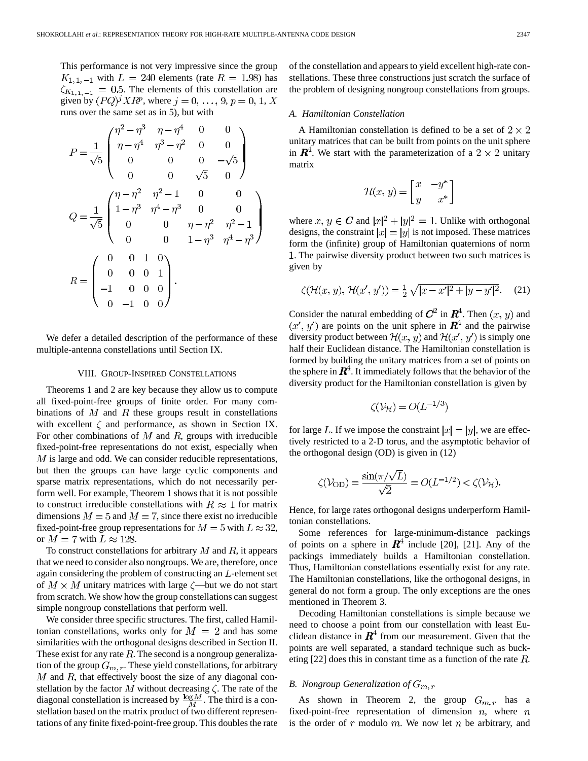This performance is not very impressive since the group  $K_{1,1,-1}$  with  $L = 240$  elements (rate  $R = 1.98$ ) has  $\zeta_{K_{1,1,-1}} = 0.5$ . The elements of this constellation are given by  $(PQ)^j X R^p$ , where  $j = 0, \ldots, 9, p = 0, 1, X$ runs over the same set as in 5), but with

$$
P = \frac{1}{\sqrt{5}} \begin{pmatrix} \eta^2 - \eta^3 & \eta - \eta^4 & 0 & 0 \\ \eta - \eta^4 & \eta^3 - \eta^2 & 0 & 0 \\ 0 & 0 & 0 & -\sqrt{5} \\ 0 & 0 & \sqrt{5} & 0 \end{pmatrix}
$$
  

$$
Q = \frac{1}{\sqrt{5}} \begin{pmatrix} \eta - \eta^2 & \eta^2 - 1 & 0 & 0 \\ 1 - \eta^3 & \eta^4 - \eta^3 & 0 & 0 \\ 0 & 0 & \eta - \eta^2 & \eta^2 - 1 \\ 0 & 0 & 1 - \eta^3 & \eta^4 - \eta^3 \end{pmatrix}
$$
  

$$
R = \begin{pmatrix} 0 & 0 & 1 & 0 \\ 0 & 0 & 0 & 1 \\ -1 & 0 & 0 & 0 \\ 0 & -1 & 0 & 0 \end{pmatrix}.
$$

We defer a detailed description of the performance of these multiple-antenna constellations until Section IX.

#### VIII. GROUP-INSPIRED CONSTELLATIONS

Theorems 1 and 2 are key because they allow us to compute all fixed-point-free groups of finite order. For many combinations of  $M$  and  $R$  these groups result in constellations with excellent  $\zeta$  and performance, as shown in Section IX. For other combinations of  $M$  and  $R$ , groups with irreducible fixed-point-free representations do not exist, especially when  $M$  is large and odd. We can consider reducible representations, but then the groups can have large cyclic components and sparse matrix representations, which do not necessarily perform well. For example, Theorem 1 shows that it is not possible to construct irreducible constellations with  $R \approx 1$  for matrix dimensions  $M = 5$  and  $M = 7$ , since there exist no irreducible fixed-point-free group representations for  $M = 5$  with  $L \approx 32$ , or  $M = 7$  with  $L \approx 128$ .

To construct constellations for arbitrary  $M$  and  $R$ , it appears that we need to consider also nongroups. We are, therefore, once again considering the problem of constructing an  $L$ -element set of  $M \times M$  unitary matrices with large  $\zeta$ —but we do not start from scratch. We show how the group constellations can suggest simple nongroup constellations that perform well.

We consider three specific structures. The first, called Hamiltonian constellations, works only for  $M = 2$  and has some similarities with the orthogonal designs described in Section II. These exist for any rate  $R$ . The second is a nongroup generalization of the group  $G_{m,r}$ . These yield constellations, for arbitrary  $M$  and  $R$ , that effectively boost the size of any diagonal constellation by the factor  $M$  without decreasing  $\zeta$ . The rate of the diagonal constellation is increased by  $\frac{\log M}{M}$ . The third is a constellation based on the matrix product of two different representations of any finite fixed-point-free group. This doubles the rate of the constellation and appears to yield excellent high-rate constellations. These three constructions just scratch the surface of the problem of designing nongroup constellations from groups.

#### *A. Hamiltonian Constellation*

A Hamiltonian constellation is defined to be a set of  $2 \times 2$ unitary matrices that can be built from points on the unit sphere in  $\mathbb{R}^4$ . We start with the parameterization of a  $2 \times 2$  unitary matrix

$$
\mathcal{H}(x, y) = \begin{bmatrix} x & -y^* \\ y & x^* \end{bmatrix}
$$

where  $x, y \in \mathbf{C}$  and  $|x|^2 + |y|^2 = 1$ . Unlike with orthogonal designs, the constraint  $|x| = |y|$  is not imposed. These matrices form the (infinite) group of Hamiltonian quaternions of norm . The pairwise diversity product between two such matrices is given by

$$
\zeta(\mathcal{H}(x, y), \mathcal{H}(x', y')) = \frac{1}{2}\sqrt{|x - x'|^2 + |y - y'|^2}.
$$
 (21)

Consider the natural embedding of  $\mathcal{C}^2$  in  $\mathbb{R}^4$ . Then  $(x, y)$  and  $(x', y')$  are points on the unit sphere in  $\mathbb{R}^4$  and the pairwise diversity product between  $\mathcal{H}(x, y)$  and  $\mathcal{H}(x', y')$  is simply one half their Euclidean distance. The Hamiltonian constellation is formed by building the unitary matrices from a set of points on the sphere in  $\mathbb{R}^4$ . It immediately follows that the behavior of the diversity product for the Hamiltonian constellation is given by

$$
\zeta(\mathcal{V}_{\mathcal{H}}) = O(L^{-1/3})
$$

for large L. If we impose the constraint  $|x| = |y|$ , we are effectively restricted to a 2-D torus, and the asymptotic behavior of the orthogonal design (OD) is given in (12)

$$
\zeta(\mathcal{V}_{OD}) = \frac{\sin(\pi/\sqrt{L})}{\sqrt{2}} = O(L^{-1/2}) < \zeta(\mathcal{V}_{\mathcal{H}})
$$

Hence, for large rates orthogonal designs underperform Hamiltonian constellations.

Some references for large-minimum-distance packings of points on a sphere in  $\mathbb{R}^4$  include [20], [21]. Any of the packings immediately builds a Hamiltonian constellation. Thus, Hamiltonian constellations essentially exist for any rate. The Hamiltonian constellations, like the orthogonal designs, in general do not form a group. The only exceptions are the ones mentioned in Theorem 3.

Decoding Hamiltonian constellations is simple because we need to choose a point from our constellation with least Euclidean distance in  $\mathbb{R}^4$  from our measurement. Given that the points are well separated, a standard technique such as bucketing  $[22]$  does this in constant time as a function of the rate R.

#### *B. Nongroup Generalization of*

As shown in Theorem 2, the group  $G_{m,r}$  has a fixed-point-free representation of dimension  $n$ , where  $n$ is the order of  $r$  modulo  $m$ . We now let  $n$  be arbitrary, and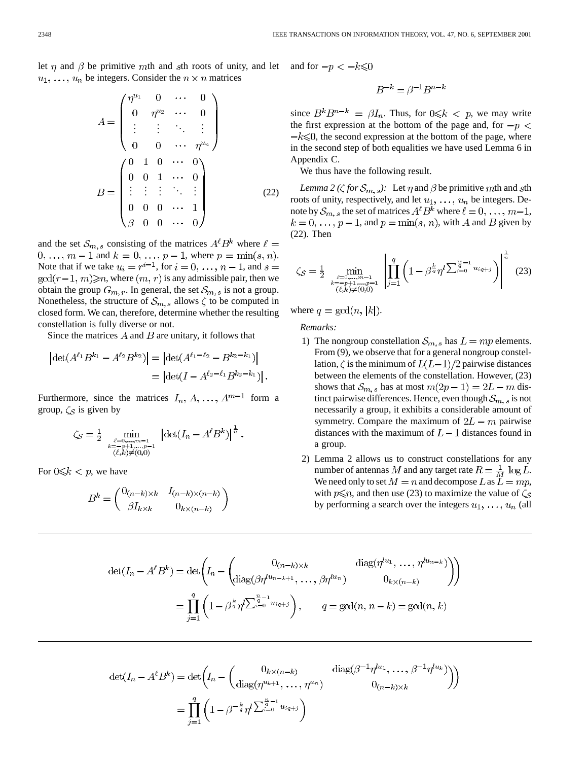let  $\eta$  and  $\beta$  be primitive mth and sth roots of unity, and let  $u_1, \ldots, u_n$  be integers. Consider the  $n \times n$  matrices

$$
A = \begin{pmatrix} \eta^{u_1} & 0 & \cdots & 0 \\ 0 & \eta^{u_2} & \cdots & 0 \\ \vdots & \vdots & \ddots & \vdots \\ 0 & 0 & \cdots & \eta^{u_n} \end{pmatrix}
$$

$$
B = \begin{pmatrix} 0 & 1 & 0 & \cdots & 0 \\ 0 & 0 & 1 & \cdots & 0 \\ \vdots & \vdots & \vdots & \ddots & \vdots \\ 0 & 0 & 0 & \cdots & 1 \\ \beta & 0 & 0 & \cdots & 0 \end{pmatrix}
$$
(22)

and the set  $S_{m,s}$  consisting of the matrices  $A^{\ell}B^k$  where  $\ell =$  $0, \ldots, m-1$  and  $k = 0, \ldots, p-1$ , where  $p = \min(s, n)$ . Note that if we take  $u_i = r^{i-1}$ , for  $i = 0, \ldots, n-1$ , and  $s =$  $gcd(r-1, m) \ge n$ , where  $(m, r)$  is any admissible pair, then we obtain the group  $G_{m,r}$ . In general, the set  $\mathcal{S}_{m,s}$  is not a group. Nonetheless, the structure of  $S_{m,s}$  allows  $\zeta$  to be computed in closed form. We can, therefore, determine whether the resulting constellation is fully diverse or not.

Since the matrices  $A$  and  $B$  are unitary, it follows that

$$
\left| \det(A^{\ell_1} B^{k_1} - A^{\ell_2} B^{k_2}) \right| = \left| \det(A^{\ell_1 - \ell_2} - B^{k_2 - k_1}) \right|
$$
  
= 
$$
\left| \det(I - A^{\ell_2 - \ell_1} B^{k_2 - k_1}) \right|.
$$

Furthermore, since the matrices  $I_n$ ,  $A$ , ...,  $A^{m-1}$  form a group,  $\zeta_{\mathcal{S}}$  is given by

$$
\zeta_{\mathcal{S}} = \frac{1}{2} \min_{\substack{\ell = 0, \dots, m-1 \\ k = -p+1, \dots, p-1 \\ (\ell, k) \neq (0, 0)}} \left| \det(I_n - A^{\ell} B^k) \right|^{\frac{1}{n}}
$$

For  $0 \le k < p$ , we have

$$
B^{k} = \begin{pmatrix} 0_{(n-k)\times k} & I_{(n-k)\times (n-k)} \\ \beta I_{k\times k} & 0_{k\times (n-k)} \end{pmatrix}
$$

and for  $-p < -k \leq 0$ 

$$
B^{-k} = \beta^{-1} B^{n-k}
$$

since  $B^k B^{n-k} = \beta I_n$ . Thus, for  $0 \le k < p$ , we may write the first expression at the bottom of the page and, for  $-p <$  $-k\leq 0$ , the second expression at the bottom of the page, where in the second step of both equalities we have used Lemma 6 in Appendix C.

We thus have the following result.

*Lemma 2 (* $\zeta$  *for*  $\mathcal{S}_{m,s}$ ): Let  $\eta$  and  $\beta$  be primitive mth and sth roots of unity, respectively, and let  $u_1, \ldots, u_n$  be integers. Denote by  $S_{m,s}$  the set of matrices  $A^{\ell}B^k$  where  $\ell = 0, \ldots, m-1$ ,  $k = 0, \ldots, p - 1$ , and  $p = \min(s, n)$ , with A and B given by (22). Then

$$
\zeta_{\mathcal{S}} = \frac{1}{2} \min_{\substack{\ell=0,\dots,m-1\\ \ell,\ell,\beta \neq (0,0)}} \left| \prod_{j=1}^{q} \left( 1 - \beta^{\frac{k}{q}} \eta^l \sum_{i=0}^{\frac{n}{q}-1} u_{iq+j} \right) \right|^{\frac{1}{n}} (23)
$$

where  $q = \gcd(n, |k|)$ .

*Remarks:*

- 1) The nongroup constellation  $S_{m,s}$  has  $L = mp$  elements. From  $(9)$ , we observe that for a general nongroup constellation,  $\zeta$  is the minimum of  $L(L-1)/2$  pairwise distances between the elements of the constellation. However, (23) shows that  $S_{m,s}$  has at most  $m(2p-1) = 2L - m$  distinct pairwise differences. Hence, even though  $S_{m,s}$  is not necessarily a group, it exhibits a considerable amount of symmetry. Compare the maximum of  $2L - m$  pairwise distances with the maximum of  $L-1$  distances found in a group.
- 2) Lemma 2 allows us to construct constellations for any number of antennas M and any target rate  $R = \frac{1}{M} \log L$ . We need only to set  $M = n$  and decompose L as  $L = mp$ , with  $p \le n$ , and then use (23) to maximize the value of  $\zeta_s$ by performing a search over the integers  $u_1, \ldots, u_n$  (all

$$
\det(I_n - A^{\ell}B^k) = \det\left(I_n - \begin{pmatrix} 0_{(n-k)\times k} & \text{diag}(\eta^{lu_1}, \dots, \eta^{lu_{n-k}}) \\ \text{diag}(\beta \eta^{lu_{n-k+1}}, \dots, \beta \eta^{lu_n}) & 0_{k \times (n-k)} \end{pmatrix}\right)
$$
\n
$$
= \prod_{j=1}^q \left(1 - \beta^{\frac{k}{q}} \eta^j \sum_{i=0}^{\frac{n}{q}-1} u_{iq+j}\right), \qquad q = \gcd(n, n-k) = \gcd(n, k)
$$

$$
\det(I_n - A^{\ell}B^k) = \det \left(I_n - \begin{pmatrix} 0_{k \times (n-k)} & \text{diag}(\beta^{-1}\eta^{lu_1}, \dots, \beta^{-1}\eta^{lu_k})\\ \text{diag}(\eta^{u_{k+1}}, \dots, \eta^{u_n}) & 0_{(n-k)\times k} \end{pmatrix}\right)
$$
\n
$$
= \prod_{j=1}^q \left(1 - \beta^{-\frac{k}{q}}\eta^l \sum_{i=0}^{\frac{n}{q}-1} u_{iq+j}\right)
$$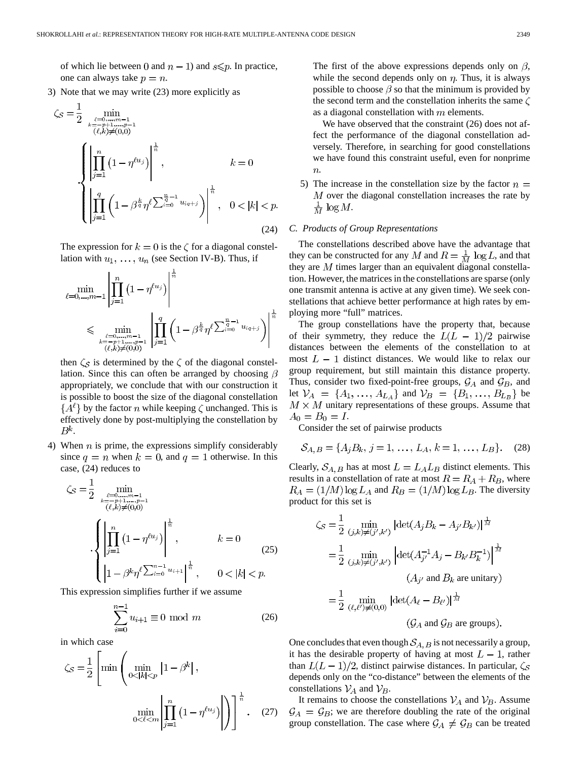of which lie between 0 and  $n - 1$  and  $s \leq p$ . In practice, one can always take  $p = n$ .

3) Note that we may write (23) more explicitly as

$$
\zeta_{\mathcal{S}} = \frac{1}{2} \min_{\substack{k=-p+1,\dots,p-1 \\ (\ell,k)\neq(0,0)}} \left\{ \left| \prod_{j=1}^{n} \left( 1 - \eta^{\ell u_j} \right) \right|^{\frac{1}{n}}, \qquad k=0 \right\}
$$

$$
\left\{ \left| \prod_{j=1}^{n} \left( 1 - \beta^{\frac{k}{q}} \eta^{\ell} \sum_{i=0}^{\frac{n}{q}-1} u_{iq+j} \right) \right|^{\frac{1}{n}}, \quad 0 < |k| < p. \tag{24}
$$

The expression for  $k = 0$  is the  $\zeta$  for a diagonal constellation with  $u_1, \ldots, u_n$  (see Section IV-B). Thus, if

$$
\min_{\ell=0,\dots,m-1} \left| \prod_{j=1}^{n} (1 - \eta^{\ell u_j}) \right|^{\frac{1}{n}} \leq \min_{\substack{\ell=0,\dots,m-1 \\ k = -p+1,\dots,p-1 \\ (\ell,k) \neq (0,0)}} \left| \prod_{j=1}^{q} \left( 1 - \beta^{\frac{k}{q}} \eta^{\ell} \sum_{i=0}^{\frac{n}{q}-1} u_{iq+j} \right) \right|^{\frac{1}{n}}
$$

then  $\zeta_s$  is determined by the  $\zeta$  of the diagonal constellation. Since this can often be arranged by choosing  $\beta$ appropriately, we conclude that with our construction it is possible to boost the size of the diagonal constellation  ${A^{\ell}}$  by the factor *n* while keeping  $\zeta$  unchanged. This is effectively done by post-multiplying the constellation by  $B^k$ .

4) When *n* is prime, the expressions simplify considerably since  $q = n$  when  $k = 0$ , and  $q = 1$  otherwise. In this case, (24) reduces to

$$
\zeta_{\mathcal{S}} = \frac{1}{2} \min_{\substack{k=0,\dots,m-1\\(\ell,k)\neq(0,0)\\ (\ell,k)\neq(0,0)}} \frac{\left|\prod_{i=1}^{n} (1 - \eta^{\ell u_{j}})\right|^{1/2}}{\left|\prod_{j=1}^{n} (1 - \eta^{\ell u_{j}})\right|^{1/2}}, \qquad k=0 \tag{25}
$$
\n
$$
\left|1 - \beta^{k} \eta^{\ell \sum_{i=0}^{n-1} u_{i+1}}\right|^{1/2}, \qquad 0 < |k| < p.
$$

This expression simplifies further if we assume

$$
\sum_{i=0}^{n-1} u_{i+1} \equiv 0 \text{ mod } m \tag{26}
$$

in which case

$$
\zeta_{\mathcal{S}} = \frac{1}{2} \left[ \min \left( \min_{0 < |k| < p} \left| 1 - \beta^k \right|, \min_{0 < \ell < m} \left| \prod_{j=1}^n \left( 1 - \eta^{\ell u_j} \right) \right| \right) \right]^{\frac{1}{n}}. \quad (27)
$$

The first of the above expressions depends only on  $\beta$ , while the second depends only on  $\eta$ . Thus, it is always possible to choose  $\beta$  so that the minimum is provided by the second term and the constellation inherits the same  $\zeta$ as a diagonal constellation with  $m$  elements.

We have observed that the constraint  $(26)$  does not affect the performance of the diagonal constellation adversely. Therefore, in searching for good constellations we have found this constraint useful, even for nonprime  $\overline{n}$ .

5) The increase in the constellation size by the factor  $n =$  $M$  over the diagonal constellation increases the rate by  $\frac{1}{M} \log M$ .

# *C. Products of Group Representations*

The constellations described above have the advantage that they can be constructed for any M and  $R = \frac{1}{M} \log L$ , and that they are  $M$  times larger than an equivalent diagonal constellation. However, the matrices in the constellations are sparse (only one transmit antenna is active at any given time). We seek constellations that achieve better performance at high rates by employing more "full" matrices.

The group constellations have the property that, because of their symmetry, they reduce the  $L(L - 1)/2$  pairwise distances between the elements of the constellation to at most  $L - 1$  distinct distances. We would like to relax our group requirement, but still maintain this distance property. Thus, consider two fixed-point-free groups,  $\mathcal{G}_A$  and  $\mathcal{G}_B$ , and let  $V_A = \{A_1, ..., A_{L_A}\}\$ and  $V_B = \{B_1, ..., B_{L_B}\}\$ be  $M \times M$  unitary representations of these groups. Assume that  $A_0 = B_0 = I.$ 

Consider the set of pairwise products

$$
S_{A,B} = \{A_j B_k, j = 1, \dots, L_A, k = 1, \dots, L_B\}.
$$
 (28)

Clearly,  $S_{A,B}$  has at most  $L = L_A L_B$  distinct elements. This results in a constellation of rate at most  $R = R_A + R_B$ , where  $R_A = (1/M) \log L_A$  and  $R_B = (1/M) \log L_B$ . The diversity product for this set is

$$
\zeta_{\mathcal{S}} = \frac{1}{2} \min_{(j,k)\neq(j',k')} |\det(A_j B_k - A_{j'} B_{k'})|^{\frac{1}{M}}
$$
  
\n
$$
= \frac{1}{2} \min_{(j,k)\neq(j',k')} |\det(A_{j'}^{-1} A_j - B_{k'} B_k^{-1})|^{\frac{1}{M}}
$$
  
\n
$$
(A_{j'} \text{ and } B_k \text{ are unitary})
$$
  
\n
$$
= \frac{1}{2} \min_{(\ell,\ell')\neq(0,0)} |\det(A_\ell - B_{\ell'})|^{\frac{1}{M}}
$$
  
\n
$$
(G_A \text{ and } G_B \text{ are groups}).
$$

One concludes that even though  $S_{A,B}$  is not necessarily a group, it has the desirable property of having at most  $L - 1$ , rather than  $L(L-1)/2$ , distinct pairwise distances. In particular,  $\zeta$ depends only on the "co-distance" between the elements of the constellations  $V_A$  and  $V_B$ .

It remains to choose the constellations  $V_A$  and  $V_B$ . Assume  $\mathcal{G}_A = \mathcal{G}_B$ ; we are therefore doubling the rate of the original group constellation. The case where  $\mathcal{G}_A \neq \mathcal{G}_B$  can be treated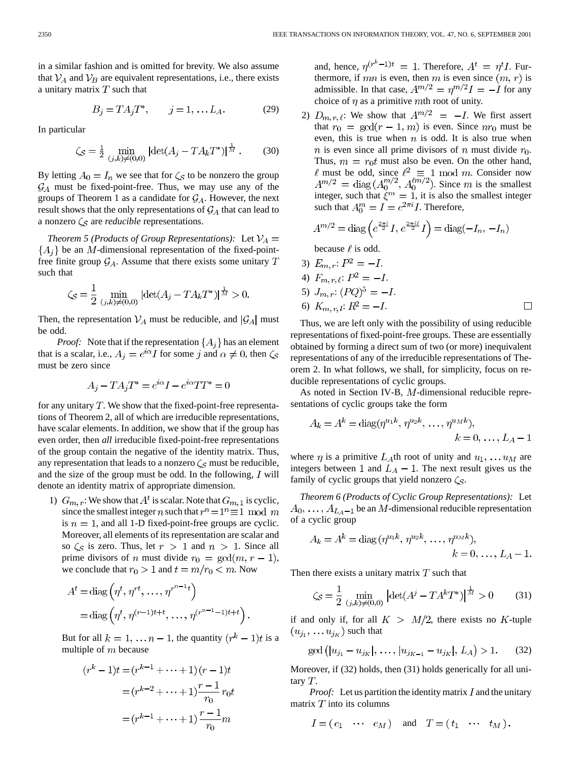in a similar fashion and is omitted for brevity. We also assume that  $V_A$  and  $V_B$  are equivalent representations, i.e., there exists a unitary matrix  $T$  such that

$$
B_j = T A_j T^*, \t j = 1, ... L_A.
$$
 (29)

In particular

$$
\zeta_{\mathcal{S}} = \frac{1}{2} \min_{(j,k)\neq(0,0)} |\det(A_j - TA_k T^*)|^{\frac{1}{M}}. \tag{30}
$$

By letting  $A_0 = I_n$  we see that for  $\zeta_{\mathcal{S}}$  to be nonzero the group  $\mathcal{G}_A$  must be fixed-point-free. Thus, we may use any of the groups of Theorem 1 as a candidate for  $\mathcal{G}_A$ . However, the next result shows that the only representations of  $\mathcal{G}_A$  that can lead to a nonzero  $\zeta_{\mathcal{S}}$  are *reducible* representations.

*Theorem 5 (Products of Group Representations):* Let  $V_A =$  ${A_i}$  be an M-dimensional representation of the fixed-pointfree finite group  $\mathcal{G}_A$ . Assume that there exists some unitary T such that

$$
\zeta_{\mathcal{S}} = \frac{1}{2} \min_{(j,k)\neq(0,0)} |\det(A_j - TA_k T^*)|^{\frac{1}{M}} > 0.
$$

Then, the representation  $V_A$  must be reducible, and  $|\mathcal{G}_A|$  must be odd.

*Proof:* Note that if the representation  $\{A_i\}$  has an element that is a scalar, i.e.,  $A_i = e^{i\alpha} I$  for some j and  $\alpha \neq 0$ , then  $\zeta_{\mathcal{S}}$ must be zero since

$$
A_j - TA_j T^* = e^{i\alpha} I - e^{i\alpha} TT^* = 0
$$

for any unitary  $T$ . We show that the fixed-point-free representations of Theorem 2, all of which are irreducible representations, have scalar elements. In addition, we show that if the group has even order, then *all* irreducible fixed-point-free representations of the group contain the negative of the identity matrix. Thus, any representation that leads to a nonzero  $\zeta_{\mathcal{S}}$  must be reducible, and the size of the group must be odd. In the following,  $I$  will denote an identity matrix of appropriate dimension.

1)  $G_{m,r}$ : We show that  $A^t$  is scalar. Note that  $G_{m,1}$  is cyclic, since the smallest integer n such that  $r^n = 1^n \equiv 1 \mod m$ is  $n = 1$ , and all 1-D fixed-point-free groups are cyclic. Moreover, all elements of its representation are scalar and so  $\zeta_{\mathcal{S}}$  is zero. Thus, let  $r > 1$  and  $n > 1$ . Since all prime divisors of n must divide  $r_0 = \gcd(m, r - 1)$ , we conclude that  $r_0 > 1$  and  $t = m/r_0 < m$ . Now

$$
At = diag(\etat, \etart, ..., \etan-1t)
$$
  
= diag(\eta<sup>t</sup>, \eta<sup>(r-1)t+t</sup>, ..., \eta<sup>(r<sup>n-1</sup>-1)t+t</sup>).

But for all  $k = 1, \ldots n - 1$ , the quantity  $(r<sup>k</sup> - 1)t$  is a multiple of  $m$  because

$$
(r^{k} - 1)t = (r^{k-1} + \dots + 1)(r - 1)t
$$

$$
= (r^{k-2} + \dots + 1)\frac{r-1}{r_0}r_0t
$$

$$
= (r^{k-1} + \dots + 1)\frac{r-1}{r_0}m
$$

and, hence,  $\eta^{(r^k-1)t} = 1$ . Therefore,  $A^t = \eta^t I$ . Furthermore, if mn is even, then m is even since  $(m, r)$  is admissible. In that case,  $A^{m/2} = \eta^{m/2}I = -I$  for any choice of  $\eta$  as a primitive mth root of unity.

2)  $D_{m,r,\ell}$ : We show that  $A^{m/2} = -I$ . We first assert that  $r_0 = \gcd(r - 1, m)$  is even. Since  $nr_0$  must be even, this is true when  $n$  is odd. It is also true when n is even since all prime divisors of n must divide  $r_0$ . Thus,  $m = r_0 t$  must also be even. On the other hand, must be odd, since  $\ell^2 \equiv 1 \mod m$ . Consider now . Since  $m$  is the smallest integer, such that  $\xi^m = 1$ , it is also the smallest integer such that  $A_0^m = I = e^{2\pi i}I$ . Therefore,

$$
A^{m/2} = \text{diag}\left(e^{\frac{2\pi i}{2}}I, e^{\frac{2\pi i\ell}{2}}I\right) = \text{diag}(-I_n, -I_n)
$$

because  $\ell$  is odd.

3) 
$$
E_{m,r}: P^2 = -I.
$$
  
\n4)  $F_{m,r,\ell}: P^2 = -I.$   
\n5)  $J_{m,r}: (PQ)^5 = -I.$   
\n6)  $K_{m,r,\ell}: R^2 = -I.$ 

Thus, we are left only with the possibility of using reducible representations of fixed-point-free groups. These are essentially obtained by forming a direct sum of two (or more) inequivalent representations of any of the irreducible representations of Theorem 2. In what follows, we shall, for simplicity, focus on reducible representations of cyclic groups.

As noted in Section IV-B,  $M$ -dimensional reducible representations of cyclic groups take the form

$$
A_k = A^k = \text{diag}(\eta^{u_1k}, \eta^{u_2k}, \dots, \eta^{u_Mk}),
$$
  
\n $k = 0, \dots, L_A - 1$ 

where  $\eta$  is a primitive  $L_A$ th root of unity and  $u_1, \ldots, u_M$  are integers between 1 and  $L_A - 1$ . The next result gives us the family of cyclic groups that yield nonzero  $\zeta_{\mathcal{S}}$ .

*Theorem 6 (Products of Cyclic Group Representations):* Let  $A_0, \ldots, A_{L_A-1}$  be an M-dimensional reducible representation of a cyclic group

$$
A_k = A^k = \text{diag}(\eta^{u_1 k}, \eta^{u_2 k}, \dots, \eta^{u_M k}),
$$
  
  $k = 0, \dots, L_A - 1.$ 

Then there exists a unitary matrix  $T$  such that

$$
\zeta_S = \frac{1}{2} \min_{(j,k)\neq(0,0)} \left| \det(A^j - TA^k T^*) \right|^{\frac{1}{M}} > 0 \tag{31}
$$

if and only if, for all  $K > M/2$ , there exists no K-tuple  $(u_{j_1}, \ldots u_{j_K})$  such that

$$
\gcd\left(|u_{j_1}-u_{j_K}|,\ldots,|u_{j_{K-1}}-u_{j_K}|,L_A\right) > 1. \tag{32}
$$

Moreover, if (32) holds, then (31) holds generically for all unitary  $T$ .

*Proof:* Let us partition the identity matrix  $\overline{I}$  and the unitary matrix  $T$  into its columns

$$
I = (e_1 \cdots e_M) \quad \text{and} \quad T = (t_1 \cdots t_M).
$$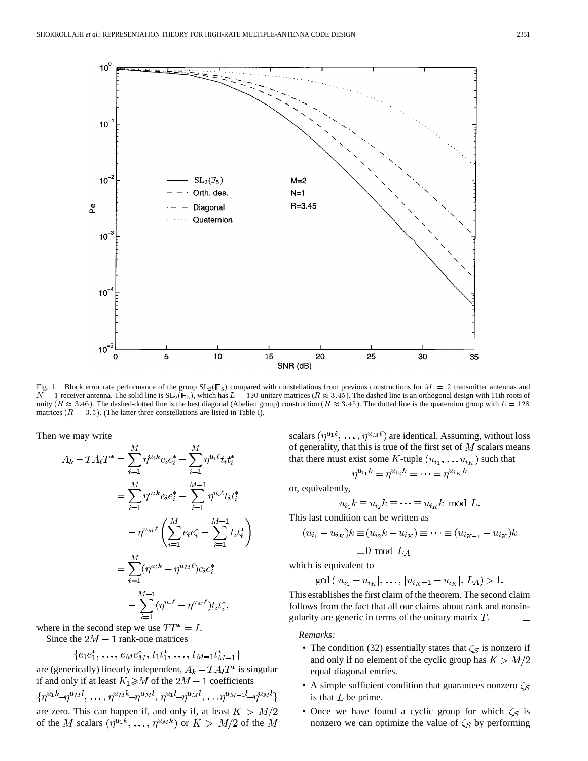

Fig. 1. Block error rate performance of the group  $SL_2(\mathbb{F}_5)$  compared with constellations from previous constructions for  $M = 2$  transmitter antennas and  $\overline{N} = 1$  receiver antenna. The solid line is  $SL_2(F_5)$ , which has  $L = 120$  unitary matrices  $(R \approx 3.45)$ . The dashed line is an orthogonal design with 11th roots of unity ( $R \approx 3.46$ ). The dashed-dotted line is the best diagonal (Abelian group) construction ( $R \approx 3.45$ ). The dotted line is the quaternion group with  $L = 128$ matrices  $(R = 3.5)$ . (The latter three constellations are listed in Table I).

Then we may write

$$
A_k - TA_{\ell}T^* = \sum_{i=1}^M \eta^{u_i k} e_i e_i^* - \sum_{i=1}^M \eta^{u_i \ell} t_i t_i^*
$$
  

$$
= \sum_{i=1}^M \eta^{u_i k} e_i e_i^* - \sum_{i=1}^{M-1} \eta^{u_i \ell} t_i t_i^*
$$
  

$$
- \eta^{u_M \ell} \left( \sum_{i=1}^M e_i e_i^* - \sum_{i=1}^{M-1} t_i t_i^* \right)
$$
  

$$
= \sum_{i=1}^M (\eta^{u_i k} - \eta^{u_M \ell}) e_i e_i^*
$$
  

$$
- \sum_{i=1}^{M-1} (\eta^{u_i \ell} - \eta^{u_M \ell}) t_i t_i^*,
$$

where in the second step we use  $TT^* = I$ .

Since the  $2M - 1$  rank-one matrices

$$
\{e_1e_1^*,\, \dots,\, e_Me_M^*,\, t_1t_1^*,\, \dots,\, t_{M-1}t_{M-1}^*\}
$$

are (generically) linearly independent,  $A_k - TA_lT^*$  is singular if and only if at least  $K_1 \ge M$  of the  $2M - 1$  coefficients  $\{\eta^{u_1k} - \eta^{u_Ml}, \ldots, \eta^{u_Mk} - \eta^{u_Ml}, \eta^{u_1l} - \eta^{u_Ml}, \ldots \eta^{u_{M-1}l} - \eta^{u_Ml}\}\$ are zero. This can happen if, and only if, at least of the M scalars  $(\eta^{u_1k}, \ldots, \eta^{u_Mk})$  or  $K > M/2$  of the

scalars  $(\eta^{u_1 \ell}, \ldots, \eta^{u_M \ell})$  are identical. Assuming, without loss of generality, that this is true of the first set of  $M$  scalars means that there must exist some K-tuple  $(u_{i_1}, \ldots, u_{i_K})$  such that

$$
\eta^{u_{i_1} k} = \eta^{u_{i_2} k} = \cdots = \eta^{u_{i_K} k}
$$

or, equivalently,

$$
u_{i_1}k \equiv u_{i_2}k \equiv \cdots \equiv u_{i_K}k \mod L
$$

This last condition can be written as

$$
(u_{i_1} - u_{i_K})k \equiv (u_{i_2}k - u_{i_K}) \equiv \dots \equiv (u_{i_{K-1}} - u_{i_K})k
$$
  

$$
\equiv 0 \mod L_A
$$

which is equivalent to

$$
\gcd(|u_{i_1} - u_{i_K}|, \ldots, |u_{i_K-1} - u_{i_K}|, L_A) > 1.
$$

This establishes the first claim of the theorem. The second claim follows from the fact that all our claims about rank and nonsingularity are generic in terms of the unitary matrix  $T$ .  $\Box$ 

*Remarks:*

- The condition (32) essentially states that  $\zeta_{\mathcal{S}}$  is nonzero if and only if no element of the cyclic group has  $K > M/2$ equal diagonal entries.
- A simple sufficient condition that guarantees nonzero  $\zeta_{\mathcal{S}}$ is that  $L$  be prime.
- Once we have found a cyclic group for which  $\zeta_{\mathcal{S}}$  is nonzero we can optimize the value of  $\zeta_s$  by performing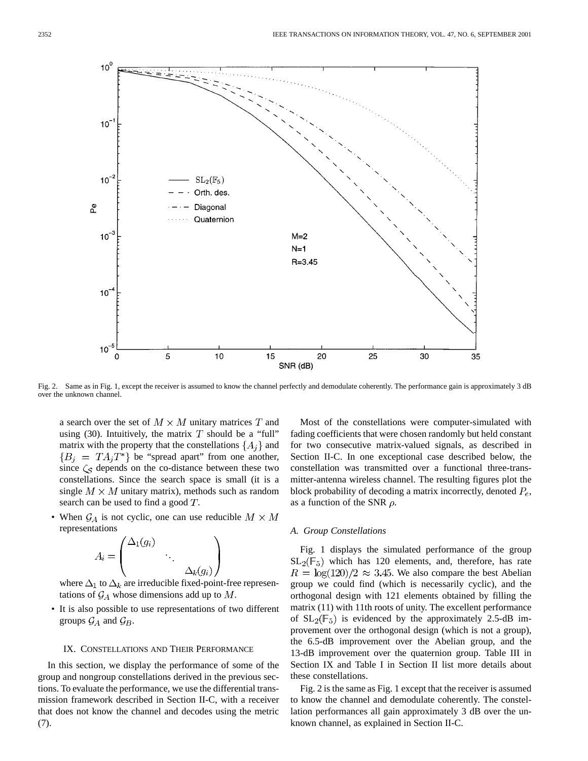

Fig. 2. Same as in Fig. 1, except the receiver is assumed to know the channel perfectly and demodulate coherently. The performance gain is approximately 3 dB over the unknown channel.

a search over the set of  $M \times M$  unitary matrices T and using (30). Intuitively, the matrix  $T$  should be a "full" matrix with the property that the constellations  $\{A_i\}$  and  ${B_i = TA_iT^*}$  be "spread apart" from one another, since  $\zeta_{\mathcal{S}}$  depends on the co-distance between these two constellations. Since the search space is small (it is a single  $M \times M$  unitary matrix), methods such as random search can be used to find a good  $T$ .

• When  $\mathcal{G}_A$  is not cyclic, one can use reducible  $M \times M$ representations

$$
A_i = \begin{pmatrix} \Delta_1(g_i) & & \\ & \ddots & \\ & & \Delta_k(g_i) \end{pmatrix}
$$

where  $\Delta_1$  to  $\Delta_k$  are irreducible fixed-point-free representations of  $\mathcal{G}_A$  whose dimensions add up to M.

• It is also possible to use representations of two different groups  $\mathcal{G}_A$  and  $\mathcal{G}_B$ .

#### IX. CONSTELLATIONS AND THEIR PERFORMANCE

In this section, we display the performance of some of the group and nongroup constellations derived in the previous sections. To evaluate the performance, we use the differential transmission framework described in Section II-C, with a receiver that does not know the channel and decodes using the metric (7).

Most of the constellations were computer-simulated with fading coefficients that were chosen randomly but held constant for two consecutive matrix-valued signals, as described in Section II-C. In one exceptional case described below, the constellation was transmitted over a functional three-transmitter-antenna wireless channel. The resulting figures plot the block probability of decoding a matrix incorrectly, denoted  $P_e$ , as a function of the SNR  $\rho$ .

#### *A. Group Constellations*

Fig. 1 displays the simulated performance of the group  $SL_2(\mathbb{F}_5)$  which has 120 elements, and, therefore, has rate  $R = \log(120)/2 \approx 3.45$ . We also compare the best Abelian group we could find (which is necessarily cyclic), and the orthogonal design with 121 elements obtained by filling the matrix (11) with 11th roots of unity. The excellent performance of  $SL_2(\mathbb{F}_5)$  is evidenced by the approximately 2.5-dB improvement over the orthogonal design (which is not a group), the 6.5-dB improvement over the Abelian group, and the 13-dB improvement over the quaternion group. Table III in Section IX and Table I in Section II list more details about these constellations.

Fig. 2 is the same as Fig. 1 except that the receiver is assumed to know the channel and demodulate coherently. The constellation performances all gain approximately 3 dB over the unknown channel, as explained in Section II-C.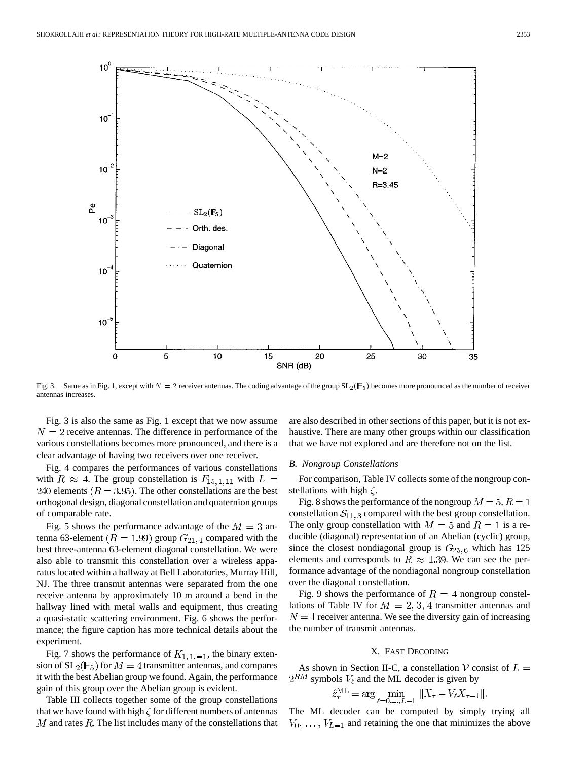

Fig. 3. Same as in Fig. 1, except with  $N = 2$  receiver antennas. The coding advantage of the group  $SL_2(F_5)$  becomes more pronounced as the number of receiver antennas increases.

Fig. 3 is also the same as Fig. 1 except that we now assume  $N = 2$  receive antennas. The difference in performance of the various constellations becomes more pronounced, and there is a clear advantage of having two receivers over one receiver.

Fig. 4 compares the performances of various constellations with  $R \approx 4$ . The group constellation is  $F_{15,1,11}$  with  $L =$ 240 elements  $(R = 3.95)$ . The other constellations are the best orthogonal design, diagonal constellation and quaternion groups of comparable rate.

Fig. 5 shows the performance advantage of the  $M = 3$  antenna 63-element ( $R = 1.99$ ) group  $G_{21, 4}$  compared with the best three-antenna 63-element diagonal constellation. We were also able to transmit this constellation over a wireless apparatus located within a hallway at Bell Laboratories, Murray Hill, NJ. The three transmit antennas were separated from the one receive antenna by approximately 10 m around a bend in the hallway lined with metal walls and equipment, thus creating a quasi-static scattering environment. Fig. 6 shows the performance; the figure caption has more technical details about the experiment.

Fig. 7 shows the performance of  $K_{1,1,-1}$ , the binary extension of  $SL_2(\mathbb{F}_5)$  for  $M = 4$  transmitter antennas, and compares it with the best Abelian group we found. Again, the performance gain of this group over the Abelian group is evident.

Table III collects together some of the group constellations that we have found with high  $\zeta$  for different numbers of antennas  $M$  and rates  $R$ . The list includes many of the constellations that are also described in other sections of this paper, but it is not exhaustive. There are many other groups within our classification that we have not explored and are therefore not on the list.

# *B. Nongroup Constellations*

For comparison, Table IV collects some of the nongroup constellations with high  $\zeta$ .

Fig. 8 shows the performance of the nongroup  $M = 5, R = 1$ constellation  $S_{11,3}$  compared with the best group constellation. The only group constellation with  $M = 5$  and  $R = 1$  is a reducible (diagonal) representation of an Abelian (cyclic) group, since the closest nondiagonal group is  $G_{25,6}$  which has 125 elements and corresponds to  $R \approx 1.39$ . We can see the performance advantage of the nondiagonal nongroup constellation over the diagonal constellation.

Fig. 9 shows the performance of  $R=4$  nongroup constellations of Table IV for  $M = 2, 3, 4$  transmitter antennas and  $N = 1$  receiver antenna. We see the diversity gain of increasing the number of transmit antennas.

#### X. FAST DECODING

As shown in Section II-C, a constellation V consist of  $L =$  $2^{RM}$  symbols  $V_{\ell}$  and the ML decoder is given by

$$
\varepsilon_{\tau}^{\text{ML}} = \arg \min_{\ell=0,\dots,L-1} ||X_{\tau} - V_{\ell} X_{\tau-1}||.
$$

The ML decoder can be computed by simply trying all  $V_0, \ldots, V_{L-1}$  and retaining the one that minimizes the above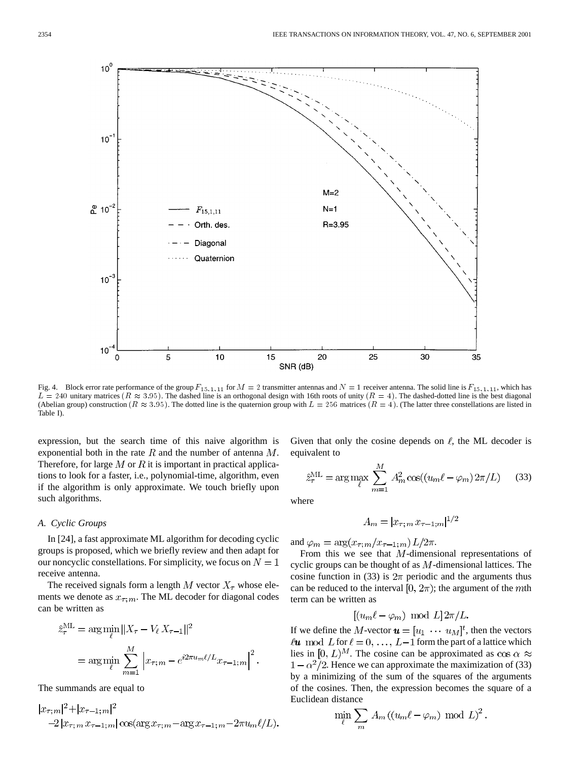

Fig. 4. Block error rate performance of the group  $F_{15,1,11}$  for  $M = 2$  transmitter antennas and  $N = 1$  receiver antenna. The solid line is  $F_{15,1,11}$ , which has  $L = 240$  unitary matrices ( $R \approx 3.95$ ). The dashed line is an orthogonal design with 16th roots of unity ( $R = 4$ ). The dashed-dotted line is the best diagonal (Abelian group) construction ( $R \approx 3.95$ ). The dotted line is the quaternion group with  $L = 256$  matrices ( $R = 4$ ). (The latter three constellations are listed in Table I).

expression, but the search time of this naive algorithm is exponential both in the rate  $R$  and the number of antenna  $M$ . Therefore, for large  $M$  or  $R$  it is important in practical applications to look for a faster, i.e., polynomial-time, algorithm, even if the algorithm is only approximate. We touch briefly upon such algorithms.

# *A. Cyclic Groups*

In [24], a fast approximate ML algorithm for decoding cyclic groups is proposed, which we briefly review and then adapt for our noncyclic constellations. For simplicity, we focus on  $N = 1$ receive antenna.

The received signals form a length M vector  $X_{\tau}$  whose elements we denote as  $x_{\tau; m}$ . The ML decoder for diagonal codes can be written as

$$
\hat{z}_{\tau}^{\text{ML}} = \arg \min_{\ell} ||X_{\tau} - V_{\ell} X_{\tau-1}||^2
$$
  
= 
$$
\arg \min_{\ell} \sum_{m=1}^{M} \left| x_{\tau;m} - e^{i2\pi u_m \ell/L} x_{\tau-1;m} \right|^2.
$$

The summands are equal to

$$
|x_{\tau;m}|^2 + |x_{\tau-1;m}|^2
$$
  
-2|x\_{\tau;m} x\_{\tau-1;m}| \cos(\arg x\_{\tau;m} - \arg x\_{\tau-1;m} - 2\pi u\_m \ell/L)

Given that only the cosine depends on  $\ell$ , the ML decoder is equivalent to

$$
\hat{z}_{\tau}^{\text{ML}} = \arg \max_{\ell} \sum_{m=1}^{M} A_m^2 \cos((u_m \ell - \varphi_m) 2\pi/L) \tag{33}
$$

where

$$
A_m = |x_{\tau;m} x_{\tau-1;m}|^{1/2}
$$

and  $\varphi_m = \arg(x_{\tau,m}/x_{\tau-1,m}) L/2\pi$ .

From this we see that  $M$ -dimensional representations of cyclic groups can be thought of as  $M$ -dimensional lattices. The cosine function in (33) is  $2\pi$  periodic and the arguments thus can be reduced to the interval [0,  $2\pi$ ]; the argument of the mth term can be written as

$$
[(u_m\ell - \varphi_m) \mod L] 2\pi/L.
$$

If we define the M-vector  $\mathbf{u} = [u_1 \cdots u_M]^t$ , then the vectors  $\ell$ **u** mod  $L$  for  $\ell = 0, \ldots, L-1$  form the part of a lattice which lies in [0, L)<sup>M</sup>. The cosine can be approximated as  $\cos \alpha \approx$  $1 - \alpha^2/2$ . Hence we can approximate the maximization of (33) by a minimizing of the sum of the squares of the arguments of the cosines. Then, the expression becomes the square of a Euclidean distance

$$
\min_{\ell} \sum_{m} A_m ((u_m \ell - \varphi_m) \mod L)^2.
$$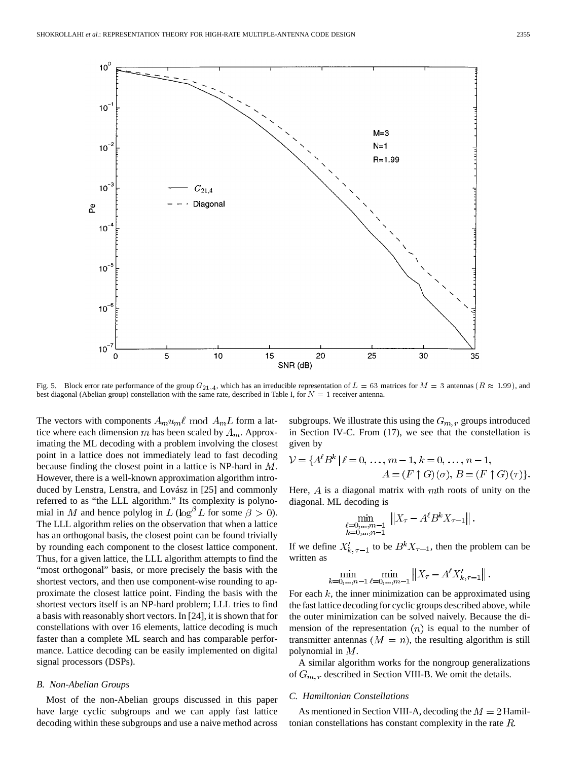

Fig. 5. Block error rate performance of the group  $G_{21,4}$ , which has an irreducible representation of  $L = 63$  matrices for  $M = 3$  antennas  $(R \approx 1.99)$ , and best diagonal (Abelian group) constellation with the same rate, described in Table I, for  $N = 1$  receiver antenna.

The vectors with components  $A_m u_m \ell \text{ mod } A_m L$  form a lattice where each dimension m has been scaled by  $A_m$ . Approximating the ML decoding with a problem involving the closest point in a lattice does not immediately lead to fast decoding because finding the closest point in a lattice is NP-hard in  $M$ . However, there is a well-known approximation algorithm introduced by Lenstra, Lenstra, and Lovász in [25] and commonly referred to as "the LLL algorithm." Its complexity is polynomial in M and hence polylog in L  $(\log^{\beta} L$  for some  $\beta > 0$ ). The LLL algorithm relies on the observation that when a lattice has an orthogonal basis, the closest point can be found trivially by rounding each component to the closest lattice component. Thus, for a given lattice, the LLL algorithm attempts to find the "most orthogonal" basis, or more precisely the basis with the shortest vectors, and then use component-wise rounding to approximate the closest lattice point. Finding the basis with the shortest vectors itself is an NP-hard problem; LLL tries to find a basis with reasonably short vectors. In [24], it is shown that for constellations with over 16 elements, lattice decoding is much faster than a complete ML search and has comparable performance. Lattice decoding can be easily implemented on digital signal processors (DSPs).

#### *B. Non-Abelian Groups*

Most of the non-Abelian groups discussed in this paper have large cyclic subgroups and we can apply fast lattice decoding within these subgroups and use a naive method across subgroups. We illustrate this using the  $G_{m,r}$  groups introduced in Section IV-C. From (17), we see that the constellation is given by

$$
\mathcal{V} = \{ A^{\ell} B^k \mid \ell = 0, \dots, m-1, k = 0, \dots, n-1, A = (F \uparrow G)(\sigma), B = (F \uparrow G)(\tau) \}.
$$

Here,  $\vec{A}$  is a diagonal matrix with  $m$ th roots of unity on the diagonal. ML decoding is

$$
\min_{\substack{\ell=0,\dots,m-1\\k=0,\dots,n-1}} \|X_{\tau} - A^{\ell} B^k X_{\tau-1}\|.
$$

If we define  $X'_{k, \tau-1}$  to be  $B^k X_{\tau-1}$ , then the problem can be written as

$$
\min_{\tau=0,\dots,n-1} \min_{\ell=0,\dots,m-1} ||X_{\tau} - A^{\ell} X'_{k,\tau-1}||.
$$

For each  $k$ , the inner minimization can be approximated using the fast lattice decoding for cyclic groups described above, while the outer minimization can be solved naively. Because the dimension of the representation  $(n)$  is equal to the number of transmitter antennas  $(M = n)$ , the resulting algorithm is still polynomial in  $M$ .

A similar algorithm works for the nongroup generalizations of  $G_{m,r}$  described in Section VIII-B. We omit the details.

# *C. Hamiltonian Constellations*

As mentioned in Section VIII-A, decoding the  $M = 2$  Hamiltonian constellations has constant complexity in the rate  $R$ .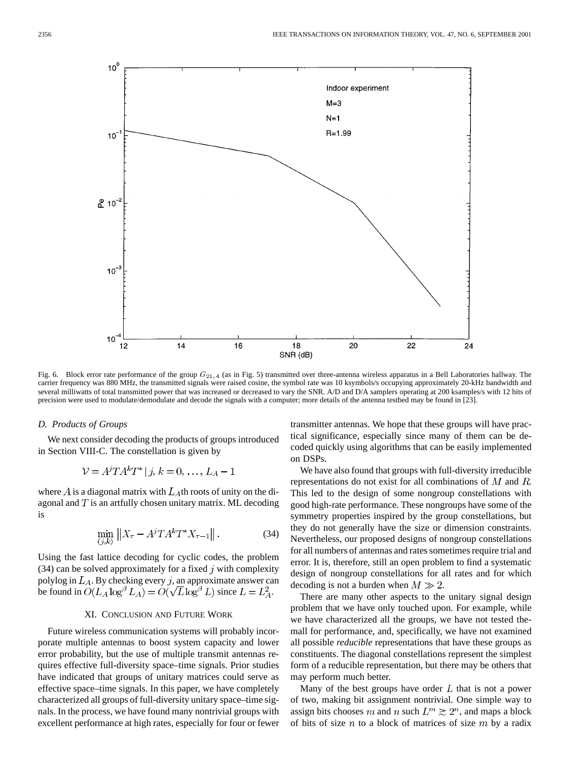

Fig. 6. Block error rate performance of the group  $G_{21,4}$  (as in Fig. 5) transmitted over three-antenna wireless apparatus in a Bell Laboratories hallway. The carrier frequency was 880 MHz, the transmitted signals were raised cosine, the symbol rate was 10 ksymbols/s occupying approximately 20-kHz bandwidth and several milliwatts of total transmitted power that was increased or decreased to vary the SNR. A/D and D/A samplers operating at 200 ksamples/s with 12 bits of precision were used to modulate/demodulate and decode the signals with a computer; more details of the antenna testbed may be found in [23].

#### *D. Products of Groups*

We next consider decoding the products of groups introduced in Section VIII-C. The constellation is given by

$$
\mathcal{V}=A^jTA^kT^*\,|\,j,\,k=0,\,\ldots,\,L_A-1
$$

where  $\vec{A}$  is a diagonal matrix with  $\vec{L}_A$ th roots of unity on the diagonal and  $T$  is an artfully chosen unitary matrix. ML decoding is

$$
\min_{(j,k)} \|X_{\tau} - A^{j} T A^{k} T^{*} X_{\tau-1} \|.
$$
 (34)

Using the fast lattice decoding for cyclic codes, the problem (34) can be solved approximately for a fixed  $j$  with complexity polylog in  $L_A$ . By checking every j, an approximate answer can be found in  $O(L_A \log^{\beta} L_A) = O(\sqrt{L} \log^{\beta} L)$  since  $L = L_A^2$ .

#### XI. CONCLUSION AND FUTURE WORK

Future wireless communication systems will probably incorporate multiple antennas to boost system capacity and lower error probability, but the use of multiple transmit antennas requires effective full-diversity space–time signals. Prior studies have indicated that groups of unitary matrices could serve as effective space–time signals. In this paper, we have completely characterized all groups of full-diversity unitary space–time signals. In the process, we have found many nontrivial groups with excellent performance at high rates, especially for four or fewer transmitter antennas. We hope that these groups will have practical significance, especially since many of them can be decoded quickly using algorithms that can be easily implemented on DSPs.

We have also found that groups with full-diversity irreducible representations do not exist for all combinations of  $M$  and  $R$ . This led to the design of some nongroup constellations with good high-rate performance. These nongroups have some of the symmetry properties inspired by the group constellations, but they do not generally have the size or dimension constraints. Nevertheless, our proposed designs of nongroup constellations for all numbers of antennas and rates sometimes require trial and error. It is, therefore, still an open problem to find a systematic design of nongroup constellations for all rates and for which decoding is not a burden when  $M \gg 2$ .

There are many other aspects to the unitary signal design problem that we have only touched upon. For example, while we have characterized all the groups, we have not tested themall for performance, and, specifically, we have not examined all possible *reducible* representations that have these groups as constituents. The diagonal constellations represent the simplest form of a reducible representation, but there may be others that may perform much better.

Many of the best groups have order  $L$  that is not a power of two, making bit assignment nontrivial. One simple way to assign bits chooses m and n such  $L^m \geq 2^n$ , and maps a block of bits of size  $n$  to a block of matrices of size  $m$  by a radix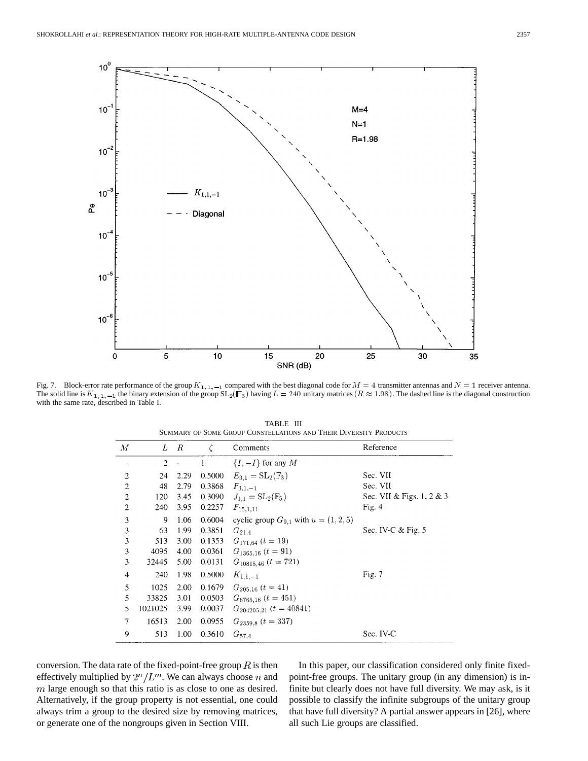

Fig. 7. Block-error rate performance of the group  $K_{1,1,-1}$  compared with the best diagonal code for  $M = 4$  transmitter antennas and  $N = 1$  receiver antenna. The solid line is  $K_{1,1,-1}$  the binary extension of the group  $SL_2(\bar{F}_5)$  having  $L = 240$  unitary matrices  $(R \approx 1.98)$ . The dashed line is the diagonal construction with the same rate, described in Table I.

| TABLE III<br>SUMMARY OF SOME GROUP CONSTELLATIONS AND THEIR DIVERSITY PRODUCTS |         |        |             |                                             |                             |  |
|--------------------------------------------------------------------------------|---------|--------|-------------|---------------------------------------------|-----------------------------|--|
| М                                                                              | L       | R      | C           | Comments                                    | Reference                   |  |
|                                                                                | 2       | $\sim$ | -1          | $\{I, -I\}$ for any M                       |                             |  |
| $\mathfrak{2}$                                                                 | 24      | 2.29   | 0.5000      | $E_{3,1} = SL_2(\mathbb{F}_3)$              | Sec. VII                    |  |
| $\overline{c}$                                                                 | 48      | 2.79   | 0.3868      | $F_{3,1,-1}$                                | Sec. VII                    |  |
| $\overline{2}$                                                                 | 120     |        | 3.45 0.3090 | $J_{1,1} = SL_2(\mathbb{F}_5)$              | Sec. VII & Figs. 1, $2 & 3$ |  |
| $\overline{2}$                                                                 | 240     | 3.95   | 0.2257      | $F_{15,1,11}$                               | Fig. $4$                    |  |
| 3                                                                              | 9       | 1.06   | 0.6004      | cyclic group $G_{9,1}$ with $u = (1, 2, 5)$ |                             |  |
| 3                                                                              | 63      | 1.99   | 0.3851      | $G_{21,4}$                                  | Sec. IV-C $&$ Fig. 5        |  |
| $\mathfrak{Z}$                                                                 | 513     | 3.00   | 0.1353      | $G_{171.64}$ $(t = 19)$                     |                             |  |
| 3                                                                              | 4095    | 4.00   | 0.0361      | $G_{1365,16}$ $(t=91)$                      |                             |  |
| 3                                                                              | 32445   | 5.00   | 0.0131      | $G_{10815,46}$ $(t = 721)$                  |                             |  |
| $\overline{4}$                                                                 | 240     | 1.98   | 0.5000      | $K_{1,1,-1}$                                | Fig. 7                      |  |
| 5                                                                              | 1025    | 2.00   | 0.1679      | $G_{205,16}$ $(t = 41)$                     |                             |  |
| 5                                                                              | 33825   | 3.01   | 0.0503      | $G_{6765,16}$ $(t = 451)$                   |                             |  |
| 5                                                                              | 1021025 | 3.99   | 0.0037      | $G_{204205,21}$ ( $t = 40841$ )             |                             |  |
| 7                                                                              | 16513   | 2.00   | 0.0955      | $G_{2359.8}$ ( <i>t</i> = 337)              |                             |  |
| 9                                                                              | 513     | 1.00   | 0.3610      | $G_{57,4}$                                  | Sec. IV-C                   |  |

conversion. The data rate of the fixed-point-free group  $R$  is then effectively multiplied by  $2^n/L^m$ . We can always choose n and  $m$  large enough so that this ratio is as close to one as desired. Alternatively, if the group property is not essential, one could always trim a group to the desired size by removing matrices, or generate one of the nongroups given in Section VIII.

In this paper, our classification considered only finite fixedpoint-free groups. The unitary group (in any dimension) is infinite but clearly does not have full diversity. We may ask, is it possible to classify the infinite subgroups of the unitary group that have full diversity? A partial answer appears in [26], where all such Lie groups are classified.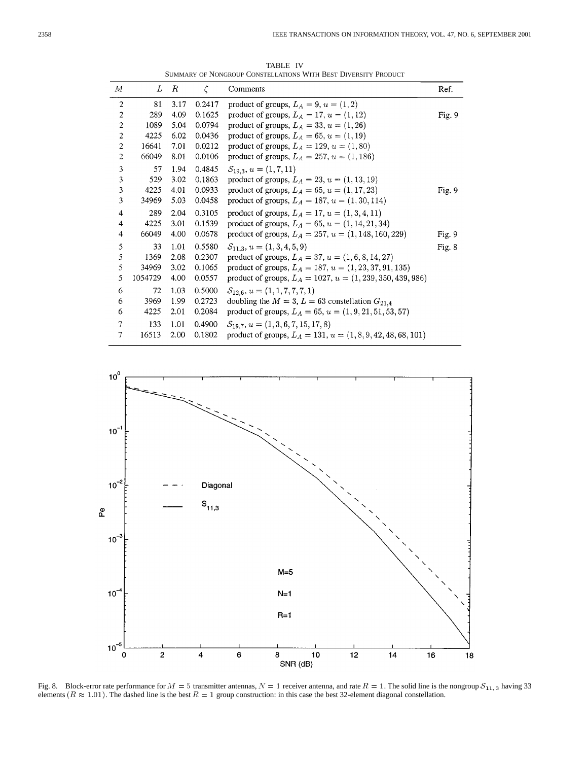| М              | L       | R    | Ċ      | Comments                                                          | Ref.     |
|----------------|---------|------|--------|-------------------------------------------------------------------|----------|
| $\overline{2}$ | 81      | 3.17 | 0.2417 | product of groups, $L_A = 9$ , $u = (1, 2)$                       |          |
| $\overline{2}$ | 289     | 4.09 | 0.1625 | product of groups, $L_A = 17$ , $u = (1, 12)$                     | Fig. 9   |
| $\overline{2}$ | 1089    | 5.04 | 0.0794 | product of groups, $L_A = 33$ , $u = (1, 26)$                     |          |
| $\overline{c}$ | 4225    | 6.02 | 0.0436 | product of groups, $L_A = 65$ , $u = (1, 19)$                     |          |
| $\overline{c}$ | 16641   | 7.01 | 0.0212 | product of groups, $L_A = 129$ , $u = (1, 80)$                    |          |
| $\overline{c}$ | 66049   | 8.01 | 0.0106 | product of groups, $L_A = 257$ , $u = (1, 186)$                   |          |
| 3              | 57      | 1.94 | 0.4845 | $S_{19,3}$ , $u = (1, 7, 11)$                                     |          |
| 3              | 529     | 3.02 | 0.1863 | product of groups, $L_A = 23$ , $u = (1, 13, 19)$                 |          |
| 3              | 4225    | 4.01 | 0.0933 | product of groups, $L_A = 65$ , $u = (1, 17, 23)$                 | Fig. $9$ |
| 3              | 34969   | 5.03 | 0.0458 | product of groups, $L_A = 187$ , $u = (1, 30, 114)$               |          |
| $\overline{4}$ | 289     | 2.04 | 0.3105 | product of groups, $L_A = 17$ , $u = (1, 3, 4, 11)$               |          |
| 4              | 4225    | 3.01 | 0.1539 | product of groups, $L_A = 65$ , $u = (1, 14, 21, 34)$             |          |
| 4              | 66049   | 4.00 | 0.0678 | product of groups, $L_A = 257$ , $u = (1, 148, 160, 229)$         | Fig. 9   |
| 5              | 33      | 1.01 | 0.5580 | $S_{11,3}$ , $u = (1,3,4,5,9)$                                    | Fig. 8   |
| 5              | 1369    | 2.08 | 0.2307 | product of groups, $L_A = 37$ , $u = (1, 6, 8, 14, 27)$           |          |
| 5              | 34969   | 3.02 | 0.1065 | product of groups, $L_A = 187$ , $u = (1, 23, 37, 91, 135)$       |          |
| 5              | 1054729 | 4.00 | 0.0557 | product of groups, $L_A = 1027$ , $u = (1, 239, 350, 439, 986)$   |          |
| 6              | 72      | 1.03 | 0.5000 | $S_{12,6}$ , $u = (1, 1, 7, 7, 7, 1)$                             |          |
| 6              | 3969    | 1.99 | 0.2723 | doubling the $M = 3$ , $L = 63$ constellation $G_{21,4}$          |          |
| 6              | 4225    | 2.01 | 0.2084 | product of groups, $L_A = 65$ , $u = (1, 9, 21, 51, 53, 57)$      |          |
| $\overline{7}$ | 133     | 1.01 | 0.4900 | $S_{19,7}$ , $u = (1, 3, 6, 7, 15, 17, 8)$                        |          |
| $\overline{7}$ | 16513   | 2.00 | 0.1802 | product of groups, $L_A = 131$ , $u = (1, 8, 9, 42, 48, 68, 101)$ |          |

TABLE IV SUMMARY OF NONGROUP CONSTELLATIONS WITH BEST DIVERSITY PRODUCT



Fig. 8. Block-error rate performance for  $M = 5$  transmitter antennas,  $N = 1$  receiver antenna, and rate  $R = 1$ . The solid line is the nongroup  $S_{11,3}$  having 33 elements ( $R \approx 1.01$ ). The dashed line is the best  $R = 1$  group construction: in this case the best 32-element diagonal constellation.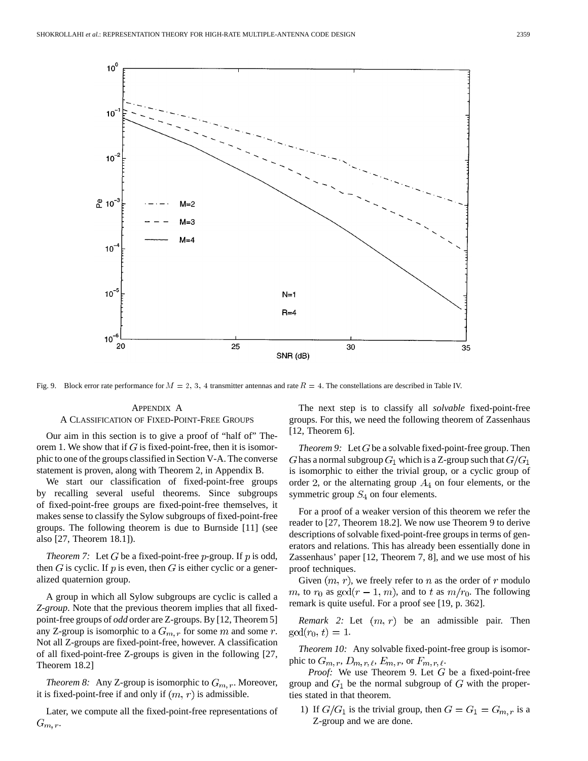

Fig. 9. Block error rate performance for  $M = 2, 3, 4$  transmitter antennas and rate  $R = 4$ . The constellations are described in Table IV.

# APPENDIX A

# A CLASSIFICATION OF FIXED-POINT-FREE GROUPS

Our aim in this section is to give a proof of "half of" Theorem 1. We show that if  $G$  is fixed-point-free, then it is isomorphic to one of the groups classified in Section V-A. The converse statement is proven, along with Theorem 2, in Appendix B.

We start our classification of fixed-point-free groups by recalling several useful theorems. Since subgroups of fixed-point-free groups are fixed-point-free themselves, it makes sense to classify the Sylow subgroups of fixed-point-free groups. The following theorem is due to Burnside [11] (see also [27, Theorem 18.1]).

*Theorem 7:* Let G be a fixed-point-free  $p$ -group. If  $p$  is odd, then  $G$  is cyclic. If  $p$  is even, then  $G$  is either cyclic or a generalized quaternion group.

A group in which all Sylow subgroups are cyclic is called a *Z-group*. Note that the previous theorem implies that all fixedpoint-free groups of *odd* order are Z-groups. By [12, Theorem 5] any Z-group is isomorphic to a  $G_{m,r}$  for some m and some r. Not all Z-groups are fixed-point-free, however. A classification of all fixed-point-free Z-groups is given in the following [27, Theorem 18.2]

*Theorem 8:* Any Z-group is isomorphic to  $G_{m,r}$ . Moreover, it is fixed-point-free if and only if  $(m, r)$  is admissible.

Later, we compute all the fixed-point-free representations of  $G_{m,r}$ .

The next step is to classify all *solvable* fixed-point-free groups. For this, we need the following theorem of Zassenhaus [12, Theorem 6].

*Theorem 9:* Let  $G$  be a solvable fixed-point-free group. Then G has a normal subgroup  $G_1$  which is a Z-group such that  $G/G_1$ is isomorphic to either the trivial group, or a cyclic group of order 2, or the alternating group  $A_4$  on four elements, or the symmetric group  $S_4$  on four elements.

For a proof of a weaker version of this theorem we refer the reader to [27, Theorem 18.2]. We now use Theorem 9 to derive descriptions of solvable fixed-point-free groups in terms of generators and relations. This has already been essentially done in Zassenhaus' paper [12, Theorem 7, 8], and we use most of his proof techniques.

Given  $(m, r)$ , we freely refer to n as the order of r modulo m, to  $r_0$  as  $gcd(r-1, m)$ , and to t as  $m/r_0$ . The following remark is quite useful. For a proof see [19, p. 362].

*Remark 2:* Let  $(m, r)$  be an admissible pair. Then  $gcd(r_0, t) = 1.$ 

*Theorem 10:* Any solvable fixed-point-free group is isomorphic to  $G_{m,\, r},$   $D_{m,\, r,\, \ell},$   $E_{m,\, r},$  or  $F_{m,\, r,\, \ell}.$ 

*Proof:* We use Theorem 9. Let  $G$  be a fixed-point-free group and  $G_1$  be the normal subgroup of G with the properties stated in that theorem.

1) If  $G/G_1$  is the trivial group, then  $G = G_1 = G_{m,r}$  is a Z-group and we are done.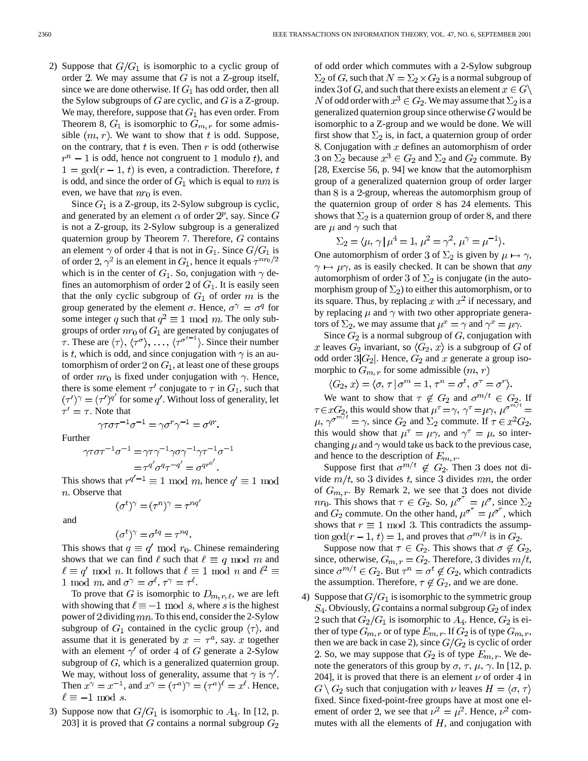2) Suppose that  $G/G_1$  is isomorphic to a cyclic group of order 2. We may assume that  $G$  is not a Z-group itself, since we are done otherwise. If  $G_1$  has odd order, then all the Sylow subgroups of  $G$  are cyclic, and  $G$  is a Z-group. We may, therefore, suppose that  $G_1$  has even order. From Theorem 8,  $G_1$  is isomorphic to  $G_{m,r}$  for some admissible  $(m, r)$ . We want to show that t is odd. Suppose, on the contrary, that  $t$  is even. Then  $r$  is odd (otherwise  $r^n - 1$  is odd, hence not congruent to 1 modulo t), and  $1 = \gcd(r-1, t)$  is even, a contradiction. Therefore, t is odd, and since the order of  $G_1$  which is equal to  $nm$  is even, we have that  $nr_0$  is even.

Since  $G_1$  is a Z-group, its 2-Sylow subgroup is cyclic, and generated by an element  $\alpha$  of order  $2^p$ , say. Since G is not a Z-group, its 2-Sylow subgroup is a generalized quaternion group by Theorem 7. Therefore,  $G$  contains an element  $\gamma$  of order 4 that is not in  $G_1$ . Since  $G/G_1$  is of order 2,  $\gamma^2$  is an element in  $G_1$ , hence it equals  $\tau^{nr_0/2}$ which is in the center of  $G_1$ . So, conjugation with  $\gamma$  defines an automorphism of order 2 of  $G_1$ . It is easily seen that the only cyclic subgroup of  $G_1$  of order  $m$  is the group generated by the element  $\sigma$ . Hence,  $\sigma^{\gamma} = \sigma^{\gamma}$  for some integer q such that  $q^2 \equiv 1 \mod m$ . The only subgroups of order  $nr_0$  of  $G_1$  are generated by conjugates of . These are  $\langle \tau \rangle$ ,  $\langle \tau^{\sigma} \rangle$ , ...,  $\langle \tau^{\sigma^{c-1}} \rangle$ . Since their number is t, which is odd, and since conjugation with  $\gamma$  is an automorphism of order 2 on  $G_1$ , at least one of these groups of order  $nr_0$  is fixed under conjugation with  $\gamma$ . Hence, there is some element  $\tau'$  conjugate to  $\tau$  in  $G_1$ , such that  $(\tau')^{\gamma} = (\tau')^{q'}$  for some  $q'$ . Without loss of generality, let  $\tau' = \tau$ . Note that<br>  $\gamma \tau \sigma \tau^{-1} \sigma^{-1} = \gamma \sigma^r \gamma^{-1} = \sigma^q$ .

Further

$$
\gamma \tau \sigma \tau^{-1} \sigma^{-1} = \gamma \tau \gamma^{-1} \gamma \sigma \gamma^{-1} \gamma \tau^{-1} \sigma^{-1}
$$

$$
= \tau^{q'} \sigma^q \tau^{-q'} = \sigma^{qr^{q'}}.
$$

This shows that  $r^{q'-1} \equiv 1 \mod m$ , hence  $q' \equiv 1 \mod m$ *n*. Observe that  $(\sigma^t)^\gamma = (\tau^n)^\gamma = \tau^{nq'}$ 

and

$$
(\sigma^t)^\gamma = \sigma^{tq} = \tau^{nq}
$$

This shows that  $q \equiv q' \mod r_0$ . Chinese remaindering shows that we can find  $\ell$  such that  $\ell \equiv q \mod m$  and  $\ell \equiv q' \mod n$ . It follows that  $\ell \equiv 1 \mod n$  and  $\ell^2 \equiv$ 1 mod m, and  $\sigma^{\gamma} = \sigma^{\ell}, \tau^{\gamma} = \tau^{\ell}$ .

To prove that G is isomorphic to  $D_{m, r, \ell}$ , we are left with showing that  $\ell \equiv -1 \mod s$ , where s is the highest power of  $2$  dividing  $mn$ . To this end, consider the 2-Sylow subgroup of  $G_1$  contained in the cyclic group  $\langle \tau \rangle$ , and assume that it is generated by  $x = \tau^a$ , say. x together with an element  $\gamma'$  of order 4 of G generate a 2-Sylow subgroup of  $G$ , which is a generalized quaternion group. We may, without loss of generality, assume that  $\gamma$  is  $\gamma'$ . Then  $x^{\gamma} = x^{-1}$ , and  $x^{\gamma} = (\tau^a)^{\gamma} = (\tau^a)^{\ell} = x^{\ell}$ . Hence,  $\ell \equiv -1 \mod s$ .

3) Suppose now that  $G/G_1$  is isomorphic to  $A_4$ . In [12, p. 203] it is proved that G contains a normal subgroup  $G_2$ 

of odd order which commutes with a 2-Sylow subgroup  $\Sigma_2$  of G, such that  $N = \Sigma_2 \times G_2$  is a normal subgroup of index 3 of G, and such that there exists an element  $x \in G \setminus$ N of odd order with  $x^3 \in G_2$ . We may assume that  $\Sigma_2$  is a generalized quaternion group since otherwise  $G$  would be isomorphic to a Z-group and we would be done. We will first show that  $\Sigma_2$  is, in fact, a quaternion group of order 8. Conjugation with  $x$  defines an automorphism of order 3 on  $\Sigma_2$  because  $x^3 \in G_2$  and  $\Sigma_2$  and  $G_2$  commute. By [28, Exercise 56, p. 94] we know that the automorphism group of a generalized quaternion group of order larger than  $\delta$  is a 2-group, whereas the automorphism group of the quaternion group of order  $8$  has 24 elements. This shows that  $\Sigma_2$  is a quaternion group of order 8, and there are  $\mu$  and  $\gamma$  such that

$$
\Sigma_2 = \langle \mu, \gamma \, | \, \mu^4 = 1, \, \mu^2 = \gamma^2, \, \mu^{\gamma} = \mu^{-1} \rangle.
$$

One automorphism of order 3 of  $\Sigma_2$  is given by  $\mu \mapsto \gamma$ ,  $\gamma \mapsto \mu \gamma$ , as is easily checked. It can be shown that *any* automorphism of order 3 of  $\Sigma_2$  is conjugate (in the automorphism group of  $\Sigma_2$ ) to either this automorphism, or to its square. Thus, by replacing x with  $x^2$  if necessary, and by replacing  $\mu$  and  $\gamma$  with two other appropriate generators of  $\Sigma_2$ , we may assume that  $\mu^x = \gamma$  and  $\gamma^x = \mu \gamma$ .

Since  $G_2$  is a normal subgroup of  $G$ , conjugation with x leaves  $G_2$  invariant, so  $\langle G_2, x \rangle$  is a subgroup of G of odd order  $3|G_2|$ . Hence,  $G_2$  and x generate a group isomorphic to  $G_{m,r}$  for some admissible  $(m, r)$ 

$$
\langle G_2, x \rangle = \langle \sigma, \tau | \sigma^m = 1, \tau^n = \sigma^t, \sigma^\tau = \sigma^r \rangle.
$$

We want to show that  $\tau \notin G_2$  and  $\sigma^{m/t} \in G_{2}$ . If , this would show that , since  $G_2$  and  $\Sigma_2$  commute. If  $\tau \in x^2 G_2$ , this would show that  $\mu^{\tau} = \mu \gamma$ , and  $\gamma^{\tau} = \mu$ , so interchanging  $\mu$  and  $\gamma$  would take us back to the previous case, and hence to the description of  $E_{m,r}$ .

Suppose first that  $\sigma^{m/t} \notin G_2$ . Then 3 does not divide  $m/t$ , so 3 divides t, since 3 divides  $mn$ , the order of  $G_{m,r}$ . By Remark 2, we see that 3 does not divide . This shows that  $\tau \in G_2$ . So,  $\mu^{\sigma^+} = \mu^{\sigma}$ , since and  $G_2$  commute. On the other hand,  $\mu^{\sigma^{\prime}} = \mu^{\sigma^{\prime}}$ , which shows that  $r \equiv 1 \mod 3$ . This contradicts the assumption  $gcd(r-1, t) = 1$ , and proves that  $\sigma^{m/t}$  is in  $G_2$ .

Suppose now that  $\tau \in G_2$ . This shows that  $\sigma \notin G_2$ , since, otherwise,  $G_{m,r} = G_2$ . Therefore, 3 divides  $m/t$ , since  $\sigma^{m/t} \in G_2$ . But  $\tau^n = \sigma^t \notin G_2$ , which contradicts the assumption. Therefore,  $\tau \notin G_2$ , and we are done.

4) Suppose that  $G/G_1$  is isomorphic to the symmetric group  $S_4$ . Obviously, G contains a normal subgroup  $G_2$  of index 2 such that  $G_2/G_1$  is isomorphic to  $A_4$ . Hence,  $G_2$  is either of type  $G_{m,r}$  or of type  $E_{m,r}$ . If  $G_2$  is of type  $G_{m,r}$ , then we are back in case 2), since  $G/G_2$  is cyclic of order 2. So, we may suppose that  $G_2$  is of type  $E_{m,r}$ . We denote the generators of this group by  $\sigma$ ,  $\tau$ ,  $\mu$ ,  $\gamma$ . In [12, p. 204], it is proved that there is an element  $\nu$  of order 4 in  $G \setminus G_2$  such that conjugation with  $\nu$  leaves  $H = \langle \sigma, \tau \rangle$ fixed. Since fixed-point-free groups have at most one element of order 2, we see that  $\nu^2 = \mu^2$ . Hence,  $\nu^2$  commutes with all the elements of  $H$ , and conjugation with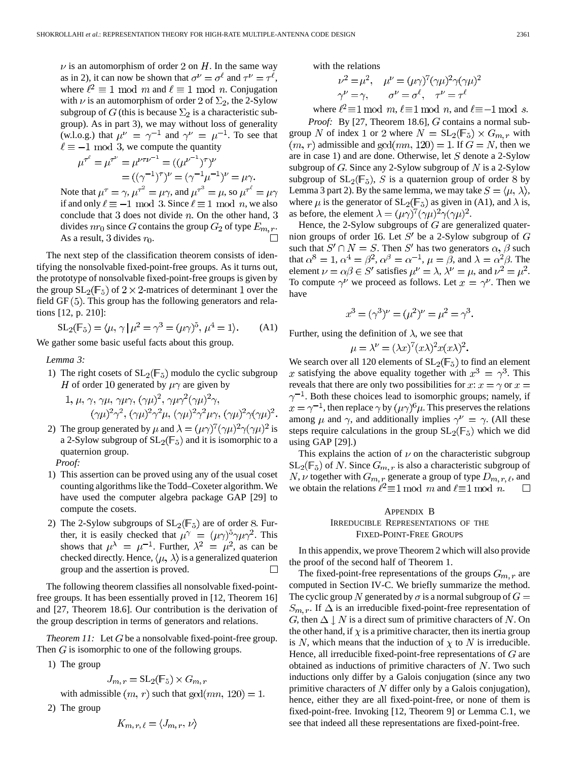$\nu$  is an automorphism of order 2 on H. In the same way as in 2), it can now be shown that  $\sigma^{\nu} = \sigma^{\ell}$  and  $\tau^{\nu} = \tau^{\ell}$ , where  $\ell^2 \equiv 1 \mod m$  and  $\ell \equiv 1 \mod n$ . Conjugation with  $\nu$  is an automorphism of order 2 of  $\Sigma_2$ , the 2-Sylow subgroup of G (this is because  $\Sigma_2$  is a characteristic subgroup). As in part 3), we may without loss of generality (w.l.o.g.) that  $\mu^{\nu} = \gamma^{-1}$  and  $\gamma^{\nu} = \mu^{-1}$ . To see that  $\ell \equiv -1 \mod 3$ , we compute the quantity

$$
\mu^{\tau^{\ell}} = \mu^{\tau^{\nu}} = \mu^{\nu\tau\nu^{-1}} = ((\mu^{\nu^{-1}})^{\tau})^{\nu}
$$
  
=  $((\gamma^{-1})^{\tau})^{\nu} = (\gamma^{-1}\mu^{-1})^{\nu} = \mu\gamma.$ 

Note that  $\mu^{\tau} = \gamma$ ,  $\mu^{\tau^2} = \mu \gamma$ , and  $\mu^{\tau^3} = \mu$ , so  $\mu^{\tau^k} = \mu \gamma$ if and only  $\ell \equiv -1 \mod 3$ . Since  $\ell \equiv 1 \mod n$ , we also conclude that 3 does not divide  $n$ . On the other hand, 3 divides  $nr_0$  since G contains the group  $G_2$  of type  $E_{m,r}$ . As a result, 3 divides  $r_0$ .

The next step of the classification theorem consists of identifying the nonsolvable fixed-point-free groups. As it turns out, the prototype of nonsolvable fixed-point-free groups is given by the group  $SL_2(\mathbb{F}_5)$  of  $2 \times 2$ -matrices of determinant 1 over the field  $GF(5)$ . This group has the following generators and relations [12, p. 210]:

$$
SL_2(\mathbb{F}_5) = \langle \mu, \gamma | \mu^2 = \gamma^3 = (\mu \gamma)^5, \mu^4 = 1 \rangle. \tag{A1}
$$

We gather some basic useful facts about this group.

*Lemma 3:*

1) The right cosets of  $SL_2(\mathbb{F}_5)$  modulo the cyclic subgroup H of order 10 generated by  $\mu\gamma$  are given by

1, 
$$
\mu
$$
,  $\gamma$ ,  $\gamma\mu$ ,  $\gamma\mu\gamma$ ,  $(\gamma\mu)^2$ ,  $\gamma\mu\gamma^2(\gamma\mu)^2\gamma$ ,  
\n $(\gamma\mu)^2\gamma^2$ ,  $(\gamma\mu)^2\gamma^2\mu$ ,  $(\gamma\mu)^2\gamma^2\mu\gamma$ ,  $(\gamma\mu)^2\gamma(\gamma\mu)^2$ 

2) The group generated by  $\mu$  and  $\lambda = (\mu \gamma)^7 (\gamma \mu)^2 \gamma (\gamma \mu)^2$  is a 2-Sylow subgroup of  $SL_2(\mathbb{F}_5)$  and it is isomorphic to a quaternion group.

*Proof:*

- 1) This assertion can be proved using any of the usual coset counting algorithms like the Todd–Coxeter algorithm. We have used the computer algebra package GAP [29] to compute the cosets.
- 2) The 2-Sylow subgroups of  $SL_2(\mathbb{F}_5)$  are of order 8. Further, it is easily checked that  $\mu^{\gamma} = (\mu \gamma)^5 \gamma \mu \gamma^2$ . This shows that  $\mu^{\lambda} = \mu^{-1}$ . Further,  $\lambda^2 = \mu^2$ , as can be checked directly. Hence,  $\langle \mu, \lambda \rangle$  is a generalized quaterion group and the assertion is proved.  $\Box$

The following theorem classifies all nonsolvable fixed-pointfree groups. It has been essentially proved in [12, Theorem 16] and [27, Theorem 18.6]. Our contribution is the derivation of the group description in terms of generators and relations.

*Theorem 11:* Let  $G$  be a nonsolvable fixed-point-free group. Then  $G$  is isomorphic to one of the following groups.

1) The group

$$
J_{m,r} = \mathrm{SL}_2(\mathbb{F}_5) \times G_{m,r}
$$

with admissible  $(m, r)$  such that  $gcd(mn, 120) = 1$ .

2) The group

$$
K_{m,\,r,\,\ell}=\langle J_{m,\,r},\,\nu\rangle
$$

with the relations

$$
\nu^2 = \mu^2, \quad \mu^{\nu} = (\mu \gamma)^7 (\gamma \mu)^2 \gamma (\gamma \mu)^2
$$
  

$$
\gamma^{\nu} = \gamma, \qquad \sigma^{\nu} = \sigma^{\ell}, \quad \tau^{\nu} = \tau^{\ell}
$$

where  $\ell^2 \equiv 1 \mod m$ ,  $\ell \equiv 1 \mod n$ , and  $\ell \equiv -1 \mod s$ . *Proof:* By [27, Theorem 18.6], G contains a normal subgroup N of index 1 or 2 where  $N = SL_2(\mathbb{F}_5) \times G_{m,r}$  with  $(m, r)$  admissible and  $gcd(mn, 120) = 1$ . If  $G = N$ , then we are in case 1) and are done. Otherwise, let  $S$  denote a 2-Sylow subgroup of  $G$ . Since any 2-Sylow subgroup of  $N$  is a 2-Sylow subgroup of  $SL_2(\mathbb{F}_5)$ , S is a quaternion group of order 8 by Lemma 3 part 2). By the same lemma, we may take  $S = \langle \mu, \lambda \rangle$ , where  $\mu$  is the generator of  $SL_2(\mathbb{F}_5)$  as given in (A1), and  $\lambda$  is, as before, the element  $\lambda = (\mu \gamma)^7 (\gamma \mu)^2 \gamma (\gamma \mu)^2$ .

Hence, the 2-Sylow subgroups of  $G$  are generalized quaternion groups of order 16. Let  $S'$  be a 2-Sylow subgroup of  $G$ such that  $S' \cap N = S$ . Then S' has two generators  $\alpha$ ,  $\beta$  such that  $\alpha^8 = 1$ ,  $\alpha^4 = \beta^2$ ,  $\alpha^{\beta} = \alpha^{-1}$ ,  $\mu = \beta$ , and  $\lambda = \alpha^2 \beta$ . The element  $\nu = \alpha \beta \in S'$  satisfies  $\mu^{\nu} = \lambda$ ,  $\lambda^{\nu} = \mu$ , and  $\nu^2 = \mu^2$ . To compute  $\gamma^{\nu}$  we proceed as follows. Let  $x = \gamma^{\nu}$ . Then we have

$$
x^{3} = (\gamma^{3})^{\nu} = (\mu^{2})^{\nu} = \mu^{2} = \gamma^{3}.
$$

Further, using the definition of  $\lambda$ , we see that

$$
\mu = \lambda^{\nu} = (\lambda x)^{7} (x \lambda)^{2} x (x \lambda)^{2}.
$$

We search over all 120 elements of  $SL_2(\mathbb{F}_5)$  to find an element x satisfying the above equality together with  $x^3 = \gamma^3$ . This reveals that there are only two possibilities for  $x: x = \gamma$  or  $x = \gamma$  $\gamma^{-1}$ . Both these choices lead to isomorphic groups; namely, if  $x = \gamma^{-1}$ , then replace  $\gamma$  by  $(\mu \gamma)^6 \mu$ . This preserves the relations among  $\mu$  and  $\gamma$ , and additionally implies  $\gamma^{\nu} = \gamma$ . (All these steps require calculations in the group  $SL_2(\mathbb{F}_5)$  which we did using GAP [29].)

This explains the action of  $\nu$  on the characteristic subgroup  $SL_2(\mathbb{F}_5)$  of N. Since  $G_{m,r}$  is also a characteristic subgroup of N,  $\nu$  together with  $G_{m,r}$  generate a group of type  $D_{m,r,\ell}$ , and we obtain the relations  $\ell^2 \equiv 1 \mod m$  and  $\ell \equiv 1 \mod n$ .  $\Box$ 

# APPENDIX B

# IRREDUCIBLE REPRESENTATIONS OF THE FIXED-POINT-FREE GROUPS

In this appendix, we prove Theorem 2 which will also provide the proof of the second half of Theorem 1.

The fixed-point-free representations of the groups  $G_{m,r}$  are computed in Section IV-C. We briefly summarize the method. The cyclic group N generated by  $\sigma$  is a normal subgroup of  $G =$  $S_{m,r}$ . If  $\Delta$  is an irreducible fixed-point-free representation of G, then  $\Delta \downarrow N$  is a direct sum of primitive characters of N. On the other hand, if  $\chi$  is a primitive character, then its inertia group is N, which means that the induction of  $\chi$  to N is irreducible. Hence, all irreducible fixed-point-free representations of  $G$  are obtained as inductions of primitive characters of  $N$ . Two such inductions only differ by a Galois conjugation (since any two primitive characters of  $N$  differ only by a Galois conjugation), hence, either they are all fixed-point-free, or none of them is fixed-point-free. Invoking [12, Theorem 9] or Lemma C.1, we see that indeed all these representations are fixed-point-free.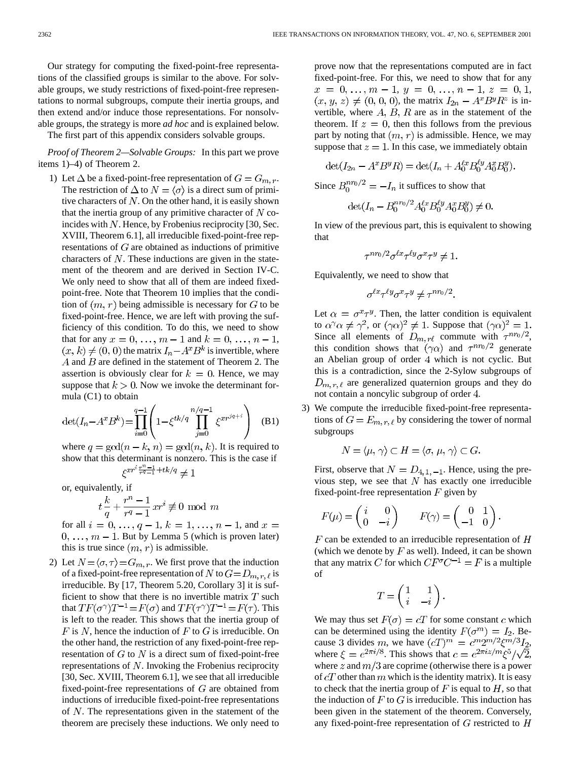Our strategy for computing the fixed-point-free representations of the classified groups is similar to the above. For solvable groups, we study restrictions of fixed-point-free representations to normal subgroups, compute their inertia groups, and then extend and/or induce those representations. For nonsolvable groups, the strategy is more *ad hoc* and is explained below.

The first part of this appendix considers solvable groups.

*Proof of Theorem 2—Solvable Groups:* In this part we prove items 1)–4) of Theorem 2.

1) Let  $\Delta$  be a fixed-point-free representation of  $G = G_{m,r}$ . The restriction of  $\Delta$  to  $N = \langle \sigma \rangle$  is a direct sum of primitive characters of  $N$ . On the other hand, it is easily shown that the inertia group of any primitive character of  $N$  coincides with  $N$ . Hence, by Frobenius reciprocity [30, Sec. XVIII, Theorem 6.1], all irreducible fixed-point-free representations of  $G$  are obtained as inductions of primitive characters of  $N$ . These inductions are given in the statement of the theorem and are derived in Section IV-C. We only need to show that all of them are indeed fixedpoint-free. Note that Theorem 10 implies that the condition of  $(m, r)$  being admissible is necessary for G to be fixed-point-free. Hence, we are left with proving the sufficiency of this condition. To do this, we need to show that for any  $x = 0, ..., m - 1$  and  $k = 0, ..., n - 1$ ,  $(x, k) \neq (0, 0)$  the matrix  $I_n - A^x B^k$  is invertible, where  $A$  and  $B$  are defined in the statement of Theorem 2. The assertion is obviously clear for  $k = 0$ . Hence, we may suppose that  $k > 0$ . Now we invoke the determinant formula (C1) to obtain

$$
\det(I_n - A^x B^k) = \prod_{i=0}^{q-1} \left( 1 - \xi^{tk/q} \prod_{j=0}^{n/q-1} \xi^{xr^{jq+i}} \right) \quad (B1)
$$

where  $q = \gcd(n - k, n) = \gcd(n, k)$ . It is required to show that this determinant is nonzero. This is the case if  $\xi^{xr^i\frac{r^n-1}{r^q-1}+tk/q} \neq 1$ 

or, equivalently, if

$$
t\,\frac{k}{q}+\frac{r^n-1}{r^q-1}\,xr^i\not\equiv 0\ \mathrm{mod}\ m
$$

for all  $i = 0, ..., q - 1, k = 1, ..., n - 1$ , and  $x =$  $0, \ldots, m-1$ . But by Lemma 5 (which is proven later) this is true since  $(m, r)$  is admissible.

2) Let  $N = \langle \sigma, \tau \rangle = G_{m,r}$ . We first prove that the induction of a fixed-point-free representation of N to  $G = D_{m,r,\ell}$  is irreducible. By [17, Theorem 5.20, Corollary 3] it is sufficient to show that there is no invertible matrix  $T$  such that  $TF(\sigma^{\gamma})T^{-1} = F(\sigma)$  and  $TF(\tau^{\gamma})T^{-1} = F(\tau)$ . This is left to the reader. This shows that the inertia group of  $F$  is  $N$ , hence the induction of  $F$  to  $G$  is irreducible. On the other hand, the restriction of any fixed-point-free representation of  $G$  to  $N$  is a direct sum of fixed-point-free representations of  $N$ . Invoking the Frobenius reciprocity [30, Sec. XVIII, Theorem 6.1], we see that all irreducible fixed-point-free representations of  $G$  are obtained from inductions of irreducible fixed-point-free representations of  $N$ . The representations given in the statement of the theorem are precisely these inductions. We only need to

prove now that the representations computed are in fact fixed-point-free. For this, we need to show that for any  $x = 0, \ldots, m - 1, y = 0, \ldots, n - 1, z = 0, 1,$  $(x, y, z) \neq (0, 0, 0)$ , the matrix  $I_{2n} - A^{x}B^{y}R^{z}$  is invertible, where  $A, B, R$  are as in the statement of the theorem. If  $z = 0$ , then this follows from the previous part by noting that  $(m, r)$  is admissible. Hence, we may suppose that  $z = 1$ . In this case, we immediately obtain

$$
\det(I_{2n} - A^x B^y R) = \det(I_n + A_0^{\ell x} B_0^{\ell y} A_0^x B_0^y).
$$

Since  $B_0^{nr_0/2} = -I_n$  it suffices to show that

$$
\det(I_n - B_0^{nr_0/2} A_0^{\ell x} B_0^{\ell y} A_0^x B_0^y) \neq 0.
$$

In view of the previous part, this is equivalent to showing that

$$
\tau^{nr_0/2}\sigma^{\ell x}\tau^{\ell y}\sigma^x\tau^y\neq 1.
$$

Equivalently, we need to show that

$$
\sigma^{\ell x} \tau^{\ell y} \sigma^x \tau^y \neq \tau^{nr_0/2}.
$$

Let  $\alpha = \sigma^x \tau^y$ . Then, the latter condition is equivalent to  $\alpha^{\gamma} \alpha \neq \gamma^2$ , or  $(\gamma \alpha)^2 \neq 1$ . Suppose that  $(\gamma \alpha)^2 = 1$ . Since all elements of  $D_{m, r\ell}$  commute with  $\tau^{nr_0/2}$ , this condition shows that  $(\gamma \alpha)$  and  $\tau^{nr_0/2}$  generate an Abelian group of order 4 which is not cyclic. But this is a contradiction, since the 2-Sylow subgroups of  $D_{m,r,\ell}$  are generalized quaternion groups and they do not contain a noncylic subgroup of order 4.

3) We compute the irreducible fixed-point-free representations of  $G = E_{m,r,\ell}$  by considering the tower of normal subgroups

$$
N = \langle \mu, \gamma \rangle \subset H = \langle \sigma, \mu, \gamma \rangle \subset G.
$$

First, observe that  $N = D_{4,1,-1}$ . Hence, using the previous step, we see that  $N$  has exactly one irreducible fixed-point-free representation  $F$  given by

$$
F(\mu) = \begin{pmatrix} i & 0 \\ 0 & -i \end{pmatrix} \qquad F(\gamma) = \begin{pmatrix} 0 & 1 \\ -1 & 0 \end{pmatrix}.
$$

 $F$  can be extended to an irreducible representation of  $H$ (which we denote by  $F$  as well). Indeed, it can be shown that any matrix C for which  $CF^{\sigma}C^{-1} = F$  is a multiple of

$$
T = \begin{pmatrix} 1 & 1 \\ i & -i \end{pmatrix}.
$$

We may thus set  $F(\sigma) = cT$  for some constant c which can be determined using the identity  $F(\sigma^m) = I_2$ . Because 3 divides m, we have  $(cT)^m = c^m 2^{m/2} \xi^{m/3} I_2$ , where  $\xi = e^{2\pi i/8}$ . This shows that  $c = e^{2\pi i z/m} \xi^5 / \sqrt{2}$ , where z and  $m/3$  are coprime (otherwise there is a power of  $cT$  other than m which is the identity matrix). It is easy to check that the inertia group of  $F$  is equal to  $H$ , so that the induction of  $F$  to  $G$  is irreducible. This induction has been given in the statement of the theorem. Conversely, any fixed-point-free representation of  $G$  restricted to  $H$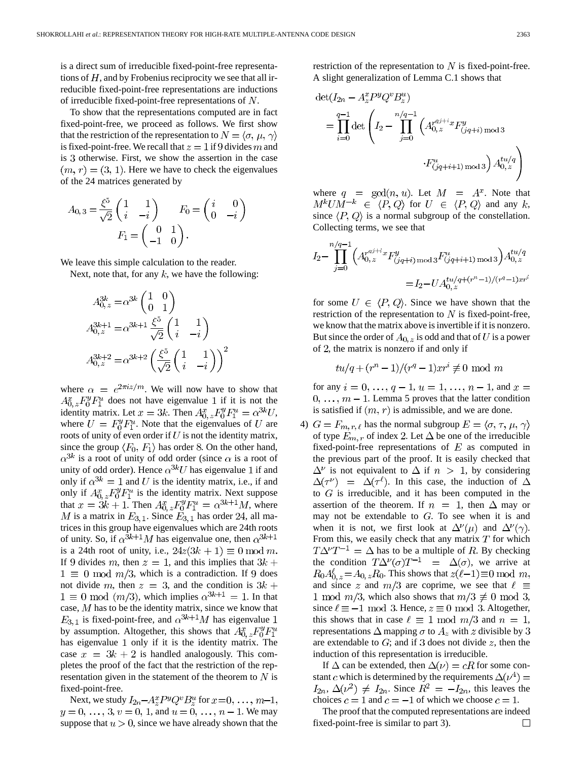is a direct sum of irreducible fixed-point-free representations of  $H$ , and by Frobenius reciprocity we see that all irreducible fixed-point-free representations are inductions of irreducible fixed-point-free representations of  $N$ .

To show that the representations computed are in fact fixed-point-free, we proceed as follows. We first show that the restriction of the representation to  $N = \langle \sigma, \mu, \gamma \rangle$ is fixed-point-free. We recall that  $z = 1$  if 9 divides m and is 3 otherwise. First, we show the assertion in the case  $(m, r) = (3, 1)$ . Here we have to check the eigenvalues of the 24 matrices generated by

$$
A_{0,3} = \frac{\xi^5}{\sqrt{2}} \begin{pmatrix} 1 & 1 \\ i & -i \end{pmatrix} \qquad F_0 = \begin{pmatrix} i & 0 \\ 0 & -i \end{pmatrix}
$$

$$
F_1 = \begin{pmatrix} 0 & 1 \\ -1 & 0 \end{pmatrix}.
$$

We leave this simple calculation to the reader.

Next, note that, for any  $k$ , we have the following:

$$
A_{0,z}^{3k} = \alpha^{3k} \begin{pmatrix} 1 & 0 \\ 0 & 1 \end{pmatrix}
$$
  
\n
$$
A_{0,z}^{3k+1} = \alpha^{3k+1} \frac{\xi^5}{\sqrt{2}} \begin{pmatrix} 1 & 1 \\ i & -i \end{pmatrix}
$$
  
\n
$$
A_{0,z}^{3k+2} = \alpha^{3k+2} \left( \frac{\xi^5}{\sqrt{2}} \begin{pmatrix} 1 & 1 \\ i & -i \end{pmatrix} \right)^2
$$

where  $\alpha = e^{2\pi i z/m}$ . We will now have to show that  $A_{0,z}^x F_0^y F_1^u$  does not have eigenvalue 1 if it is not the identity matrix. Let  $x = 3k$ . Then  $A_{0,z}^x F_0^y F_1^u = \alpha^{3k} U$ , where  $U = F_0^y F_1^u$ . Note that the eigenvalues of U are roots of unity of even order if  $U$  is not the identity matrix, since the group  $\langle F_0, F_1 \rangle$  has order 8. On the other hand,  $\alpha^{3k}$  is a root of unity of odd order (since  $\alpha$  is a root of unity of odd order). Hence  $\alpha^{3k}U$  has eigenvalue 1 if and only if  $\alpha^{3k} = 1$  and U is the identity matrix, i.e., if and only if  $A_{0}^{x}$   $\mathcal{F}_{0}^{y}F_{1}^{u}$  is the identity matrix. Next suppose that  $x = 3k + 1$ . Then  $A_{0,z}^x F_0^y F_1^u = \alpha^{3k+1} M$ , where M is a matrix in  $E_{3,1}$ . Since  $E_{3,1}$  has order 24, all matrices in this group have eigenvalues which are 24th roots of unity. So, if  $\alpha^{3k+1}M$  has eigenvalue one, then  $\alpha^{3k+1}$ is a 24th root of unity, i.e.,  $24z(3k + 1) \equiv 0 \mod m$ . If 9 divides m, then  $z = 1$ , and this implies that  $3k +$  $1 \equiv 0 \mod m/3$ , which is a contradiction. If 9 does not divide m, then  $z = 3$ , and the condition is  $3k +$  $1 \equiv 0 \mod (m/3)$ , which implies  $\alpha^{3k+1} = 1$ . In that case,  $M$  has to be the identity matrix, since we know that  $E_{3,1}$  is fixed-point-free, and  $\alpha^{3k+1}M$  has eigenvalue 1 by assumption. Altogether, this shows that  $A_{0}^x F_0^y F_1^u$ has eigenvalue  $1$  only if it is the identity matrix. The case  $x = 3k + 2$  is handled analogously. This completes the proof of the fact that the restriction of the representation given in the statement of the theorem to  $N$  is fixed-point-free.

Next, we study  $I_{2n} - A_z^x P^y Q^v B_z^u$  for  $x = 0, \ldots, m-1$ ,  $y = 0, \ldots, 3, v = 0, 1,$  and  $u = 0, \ldots, n - 1$ . We may suppose that  $u > 0$ , since we have already shown that the restriction of the representation to  $N$  is fixed-point-free. A slight generalization of Lemma C.1 shows that

$$
det(I_{2n} - A_z^x P^y Q^v B_z^u)
$$
  
= 
$$
\prod_{i=0}^{q-1} det \left( I_2 - \prod_{j=0}^{n/q-1} \left( A_{0,z}^{r^{qj+i}x} F_{(jq+i) \bmod 3}^y \right) A_{0,z}^{tu/q} \right)
$$

$$
\cdot F_{(jq+i+1) \bmod 3}^{u}
$$

where  $q = \gcd(n, u)$ . Let  $M = A^x$ . Note that  $M^k UM^{-k} \in \langle P, Q \rangle$  for  $U \in \langle P, Q \rangle$  and any k, since  $\langle P, Q \rangle$  is a normal subgroup of the constellation. Collecting terms, we see that

$$
I_2 - \prod_{j=0}^{n/q-1} \left( A_{0,z}^{r^{qj+i}x} F_{(jq+i) \text{ mod } 3}^y F_{(jq+i+1) \text{ mod } 3}^{u} \right) A_{0,z}^{tu/q}
$$
  
=  $I_2 - U A_{0,z}^{tu/q + (r^n - 1)/(r^q - 1)xr^i}$ 

for some  $U \in \langle P, Q \rangle$ . Since we have shown that the restriction of the representation to  $N$  is fixed-point-free, we know that the matrix above is invertible if it is nonzero. But since the order of  $A_{0,z}$  is odd and that of U is a power of  $2$ , the matrix is nonzero if and only if

$$
tu/q + (rn - 1)/(rq - 1)xri \not\equiv 0 \mod m
$$

for any  $i = 0, \ldots, q - 1, u = 1, \ldots, n - 1$ , and  $x =$  $0, \ldots, m-1$ . Lemma 5 proves that the latter condition is satisfied if  $(m, r)$  is admissible, and we are done.

4)  $G = F_{m,r,\ell}$  has the normal subgroup  $E = \langle \sigma, \tau, \mu, \gamma \rangle$ of type  $E_{m,r}$  of index 2. Let  $\Delta$  be one of the irreducible fixed-point-free representations of  $E$  as computed in the previous part of the proof. It is easily checked that  $\Delta^{\nu}$  is not equivalent to  $\Delta$  if  $n > 1$ , by considering  $\Delta(\tau^{\nu}) = \Delta(\tau^{\ell})$ . In this case, the induction of  $\Delta$ to  $G$  is irreducible, and it has been computed in the assertion of the theorem. If  $n = 1$ , then  $\Delta$  may or may not be extendable to  $G$ . To see when it is and when it is not, we first look at  $\Delta^{\nu}(\mu)$  and  $\Delta^{\nu}(\gamma)$ . From this, we easily check that any matrix  $T$  for which  $T\Delta^{\nu}T^{-1} = \Delta$  has to be a multiple of R. By checking the condition  $T\Delta^{\nu}(\sigma)T^{-1} = \Delta(\sigma)$ , we arrive at  $R_0 A_{0,z}^{\ell} = A_{0,z} R_0$ . This shows that  $z(\ell-1) \equiv 0 \mod m$ , and since z and  $m/3$  are coprime, we see that  $\ell \equiv$ 1 mod  $m/3$ , which also shows that  $m/3 \not\equiv 0 \mod 3$ , since  $\ell \equiv -1 \mod 3$ . Hence,  $z \equiv 0 \mod 3$ . Altogether, this shows that in case  $\ell \equiv 1 \mod m/3$  and  $n = 1$ , representations  $\Delta$  mapping  $\sigma$  to  $A_z$  with z divisible by 3 are extendable to  $G$ ; and if 3 does not divide  $z$ , then the induction of this representation is irreducible.

If  $\Delta$  can be extended, then  $\Delta(\nu) = cR$  for some constant c which is determined by the requirements  $\Delta(\nu^4)$  =  $I_{2n}$ ,  $\Delta(\nu^2) \neq I_{2n}$ . Since  $R^2 = -I_{2n}$ , this leaves the choices  $c = 1$  and  $c = -1$  of which we choose  $c = 1$ .

The proof that the computed representations are indeed fixed-point-free is similar to part 3). $\Box$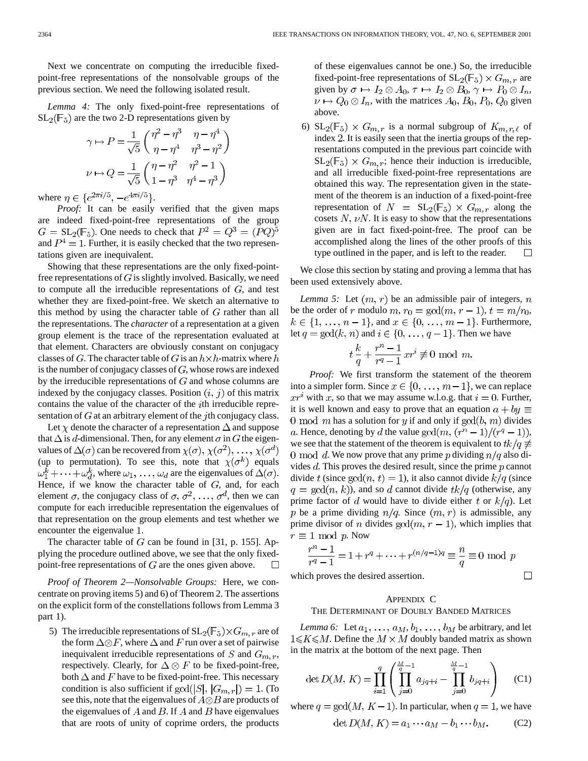Next we concentrate on computing the irreducible fixedpoint-free representations of the nonsolvable groups of the previous section. We need the following isolated result.

*Lemma 4:* The only fixed-point-free representations of  $SL_2(\mathbb{F}_5)$  are the two 2-D representations given by

$$
\gamma \mapsto P = \frac{1}{\sqrt{5}} \begin{pmatrix} \eta^2 - \eta^3 & \eta - \eta^4 \\ \eta - \eta^4 & \eta^3 - \eta^2 \end{pmatrix}
$$

$$
\nu \mapsto Q = \frac{1}{\sqrt{5}} \begin{pmatrix} \eta - \eta^2 & \eta^2 - 1 \\ 1 - \eta^3 & \eta^4 - \eta^3 \end{pmatrix}
$$

where  $\eta \in \{e^{2\pi i/5}, -e^{4\pi i/5}\}.$ 

*Proof:* It can be easily verified that the given maps are indeed fixed-point-free representations of the group  $G = SL_2(\mathbb{F}_5)$ . One needs to check that  $P^2 = Q^3 = (PQ)^5$ and  $P^4 = 1$ . Further, it is easily checked that the two representations given are inequivalent.

Showing that these representations are the only fixed-pointfree representations of  $G$  is slightly involved. Basically, we need to compute all the irreducible representations of  $G$ , and test whether they are fixed-point-free. We sketch an alternative to this method by using the character table of  $G$  rather than all the representations. The *character* of a representation at a given group element is the trace of the representation evaluated at that element. Characters are obviously constant on conjugacy classes of G. The character table of G is an  $h \times h$ -matrix where h is the number of conjugacy classes of  $G$ , whose rows are indexed by the irreducible representations of  $G$  and whose columns are indexed by the conjugacy classes. Position  $(i, j)$  of this matrix contains the value of the character of the  $i$ th irreducible representation of  $G$  at an arbitrary element of the *j*th conjugacy class.

Let  $\chi$  denote the character of a representation  $\Delta$  and suppose that  $\Delta$  is d-dimensional. Then, for any element  $\sigma$  in G the eigenvalues of  $\Delta(\sigma)$  can be recovered from  $\chi(\sigma)$ ,  $\chi(\sigma^2)$ , ...,  $\chi(\sigma^d)$ (up to permutation). To see this, note that  $\chi(\sigma^k)$  equals  $\omega_1^k + \cdots + \omega_d^k$ , where  $\omega_1, \ldots, \omega_d$  are the eigenvalues of  $\Delta(\sigma)$ . Hence, if we know the character table of  $G$ , and, for each element  $\sigma$ , the conjugacy class of  $\sigma$ ,  $\sigma^2$ , ...,  $\sigma^d$ , then we can compute for each irreducible representation the eigenvalues of that representation on the group elements and test whether we encounter the eigenvalue 1.

The character table of  $G$  can be found in [31, p. 155]. Applying the procedure outlined above, we see that the only fixedpoint-free representations of  $G$  are the ones given above.

*Proof of Theorem 2—Nonsolvable Groups:* Here, we concentrate on proving items 5) and 6) of Theorem 2. The assertions on the explicit form of the constellations follows from Lemma 3 part 1).

5) The irreducible representations of  $SL_2(\mathbb{F}_5) \times G_{m,r}$  are of the form  $\Delta \otimes F$ , where  $\Delta$  and F run over a set of pairwise inequivalent irreducible representations of S and  $G_{m,r}$ , respectively. Clearly, for  $\Delta \otimes F$  to be fixed-point-free, both  $\Delta$  and F have to be fixed-point-free. This necessary condition is also sufficient if  $gcd(|S|, |G_{m,r}|) = 1$ . (To see this, note that the eigenvalues of  $A \otimes B$  are products of the eigenvalues of  $A$  and  $B$ . If  $A$  and  $B$  have eigenvalues that are roots of unity of coprime orders, the products of these eigenvalues cannot be one.) So, the irreducible fixed-point-free representations of  $SL_2(\mathbb{F}_5) \times G_{m,r}$  are given by  $\sigma \mapsto I_2 \otimes A_0$ ,  $\tau \mapsto I_2 \otimes B_0$ ,  $\gamma \mapsto P_0 \otimes I_n$ ,  $\nu \mapsto Q_0 \otimes I_n$ , with the matrices  $A_0$ ,  $B_0$ ,  $P_0$ ,  $Q_0$  given above.

6)  $SL_2(\mathbb{F}_5) \times G_{m,r}$  is a normal subgroup of  $K_{m,r,\ell}$  of index 2. It is easily seen that the inertia groups of the representations computed in the previous part coincide with  $SL_2(\mathbb{F}_5) \times G_{m,r}$ ; hence their induction is irreducible, and all irreducible fixed-point-free representations are obtained this way. The representation given in the statement of the theorem is an induction of a fixed-point-free representation of  $N = SL_2(\mathbb{F}_5) \times G_{m,r}$  along the cosets  $N$ ,  $\nu N$ . It is easy to show that the representations given are in fact fixed-point-free. The proof can be accomplished along the lines of the other proofs of this type outlined in the paper, and is left to the reader.  $\Box$ 

We close this section by stating and proving a lemma that has been used extensively above.

*Lemma 5:* Let  $(m, r)$  be an admissible pair of integers, n be the order of r modulo  $m, r_0 = \gcd(m, r - 1), t = m/r_0$ ,  $k \in \{1, ..., n-1\}$ , and  $x \in \{0, ..., m-1\}$ . Furthermore, let  $q = \gcd(k, n)$  and  $i \in \{0, \ldots, q-1\}$ . Then we have

$$
t\frac{k}{q} + \frac{r^n - 1}{r^q - 1} x r^i \not\equiv 0 \mod m.
$$

*Proof:* We first transform the statement of the theorem into a simpler form. Since  $x \in \{0, \ldots, m-1\}$ , we can replace  $xr^{i}$  with x, so that we may assume w.l.o.g. that  $i = 0$ . Further, it is well known and easy to prove that an equation  $a + by \equiv$ 0 mod m has a solution for y if and only if  $gcd(b, m)$  divides a. Hence, denoting by d the value  $gcd(m, (r^{n}-1)/(r^{q}-1)),$ we see that the statement of the theorem is equivalent to  $tk/q \not\equiv$ 0 mod d. We now prove that any prime p dividing  $n/q$  also divides  $d$ . This proves the desired result, since the prime  $p$  cannot divide t (since  $gcd(n, t) = 1$ ), it also cannot divide  $k/q$  (since  $q = \gcd(n, k)$ , and so d cannot divide  $tk/q$  (otherwise, any prime factor of d would have to divide either t or  $k/q$ . Let p be a prime dividing  $n/q$ . Since  $(m, r)$  is admissible, any prime divisor of *n* divides  $gcd(m, r - 1)$ , which implies that  $r \equiv 1 \mod p$ . Now

$$
\frac{r^{n}-1}{r^{q}-1} = 1 + r^{q} + \dots + r^{(n/q-1)q} \equiv \frac{n}{q} \equiv 0 \mod p
$$

which proves the desired assertion.

 $\Box$ 

# APPENDIX C

#### THE DETERMINANT OF DOUBLY BANDED MATRICES

*Lemma 6:* Let  $a_1, \ldots, a_M, b_1, \ldots, b_M$  be arbitrary, and let  $1 \le K \le M$ . Define the  $M \times M$  doubly banded matrix as shown in the matrix at the bottom of the next page. Then

$$
\det D(M, K) = \prod_{i=1}^{q} \left( \prod_{j=0}^{\frac{M}{q}-1} a_{jq+i} - \prod_{j=0}^{\frac{M}{q}-1} b_{jq+i} \right) \quad (C1)
$$

where  $q = \gcd(M, K - 1)$ . In particular, when  $q = 1$ , we have

$$
\det D(M, K) = a_1 \cdots a_M - b_1 \cdots b_M. \tag{C2}
$$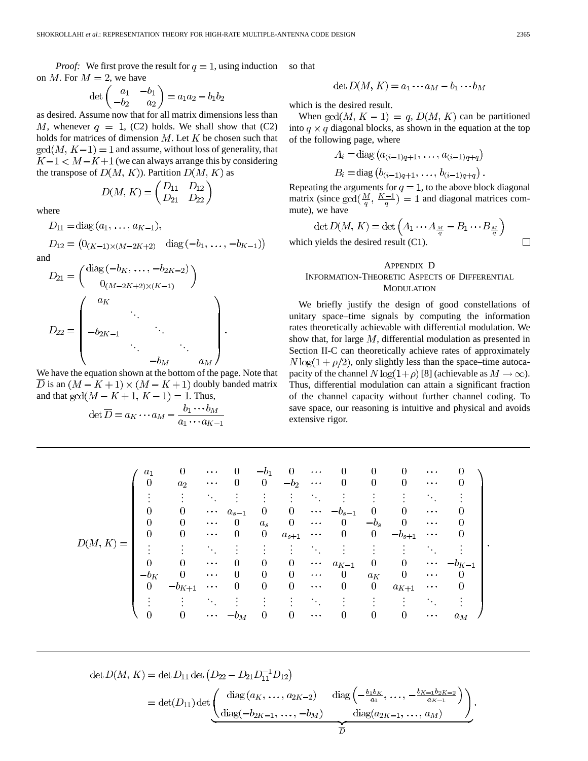*Proof:* We first prove the result for  $q = 1$ , using induction on M. For  $M = 2$ , we have

$$
\det\begin{pmatrix} a_1 & -b_1 \\ -b_2 & a_2 \end{pmatrix} = a_1a_2 - b_1b_2
$$

as desired. Assume now that for all matrix dimensions less than M, whenever  $q = 1$ , (C2) holds. We shall show that (C2) holds for matrices of dimension  $M$ . Let  $K$  be chosen such that  $gcd(M, K-1) = 1$  and assume, without loss of generality, that  $K-1 < M-K+1$  (we can always arrange this by considering the transpose of  $D(M, K)$ ). Partition  $D(M, K)$  as

$$
D(M, K) = \begin{pmatrix} D_{11} & D_{12} \\ D_{21} & D_{22} \end{pmatrix}
$$

where

$$
D_{11} = diag(a_1, ..., a_{K-1}),
$$
  
\n
$$
D_{12} = (0_{(K-1)\times(M-2K+2)} diag(-b_1, ..., -b_{K-1}))
$$
  
\nand

$$
D_{21} = \begin{pmatrix} \text{diag}(-b_K, \dots, -b_{2K-2}) \\ 0_{(M-2K+2)\times (K-1)} \end{pmatrix}
$$

$$
D_{22} = \begin{pmatrix} a_K & & & \\ & \ddots & & \\ -b_{2K-1} & & \ddots & \\ & & \ddots & \ddots & \\ & & & -b_M & a_M \end{pmatrix}.
$$

We have the equation shown at the bottom of the page. Note that D is an  $(M - K + 1) \times (M - K + 1)$  doubly banded matrix and that  $gcd(M - K + 1, K - 1) = 1$ . Thus,

$$
\det \overline{D} = a_K \cdots a_M - \frac{b_1 \cdots b_M}{a_1 \cdots a_{K-1}}
$$

so that

$$
\det D(M, K) = a_1 \cdots a_M - b_1 \cdots b_M
$$

which is the desired result.

When  $gcd(M, K - 1) = q$ ,  $D(M, K)$  can be partitioned into  $q \times q$  diagonal blocks, as shown in the equation at the top of the following page, where

$$
A_i = \text{diag}(a_{(i-1)q+1}, \ldots, a_{(i-1)q+q})
$$

$$
B_i = \text{diag}(b_{(i-1)q+1}, \ldots, b_{(i-1)q+q}).
$$

Repeating the arguments for  $q = 1$ , to the above block diagonal matrix (since  $gcd(\frac{M}{q}, \frac{K-1}{q}) = 1$  and diagonal matrices commute), we have

det 
$$
D(M, K) = \det \left( A_1 \cdots A_{\frac{M}{q}} - B_1 \cdots B_{\frac{M}{q}} \right)
$$
  
which yields the desired result (C1).

# APPENDIX D INFORMATION-THEORETIC ASPECTS OF DIFFERENTIAL

# MODULATION

We briefly justify the design of good constellations of unitary space–time signals by computing the information rates theoretically achievable with differential modulation. We show that, for large  $M$ , differential modulation as presented in Section II-C can theoretically achieve rates of approximately  $N \log(1 + \rho/2)$ , only slightly less than the space–time autocapacity of the channel  $N \log(1+\rho)$  [8] (achievable as  $M \to \infty$ ). Thus, differential modulation can attain a significant fraction of the channel capacity without further channel coding. To save space, our reasoning is intuitive and physical and avoids extensive rigor.

$$
D(M, K) = \left( \begin{array}{cccccccccccc} a_1 & 0 & \cdots & 0 & -b_1 & 0 & \cdots & 0 & 0 & 0 & \cdots & 0 \\ 0 & a_2 & \cdots & 0 & 0 & -b_2 & \cdots & 0 & 0 & 0 & \cdots & 0 \\ \vdots & \vdots & \ddots & \vdots & \vdots & \vdots & \ddots & \vdots & \vdots & \ddots & \vdots \\ 0 & 0 & \cdots & a_{s-1} & 0 & 0 & \cdots & -b_{s-1} & 0 & 0 & \cdots & 0 \\ 0 & 0 & \cdots & 0 & a_s & 0 & \cdots & 0 & -b_s & 0 & \cdots & 0 \\ 0 & 0 & \cdots & 0 & 0 & a_{s+1} & \cdots & 0 & 0 & -b_{s+1} & \cdots & 0 \\ \vdots & \vdots & \ddots & \vdots & \vdots & \vdots & \ddots & \vdots & \vdots & \vdots & \ddots & \vdots \\ 0 & 0 & \cdots & 0 & 0 & 0 & \cdots & a_{K-1} & 0 & 0 & \cdots & -b_{K-1} \\ -b_K & 0 & \cdots & 0 & 0 & 0 & \cdots & 0 & a_K & 0 & \cdots & 0 \\ 0 & -b_{K+1} & \cdots & 0 & 0 & 0 & \cdots & 0 & 0 & a_{K+1} & \cdots & 0 \\ \vdots & \vdots & \vdots & \ddots & \vdots & \vdots & \vdots & \ddots & \vdots & \vdots & \vdots & \ddots & \vdots \\ 0 & 0 & \cdots & -b_M & 0 & 0 & \cdots & 0 & 0 & 0 & \cdots & a_M \end{array} \right).
$$

$$
\det D(M, K) = \det D_{11} \det (D_{22} - D_{21} D_{11}^{-1} D_{12})
$$
  
= 
$$
\det(D_{11}) \det \begin{pmatrix} \text{diag}(a_K, \dots, a_{2K-2}) & \text{diag}\left(-\frac{b_1 b_K}{a_1}, \dots, -\frac{b_{K-1} b_{2K-2}}{a_{K-1}}\right) \\ \text{diag}(-b_{2K-1}, \dots, -b_M) & \text{diag}(a_{2K-1}, \dots, a_M) \end{pmatrix}.
$$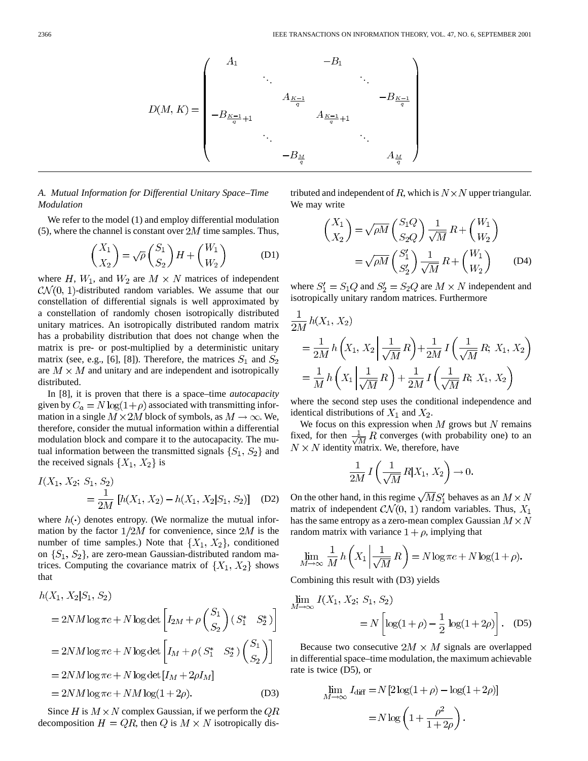

# *A. Mutual Information for Differential Unitary Space–Time Modulation*

We refer to the model (1) and employ differential modulation (5), where the channel is constant over  $2M$  time samples. Thus,

$$
\begin{pmatrix} X_1 \\ X_2 \end{pmatrix} = \sqrt{\rho} \begin{pmatrix} S_1 \\ S_2 \end{pmatrix} H + \begin{pmatrix} W_1 \\ W_2 \end{pmatrix} \tag{D1}
$$

where H,  $W_1$ , and  $W_2$  are  $M \times N$  matrices of independent  $\mathcal{CN}(0, 1)$ -distributed random variables. We assume that our constellation of differential signals is well approximated by a constellation of randomly chosen isotropically distributed unitary matrices. An isotropically distributed random matrix has a probability distribution that does not change when the matrix is pre- or post-multiplied by a deterministic unitary matrix (see, e.g., [6], [8]). Therefore, the matrices  $S_1$  and  $S_2$ are  $M \times M$  and unitary and are independent and isotropically distributed.

In [8], it is proven that there is a space–time *autocapacity* given by  $C_a = N \log(1+\rho)$  associated with transmitting information in a single  $M \times 2M$  block of symbols, as  $M \to \infty$ . We, therefore, consider the mutual information within a differential modulation block and compare it to the autocapacity. The mutual information between the transmitted signals  $\{S_1, S_2\}$  and the received signals  $\{X_1, X_2\}$  is

$$
I(X_1, X_2; S_1, S_2)
$$
  
=  $\frac{1}{2M} [h(X_1, X_2) - h(X_1, X_2|S_1, S_2)]$  (D2)

where  $h(\cdot)$  denotes entropy. (We normalize the mutual information by the factor  $1/2M$  for convenience, since  $2M$  is the number of time samples.) Note that  $\{X_1, X_2\}$ , conditioned on  $\{S_1, S_2\}$ , are zero-mean Gaussian-distributed random matrices. Computing the covariance matrix of  $\{X_1, X_2\}$  shows that

$$
h(X_1, X_2|S_1, S_2)
$$
  
= 2NM log  $\pi e$  + N log det  $\left[ I_{2M} + \rho \begin{pmatrix} S_1 \\ S_2 \end{pmatrix} (S_1^* \ S_2^*) \right]$   
= 2NM log  $\pi e$  + N log det  $\left[ I_M + \rho (S_1^* \ S_2^*) \begin{pmatrix} S_1 \\ S_2 \end{pmatrix} \right]$   
= 2NM log  $\pi e$  + N log det  $[I_M + 2\rho I_M]$   
= 2NM log  $\pi e$  + NM log(1 + 2\rho). (D3)

Since H is  $M \times N$  complex Gaussian, if we perform the  $QR$ decomposition  $H = QR$ , then Q is  $M \times N$  isotropically distributed and independent of R, which is  $N \times N$  upper triangular. We may write

$$
\begin{pmatrix} X_1 \\ X_2 \end{pmatrix} = \sqrt{\rho M} \begin{pmatrix} S_1 Q \\ S_2 Q \end{pmatrix} \frac{1}{\sqrt{M}} R + \begin{pmatrix} W_1 \\ W_2 \end{pmatrix}
$$

$$
= \sqrt{\rho M} \begin{pmatrix} S_1' \\ S_2' \end{pmatrix} \frac{1}{\sqrt{M}} R + \begin{pmatrix} W_1 \\ W_2 \end{pmatrix} \qquad (D4)
$$

where  $S'_1 = S_1 Q$  and  $S'_2 = S_2 Q$  are  $M \times N$  independent and isotropically unitary random matrices. Furthermore

$$
\frac{1}{2M} h(X_1, X_2)
$$
\n
$$
= \frac{1}{2M} h\left(X_1, X_2 \mid \frac{1}{\sqrt{M}} R\right) + \frac{1}{2M} I\left(\frac{1}{\sqrt{M}} R; X_1, X_2\right)
$$
\n
$$
= \frac{1}{M} h\left(X_1 \mid \frac{1}{\sqrt{M}} R\right) + \frac{1}{2M} I\left(\frac{1}{\sqrt{M}} R; X_1, X_2\right)
$$

where the second step uses the conditional independence and identical distributions of  $X_1$  and  $X_2$ .

We focus on this expression when  $M$  grows but  $N$  remains fixed, for then  $\frac{1}{\sqrt{M}} R$  converges (with probability one) to an  $N \times N$  identity matrix. We, therefore, have

$$
\frac{1}{2M}I\left(\frac{1}{\sqrt{M}}R|X_1, X_2\right) \to 0.
$$

On the other hand, in this regime  $\sqrt{MS_1'}$  behaves as an  $M \times N$ matrix of independent  $\mathcal{CN}(0, 1)$  random variables. Thus,  $X_1$ has the same entropy as a zero-mean complex Gaussian  $M \times N$ random matrix with variance  $1 + \rho$ , implying that

$$
\lim_{M \to \infty} \frac{1}{M} h\left(X_1 \middle| \frac{1}{\sqrt{M}} R\right) = N \log \pi e + N \log(1 + \rho).
$$

Combining this result with (D3) yields

$$
\lim_{M \to \infty} I(X_1, X_2; S_1, S_2)
$$
  
=  $N \left[ \log(1 + \rho) - \frac{1}{2} \log(1 + 2\rho) \right].$  (D5)

Because two consecutive  $2M \times M$  signals are overlapped in differential space–time modulation, the maximum achievable rate is twice (D5), or

$$
\lim_{M \to \infty} I_{\text{diff}} = N \left[ 2 \log(1 + \rho) - \log(1 + 2\rho) \right]
$$

$$
= N \log \left( 1 + \frac{\rho^2}{1 + 2\rho} \right).
$$